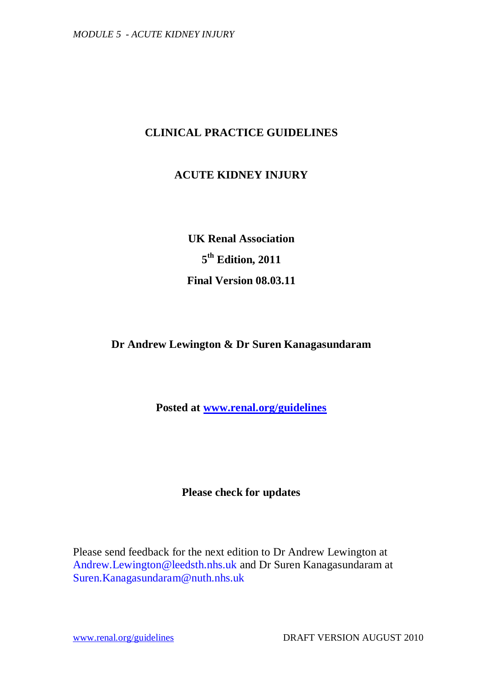# **CLINICAL PRACTICE GUIDELINES**

# **ACUTE KIDNEY INJURY**

**UK Renal Association 5 th Edition, 2011 Final Version 08.03.11**

# **Dr Andrew Lewington & Dr Suren Kanagasundaram**

**Posted at [www.renal.org/guidelines](http://www.renal.org/guidelines)**

**Please check for updates**

Please send feedback for the next edition to Dr Andrew Lewington at Andrew.Lewington@leedsth.nhs.uk and Dr Suren Kanagasundaram at Suren.Kanagasundaram@nuth.nhs.uk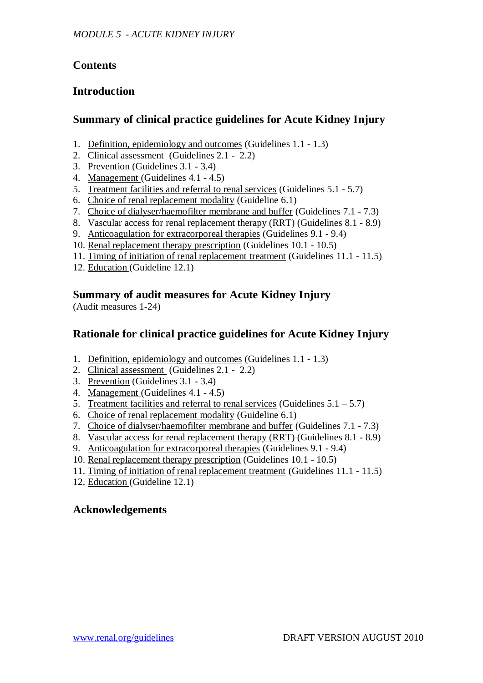# **Contents**

# **Introduction**

# **Summary of clinical practice guidelines for Acute Kidney Injury**

- 1. Definition, epidemiology and outcomes (Guidelines 1.1 1.3)
- 2. Clinical assessment (Guidelines 2.1 2.2)
- 3. Prevention (Guidelines 3.1 3.4)
- 4. Management (Guidelines 4.1 4.5)
- 5. Treatment facilities and referral to renal services (Guidelines 5.1 5.7)
- 6. Choice of renal replacement modality (Guideline 6.1)
- 7. Choice of dialyser/haemofilter membrane and buffer (Guidelines 7.1 7.3)
- 8. Vascular access for renal replacement therapy (RRT) (Guidelines 8.1 8.9)
- 9. Anticoagulation for extracorporeal therapies (Guidelines 9.1 9.4)
- 10. Renal replacement therapy prescription (Guidelines 10.1 10.5)
- 11. Timing of initiation of renal replacement treatment (Guidelines 11.1 11.5)
- 12. Education (Guideline 12.1)

# **Summary of audit measures for Acute Kidney Injury**

(Audit measures 1-24)

# **Rationale for clinical practice guidelines for Acute Kidney Injury**

- 1. Definition, epidemiology and outcomes (Guidelines 1.1 1.3)
- 2. Clinical assessment (Guidelines 2.1 2.2)
- 3. Prevention (Guidelines 3.1 3.4)
- 4. Management (Guidelines 4.1 4.5)
- 5. Treatment facilities and referral to renal services (Guidelines  $5.1 5.7$ )
- 6. Choice of renal replacement modality (Guideline 6.1)
- 7. Choice of dialyser/haemofilter membrane and buffer (Guidelines 7.1 7.3)
- 8. Vascular access for renal replacement therapy (RRT) (Guidelines 8.1 8.9)
- 9. Anticoagulation for extracorporeal therapies (Guidelines 9.1 9.4)
- 10. Renal replacement therapy prescription (Guidelines 10.1 10.5)
- 11. Timing of initiation of renal replacement treatment (Guidelines 11.1 11.5)
- 12. Education (Guideline 12.1)

# **Acknowledgements**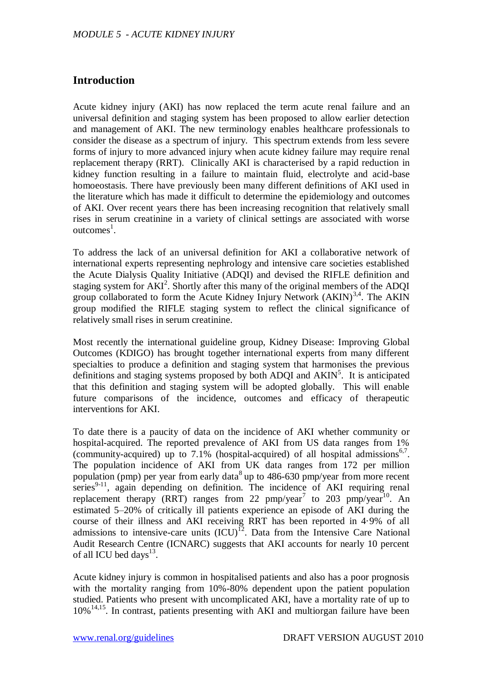# **Introduction**

Acute kidney injury (AKI) has now replaced the term acute renal failure and an universal definition and staging system has been proposed to allow earlier detection and management of AKI. The new terminology enables healthcare professionals to consider the disease as a spectrum of injury. This spectrum extends from less severe forms of injury to more advanced injury when acute kidney failure may require renal replacement therapy (RRT). Clinically AKI is characterised by a rapid reduction in kidney function resulting in a failure to maintain fluid, electrolyte and acid-base homoeostasis. There have previously been many different definitions of AKI used in the literature which has made it difficult to determine the epidemiology and outcomes of AKI. Over recent years there has been increasing recognition that relatively small rises in serum creatinine in a variety of clinical settings are associated with worse outcomes<sup>1</sup>.

To address the lack of an universal definition for AKI a collaborative network of international experts representing nephrology and intensive care societies established the Acute Dialysis Quality Initiative (ADQI) and devised the RIFLE definition and staging system for  $\overrightarrow{AKI}^2$ . Shortly after this many of the original members of the ADQI group collaborated to form the Acute Kidney Injury Network  $(AKIN)^{3,4}$ . The AKIN group modified the RIFLE staging system to reflect the clinical significance of relatively small rises in serum creatinine.

Most recently the international guideline group, Kidney Disease: Improving Global Outcomes (KDIGO) has brought together international experts from many different specialties to produce a definition and staging system that harmonises the previous definitions and staging systems proposed by both ADQI and AKIN<sup>5</sup>. It is anticipated that this definition and staging system will be adopted globally. This will enable future comparisons of the incidence, outcomes and efficacy of therapeutic interventions for AKI.

To date there is a paucity of data on the incidence of AKI whether community or hospital-acquired. The reported prevalence of AKI from US data ranges from 1% (community-acquired) up to 7.1% (hospital-acquired) of all hospital admissions<sup>6,7</sup>. The population incidence of AKI from UK data ranges from 172 per million population (pmp) per year from early data<sup>8</sup> up to  $486-630$  pmp/year from more recent  $series<sup>9-11</sup>$ , again depending on definition. The incidence of AKI requiring renal replacement therapy (RRT) ranges from 22  $\text{pmp/year}^7$  to 203  $\text{pmp/year}^{10}$ . An estimated 5–20% of critically ill patients experience an episode of AKI during the course of their illness and AKI receiving RRT has been reported in 4·9% of all admissions to intensive-care units  ${(ICU)}^{12}$ . Data from the Intensive Care National Audit Research Centre (ICNARC) suggests that AKI accounts for nearly 10 percent of all ICU bed days<sup>13</sup>.

Acute kidney injury is common in hospitalised patients and also has a poor prognosis with the mortality ranging from 10%-80% dependent upon the patient population studied. Patients who present with uncomplicated AKI, have a mortality rate of up to 10%<sup>14,15</sup>. In contrast, patients presenting with AKI and multiorgan failure have been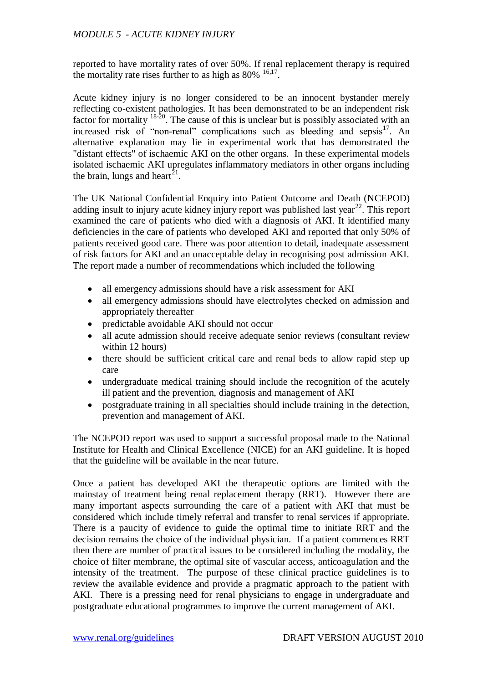reported to have mortality rates of over 50%. If renal replacement therapy is required the mortality rate rises further to as high as  $80\%$ <sup>16,17</sup>.

Acute kidney injury is no longer considered to be an innocent bystander merely reflecting co-existent pathologies. It has been demonstrated to be an independent risk factor for mortality  $18-20$ . The cause of this is unclear but is possibly associated with an increased risk of "non-renal" complications such as bleeding and sepsis $17$ . An alternative explanation may lie in experimental work that has demonstrated the "distant effects" of ischaemic AKI on the other organs. In these experimental models isolated ischaemic AKI upregulates inflammatory mediators in other organs including the brain, lungs and heart $^{21}$ .

The UK National Confidential Enquiry into Patient Outcome and Death (NCEPOD) adding insult to injury acute kidney injury report was published last year<sup>22</sup>. This report examined the care of patients who died with a diagnosis of AKI. It identified many deficiencies in the care of patients who developed AKI and reported that only 50% of patients received good care. There was poor attention to detail, inadequate assessment of risk factors for AKI and an unacceptable delay in recognising post admission AKI. The report made a number of recommendations which included the following

- all emergency admissions should have a risk assessment for AKI
- all emergency admissions should have electrolytes checked on admission and appropriately thereafter
- predictable avoidable AKI should not occur
- all acute admission should receive adequate senior reviews (consultant review within 12 hours)
- there should be sufficient critical care and renal beds to allow rapid step up care
- undergraduate medical training should include the recognition of the acutely ill patient and the prevention, diagnosis and management of AKI
- postgraduate training in all specialties should include training in the detection, prevention and management of AKI.

The NCEPOD report was used to support a successful proposal made to the National Institute for Health and Clinical Excellence (NICE) for an AKI guideline. It is hoped that the guideline will be available in the near future.

Once a patient has developed AKI the therapeutic options are limited with the mainstay of treatment being renal replacement therapy (RRT). However there are many important aspects surrounding the care of a patient with AKI that must be considered which include timely referral and transfer to renal services if appropriate. There is a paucity of evidence to guide the optimal time to initiate RRT and the decision remains the choice of the individual physician. If a patient commences RRT then there are number of practical issues to be considered including the modality, the choice of filter membrane, the optimal site of vascular access, anticoagulation and the intensity of the treatment. The purpose of these clinical practice guidelines is to review the available evidence and provide a pragmatic approach to the patient with AKI. There is a pressing need for renal physicians to engage in undergraduate and postgraduate educational programmes to improve the current management of AKI.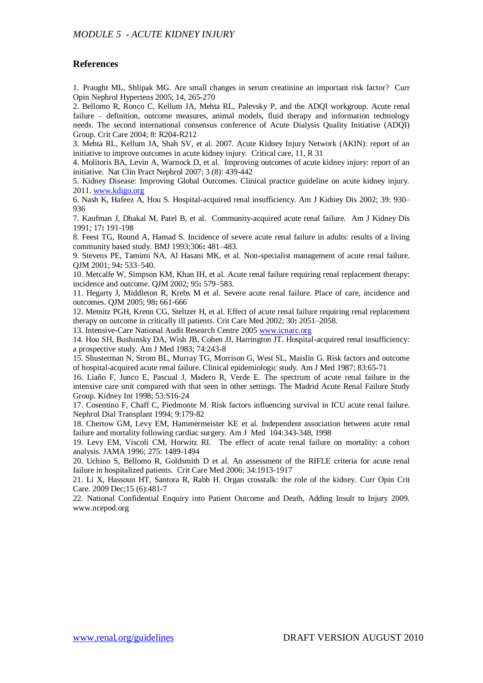#### **References**

1. Praught ML, Shlipak MG. Are small changes in serum creatinine an important risk factor? Curr Opin Nephrol Hypertens 2005; 14, 265-270

2. Bellomo R, Ronco C, Kellum JA, Mehta RL, Palevsky P, and the ADQI workgroup. Acute renal failure – definition, outcome measures, animal models, fluid therapy and information technology needs. The second international consensus conference of Acute Dialysis Quality Initiative (ADQI) Group. Crit Care 2004; 8: R204-R212

3. Mehta RL, Kellum JA, Shah SV, et al. 2007. Acute Kidney Injury Network (AKIN): report of an initiative to improve outcomes in acute kidney injury. Critical care, 11, R 31

4. Molitoris BA, Levin A, Warnock D, et al. Improving outcomes of acute kidney injury: report of an initiative. Nat Clin Pract Nephrol 2007; 3 (8): 439-442

5. Kidney Disease: Improving Global Outcomes. Clinical practice guideline on acute kidney injury. 2011. [www.kdigo.org](http://www.kdigo.org/)

6. Nash K, Hafeez A, Hou S. Hospital-acquired renal insufficiency. Am J Kidney Dis 2002; 39: 930– 936

7. Kaufman J, Dhakal M, Patel B, et al. Community-acquired acute renal failure. Am J Kidney Dis 1991; 17**:** 191-198

8. Feest TG, Round A, Hamad S. Incidence of severe acute renal failure in adults: results of a living community based study. BMJ 1993;306**:** 481–483.

9. Stevens PE, Tamimi NA, Al Hasani MK, et al. Non-specialist management of acute renal failure. QJM 2001; 94**:** 533–540.

10. Metcalfe W, Simpson KM, Khan IH, et al. Acute renal failure requiring renal replacement therapy: incidence and outcome. QJM 2002; 95**:** 579–583.

11. Hegarty J, Middleton R, Krebs M et al. Severe acute renal failure. Place of care, incidence and outcomes. QJM 2005; 98**:** 661-666

12. Metnitz PGH, Krenn CG, Steltzer H, et al. Effect of acute renal failure requiring renal replacement therapy on outcome in critically ill patients. Crit Care Med 2002; 30**:** 2051–2058.

13. Intensive-Care National Audit Research Centre 200[5 www.icnarc.org](http://www.icnarc.org/)

14. Hou SH, Bushinsky DA, Wish JB, Cohen JJ, Harrington JT. Hospital-acquired renal insufficiency: a prospective study. Am J Med 1983; 74:243-8

15. Shusterman N, Strom BL, Murray TG, Morrison G, West SL, Maislin G. Risk factors and outcome of hospital-acquired acute renal failure. Clinical epidemiologic study. Am J Med 1987; 83:65-71

16. Liaño F, Junco E, Pascual J, Madero R, Verde E. The spectrum of acute renal failure in the intensive care unit compared with that seen in other settings. The Madrid Acute Renal Failure Study Group. Kidney Int 1998; 53:S16-24

17. Cosentino F, Chaff C, Piedmonte M. Risk factors influencing survival in ICU acute renal failure. Nephrol Dial Transplant 1994; 9:179-82

18. Chertow GM, Levy EM, Hammermeister KE et al*.* Independent association between acute renal failure and mortality following cardiac surgery. Am J Med 104:343-348, 1998

19. Levy EM, Viscoli CM, Horwitz RI. The effect of acute renal failure on mortality: a cohort analysis. JAMA 1996; 275: 1489-1494

20. Uchino S, Bellomo R, Goldsmith D et al. An assessment of the RIFLE criteria for acute renal failure in hospitalized patients. Crit Care Med 2006; 34:1913-1917

21. [Li X,](http://www.ncbi.nlm.nih.gov/pubmed?term=%22Li%20X%22%5BAuthor%5D) [Hassoun HT,](http://www.ncbi.nlm.nih.gov/pubmed?term=%22Hassoun%20HT%22%5BAuthor%5D) [Santora R,](http://www.ncbi.nlm.nih.gov/pubmed?term=%22Santora%20R%22%5BAuthor%5D) [Rabb H.](http://www.ncbi.nlm.nih.gov/pubmed?term=%22Rabb%20H%22%5BAuthor%5D) Organ crosstalk: the role of the kidney. [Curr Opin Crit](javascript:AL_get(this,%20)  [Care.](javascript:AL_get(this,%20) 2009 Dec;15 (6):481-7

22. National Confidential Enquiry into Patient Outcome and Death, Adding Insult to Injury 2009. www.ncepod.org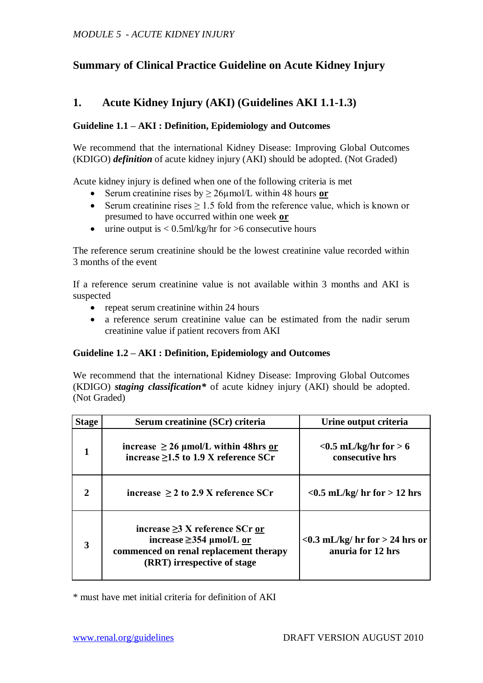# **Summary of Clinical Practice Guideline on Acute Kidney Injury**

# **1. Acute Kidney Injury (AKI) (Guidelines AKI 1.1-1.3)**

# **Guideline 1.1 – AKI : Definition, Epidemiology and Outcomes**

We recommend that the international Kidney Disease: Improving Global Outcomes (KDIGO) *definition* of acute kidney injury (AKI) should be adopted. (Not Graded)

Acute kidney injury is defined when one of the following criteria is met

- Serum creatinine rises by ≥ 26µmol/L within 48 hours **or**
- Serum creatinine rises  $\geq 1.5$  fold from the reference value, which is known or presumed to have occurred within one week **or**
- urine output is  $\langle 0.5 \text{m} / \text{kg} / \text{hr}$  for  $>6$  consecutive hours

The reference serum creatinine should be the lowest creatinine value recorded within 3 months of the event

If a reference serum creatinine value is not available within 3 months and AKI is suspected

- repeat serum creatinine within 24 hours
- a reference serum creatinine value can be estimated from the nadir serum creatinine value if patient recovers from AKI

# **Guideline 1.2 – AKI : Definition, Epidemiology and Outcomes**

We recommend that the international Kidney Disease: Improving Global Outcomes (KDIGO) *staging classification\** of acute kidney injury (AKI) should be adopted. (Not Graded)

| <b>Stage</b> | Serum creatinine (SCr) criteria                                                                                                                | Urine output criteria                                  |  |
|--------------|------------------------------------------------------------------------------------------------------------------------------------------------|--------------------------------------------------------|--|
|              | increase $\geq 26$ µmol/L within 48hrs or<br>increase $\geq$ 1.5 to 1.9 X reference SCr                                                        | $<$ 0.5 mL/kg/hr for $>$ 6<br>consecutive hrs          |  |
|              | increase $\geq$ 2 to 2.9 X reference SCr                                                                                                       | $<$ 0.5 mL/kg/ hr for > 12 hrs                         |  |
| 3            | increase $\geq$ 3 X reference SCr or<br>increase $\geq$ 354 µmol/L or<br>commenced on renal replacement therapy<br>(RRT) irrespective of stage | $<$ 0.3 mL/kg/ hr for > 24 hrs or<br>anuria for 12 hrs |  |

\* must have met initial criteria for definition of AKI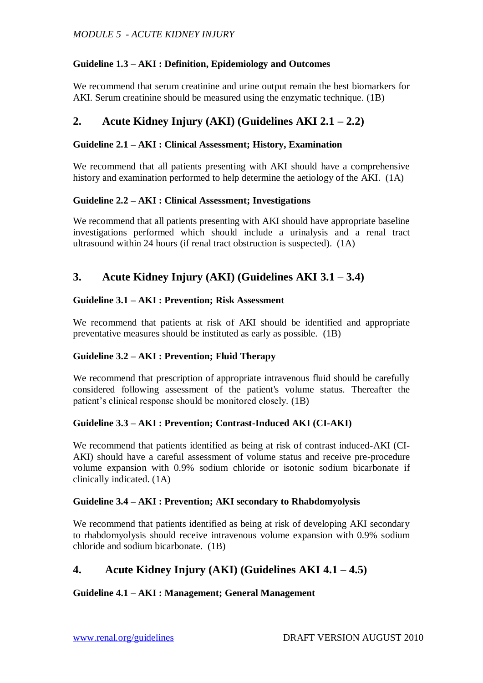# **Guideline 1.3 – AKI : Definition, Epidemiology and Outcomes**

We recommend that serum creatinine and urine output remain the best biomarkers for AKI. Serum creatinine should be measured using the enzymatic technique. (1B)

# **2. Acute Kidney Injury (AKI) (Guidelines AKI 2.1 – 2.2)**

# **Guideline 2.1 – AKI : Clinical Assessment; History, Examination**

We recommend that all patients presenting with AKI should have a comprehensive history and examination performed to help determine the aetiology of the AKI. (1A)

# **Guideline 2.2 – AKI : Clinical Assessment; Investigations**

We recommend that all patients presenting with AKI should have appropriate baseline investigations performed which should include a urinalysis and a renal tract ultrasound within 24 hours (if renal tract obstruction is suspected). (1A)

# **3. Acute Kidney Injury (AKI) (Guidelines AKI 3.1 – 3.4)**

# **Guideline 3.1 – AKI : Prevention; Risk Assessment**

We recommend that patients at risk of AKI should be identified and appropriate preventative measures should be instituted as early as possible. (1B)

# **Guideline 3.2 – AKI : Prevention; Fluid Therapy**

We recommend that prescription of appropriate intravenous fluid should be carefully considered following assessment of the patient's volume status. Thereafter the patient"s clinical response should be monitored closely. (1B)

# **Guideline 3.3 – AKI : Prevention; Contrast-Induced AKI (CI-AKI)**

We recommend that patients identified as being at risk of contrast induced-AKI (CI-AKI) should have a careful assessment of volume status and receive pre-procedure volume expansion with 0.9% sodium chloride or isotonic sodium bicarbonate if clinically indicated. (1A)

# **Guideline 3.4 – AKI : Prevention; AKI secondary to Rhabdomyolysis**

We recommend that patients identified as being at risk of developing AKI secondary to rhabdomyolysis should receive intravenous volume expansion with 0.9% sodium chloride and sodium bicarbonate. (1B)

# **4. Acute Kidney Injury (AKI) (Guidelines AKI 4.1 – 4.5)**

# **Guideline 4.1 – AKI : Management; General Management**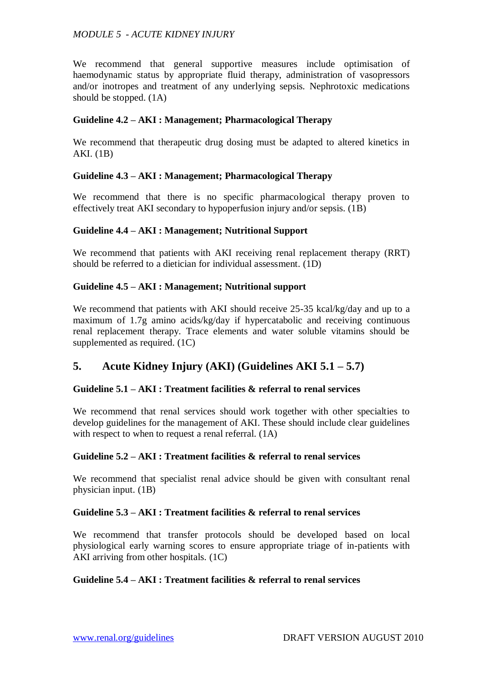We recommend that general supportive measures include optimisation of haemodynamic status by appropriate fluid therapy, administration of vasopressors and/or inotropes and treatment of any underlying sepsis. Nephrotoxic medications should be stopped. (1A)

## **Guideline 4.2 – AKI : Management; Pharmacological Therapy**

We recommend that therapeutic drug dosing must be adapted to altered kinetics in AKI. (1B)

## **Guideline 4.3 – AKI : Management; Pharmacological Therapy**

We recommend that there is no specific pharmacological therapy proven to effectively treat AKI secondary to hypoperfusion injury and/or sepsis. (1B)

### **Guideline 4.4 – AKI : Management; Nutritional Support**

We recommend that patients with AKI receiving renal replacement therapy (RRT) should be referred to a dietician for individual assessment. (1D)

## **Guideline 4.5 – AKI : Management; Nutritional support**

We recommend that patients with AKI should receive 25-35 kcal/kg/day and up to a maximum of 1.7g amino acids/kg/day if hypercatabolic and receiving continuous renal replacement therapy. Trace elements and water soluble vitamins should be supplemented as required. (1C)

# **5. Acute Kidney Injury (AKI) (Guidelines AKI 5.1 – 5.7)**

# **Guideline 5.1 – AKI : Treatment facilities & referral to renal services**

We recommend that renal services should work together with other specialties to develop guidelines for the management of AKI. These should include clear guidelines with respect to when to request a renal referral. (1A)

### **Guideline 5.2 – AKI : Treatment facilities & referral to renal services**

We recommend that specialist renal advice should be given with consultant renal physician input. (1B)

### **Guideline 5.3 – AKI : Treatment facilities & referral to renal services**

We recommend that transfer protocols should be developed based on local physiological early warning scores to ensure appropriate triage of in-patients with AKI arriving from other hospitals. (1C)

### **Guideline 5.4 – AKI : Treatment facilities & referral to renal services**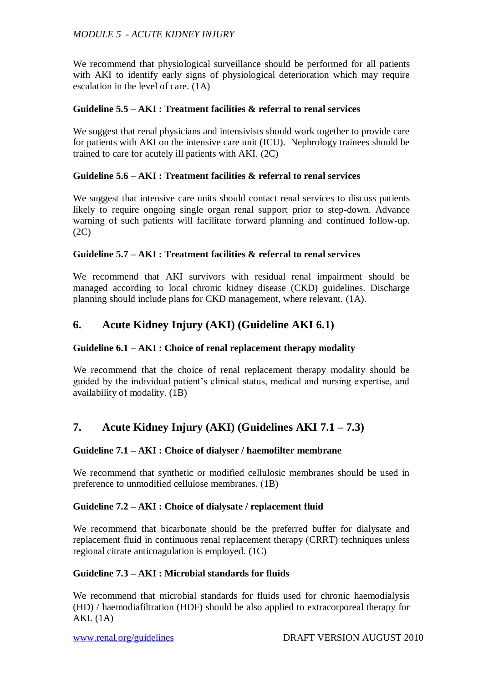We recommend that physiological surveillance should be performed for all patients with AKI to identify early signs of physiological deterioration which may require escalation in the level of care. (1A)

# **Guideline 5.5 – AKI : Treatment facilities & referral to renal services**

We suggest that renal physicians and intensivists should work together to provide care for patients with AKI on the intensive care unit (ICU). Nephrology trainees should be trained to care for acutely ill patients with AKI. (2C)

## **Guideline 5.6 – AKI : Treatment facilities & referral to renal services**

We suggest that intensive care units should contact renal services to discuss patients likely to require ongoing single organ renal support prior to step-down. Advance warning of such patients will facilitate forward planning and continued follow-up. (2C)

## **Guideline 5.7 – AKI : Treatment facilities & referral to renal services**

We recommend that AKI survivors with residual renal impairment should be managed according to local chronic kidney disease (CKD) guidelines. Discharge planning should include plans for CKD management, where relevant. (1A).

# **6. Acute Kidney Injury (AKI) (Guideline AKI 6.1)**

# **Guideline 6.1 – AKI : Choice of renal replacement therapy modality**

We recommend that the choice of renal replacement therapy modality should be guided by the individual patient"s clinical status, medical and nursing expertise, and availability of modality. (1B)

# **7. Acute Kidney Injury (AKI) (Guidelines AKI 7.1 – 7.3)**

### **Guideline 7.1 – AKI : Choice of dialyser / haemofilter membrane**

We recommend that synthetic or modified cellulosic membranes should be used in preference to unmodified cellulose membranes. (1B)

### **Guideline 7.2 – AKI : Choice of dialysate / replacement fluid**

We recommend that bicarbonate should be the preferred buffer for dialysate and replacement fluid in continuous renal replacement therapy (CRRT) techniques unless regional citrate anticoagulation is employed. (1C)

### **Guideline 7.3 – AKI : Microbial standards for fluids**

We recommend that microbial standards for fluids used for chronic haemodialysis (HD) / haemodiafiltration (HDF) should be also applied to extracorporeal therapy for AKI. (1A)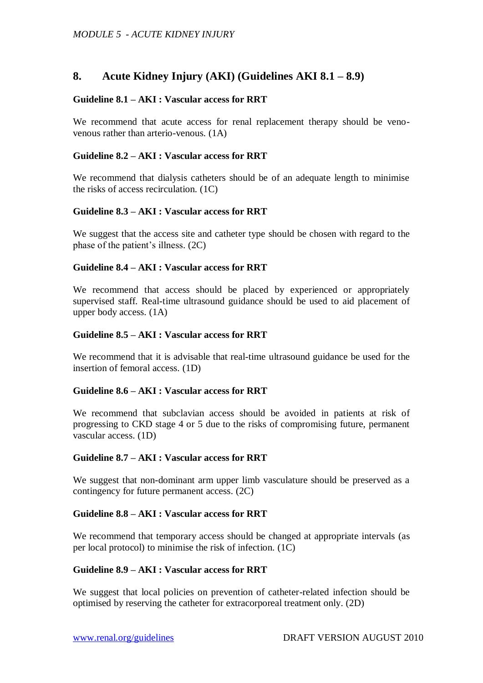# **8. Acute Kidney Injury (AKI) (Guidelines AKI 8.1 – 8.9)**

### **Guideline 8.1 – AKI : Vascular access for RRT**

We recommend that acute access for renal replacement therapy should be venovenous rather than arterio-venous. (1A)

### **Guideline 8.2 – AKI : Vascular access for RRT**

We recommend that dialysis catheters should be of an adequate length to minimise the risks of access recirculation. (1C)

### **Guideline 8.3 – AKI : Vascular access for RRT**

We suggest that the access site and catheter type should be chosen with regard to the phase of the patient"s illness. (2C)

#### **Guideline 8.4 – AKI : Vascular access for RRT**

We recommend that access should be placed by experienced or appropriately supervised staff. Real-time ultrasound guidance should be used to aid placement of upper body access. (1A)

### **Guideline 8.5 – AKI : Vascular access for RRT**

We recommend that it is advisable that real-time ultrasound guidance be used for the insertion of femoral access. (1D)

### **Guideline 8.6 – AKI : Vascular access for RRT**

We recommend that subclavian access should be avoided in patients at risk of progressing to CKD stage 4 or 5 due to the risks of compromising future, permanent vascular access. (1D)

#### **Guideline 8.7 – AKI : Vascular access for RRT**

We suggest that non-dominant arm upper limb vasculature should be preserved as a contingency for future permanent access. (2C)

### **Guideline 8.8 – AKI : Vascular access for RRT**

We recommend that temporary access should be changed at appropriate intervals (as per local protocol) to minimise the risk of infection. (1C)

#### **Guideline 8.9 – AKI : Vascular access for RRT**

We suggest that local policies on prevention of catheter-related infection should be optimised by reserving the catheter for extracorporeal treatment only. (2D)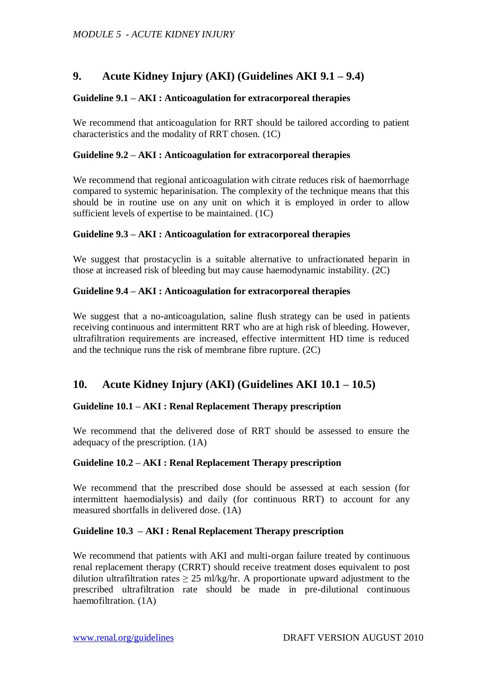# **9. Acute Kidney Injury (AKI) (Guidelines AKI 9.1 – 9.4)**

# **Guideline 9.1 – AKI : Anticoagulation for extracorporeal therapies**

We recommend that anticoagulation for RRT should be tailored according to patient characteristics and the modality of RRT chosen. (1C)

# **Guideline 9.2 – AKI : Anticoagulation for extracorporeal therapies**

We recommend that regional anticoagulation with citrate reduces risk of haemorrhage compared to systemic heparinisation. The complexity of the technique means that this should be in routine use on any unit on which it is employed in order to allow sufficient levels of expertise to be maintained. (1C)

# **Guideline 9.3 – AKI : Anticoagulation for extracorporeal therapies**

We suggest that prostacyclin is a suitable alternative to unfractionated heparin in those at increased risk of bleeding but may cause haemodynamic instability. (2C)

# **Guideline 9.4 – AKI : Anticoagulation for extracorporeal therapies**

We suggest that a no-anticoagulation, saline flush strategy can be used in patients receiving continuous and intermittent RRT who are at high risk of bleeding. However, ultrafiltration requirements are increased, effective intermittent HD time is reduced and the technique runs the risk of membrane fibre rupture. (2C)

# **10. Acute Kidney Injury (AKI) (Guidelines AKI 10.1 – 10.5)**

# **Guideline 10.1 – AKI : Renal Replacement Therapy prescription**

We recommend that the delivered dose of RRT should be assessed to ensure the adequacy of the prescription. (1A)

# **Guideline 10.2 – AKI : Renal Replacement Therapy prescription**

We recommend that the prescribed dose should be assessed at each session (for intermittent haemodialysis) and daily (for continuous RRT) to account for any measured shortfalls in delivered dose. (1A)

# **Guideline 10.3 – AKI : Renal Replacement Therapy prescription**

We recommend that patients with AKI and multi-organ failure treated by continuous renal replacement therapy (CRRT) should receive treatment doses equivalent to post dilution ultrafiltration rates  $\geq 25$  ml/kg/hr. A proportionate upward adjustment to the prescribed ultrafiltration rate should be made in pre-dilutional continuous haemofiltration. (1A)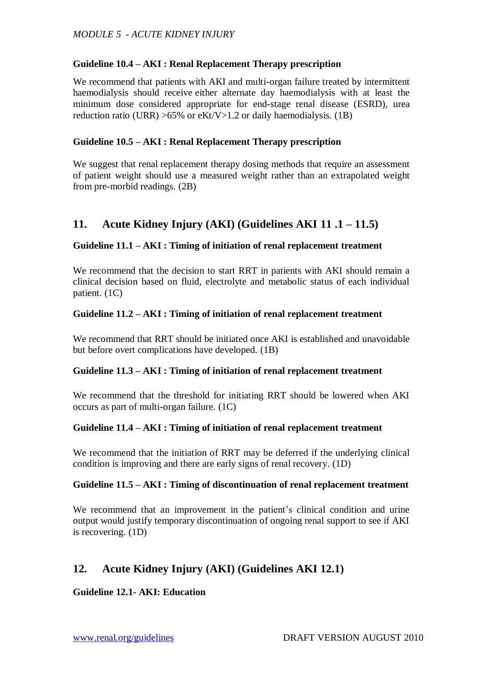# **Guideline 10.4 – AKI : Renal Replacement Therapy prescription**

We recommend that patients with AKI and multi-organ failure treated by intermittent haemodialysis should receive either alternate day haemodialysis with at least the minimum dose considered appropriate for end-stage renal disease (ESRD), urea reduction ratio (URR)  $>65\%$  or eKt/V $>1.2$  or daily haemodialysis. (1B)

# **Guideline 10.5 – AKI : Renal Replacement Therapy prescription**

We suggest that renal replacement therapy dosing methods that require an assessment of patient weight should use a measured weight rather than an extrapolated weight from pre-morbid readings. (2B)

# **11. Acute Kidney Injury (AKI) (Guidelines AKI 11 .1 – 11.5)**

# **Guideline 11.1 – AKI : Timing of initiation of renal replacement treatment**

We recommend that the decision to start RRT in patients with AKI should remain a clinical decision based on fluid, electrolyte and metabolic status of each individual patient. (1C)

## **Guideline 11.2 – AKI : Timing of initiation of renal replacement treatment**

We recommend that RRT should be initiated once AKI is established and unavoidable but before overt complications have developed. (1B)

### **Guideline 11.3 – AKI : Timing of initiation of renal replacement treatment**

We recommend that the threshold for initiating RRT should be lowered when AKI occurs as part of multi-organ failure. (1C)

### **Guideline 11.4 – AKI : Timing of initiation of renal replacement treatment**

We recommend that the initiation of RRT may be deferred if the underlying clinical condition is improving and there are early signs of renal recovery. (1D)

### **Guideline 11.5 – AKI : Timing of discontinuation of renal replacement treatment**

We recommend that an improvement in the patient's clinical condition and urine output would justify temporary discontinuation of ongoing renal support to see if AKI is recovering. (1D)

# **12. Acute Kidney Injury (AKI) (Guidelines AKI 12.1)**

# **Guideline 12.1- AKI: Education**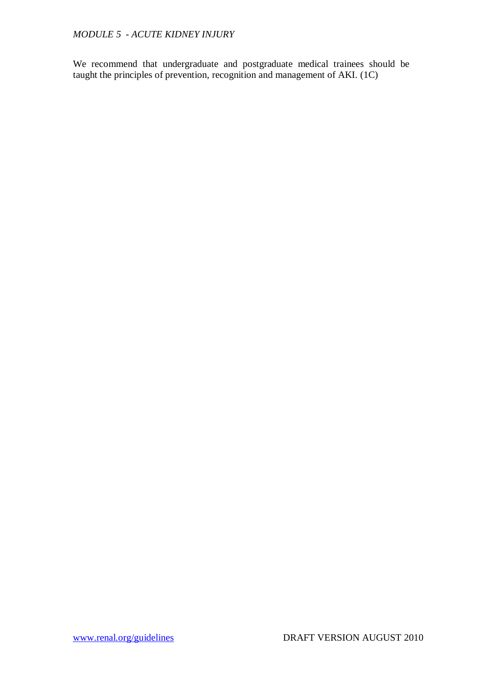We recommend that undergraduate and postgraduate medical trainees should be taught the principles of prevention, recognition and management of AKI. (1C)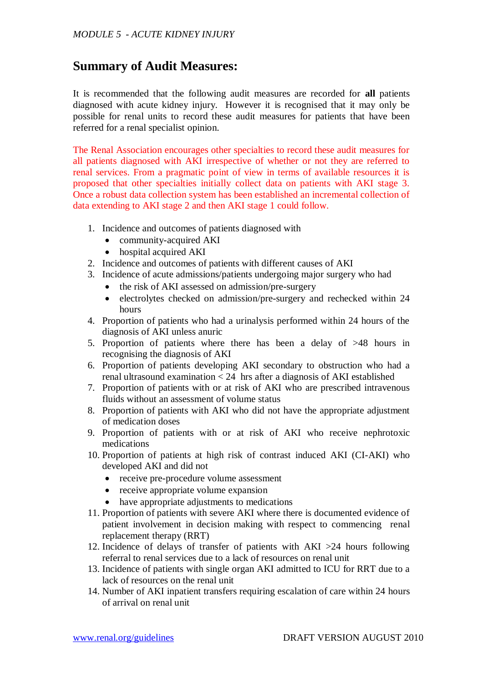# **Summary of Audit Measures:**

It is recommended that the following audit measures are recorded for **all** patients diagnosed with acute kidney injury. However it is recognised that it may only be possible for renal units to record these audit measures for patients that have been referred for a renal specialist opinion.

The Renal Association encourages other specialties to record these audit measures for all patients diagnosed with AKI irrespective of whether or not they are referred to renal services. From a pragmatic point of view in terms of available resources it is proposed that other specialties initially collect data on patients with AKI stage 3. Once a robust data collection system has been established an incremental collection of data extending to AKI stage 2 and then AKI stage 1 could follow.

- 1. Incidence and outcomes of patients diagnosed with
	- community-acquired AKI
	- hospital acquired AKI
- 2. Incidence and outcomes of patients with different causes of AKI
- 3. Incidence of acute admissions/patients undergoing major surgery who had
	- the risk of AKI assessed on admission/pre-surgery
	- electrolytes checked on admission/pre-surgery and rechecked within 24 hours
- 4. Proportion of patients who had a urinalysis performed within 24 hours of the diagnosis of AKI unless anuric
- 5. Proportion of patients where there has been a delay of >48 hours in recognising the diagnosis of AKI
- 6. Proportion of patients developing AKI secondary to obstruction who had a renal ultrasound examination < 24 hrs after a diagnosis of AKI established
- 7. Proportion of patients with or at risk of AKI who are prescribed intravenous fluids without an assessment of volume status
- 8. Proportion of patients with AKI who did not have the appropriate adjustment of medication doses
- 9. Proportion of patients with or at risk of AKI who receive nephrotoxic medications
- 10. Proportion of patients at high risk of contrast induced AKI (CI-AKI) who developed AKI and did not
	- receive pre-procedure volume assessment
	- receive appropriate volume expansion
	- have appropriate adjustments to medications
- 11. Proportion of patients with severe AKI where there is documented evidence of patient involvement in decision making with respect to commencing renal replacement therapy (RRT)
- 12. Incidence of delays of transfer of patients with AKI >24 hours following referral to renal services due to a lack of resources on renal unit
- 13. Incidence of patients with single organ AKI admitted to ICU for RRT due to a lack of resources on the renal unit
- 14. Number of AKI inpatient transfers requiring escalation of care within 24 hours of arrival on renal unit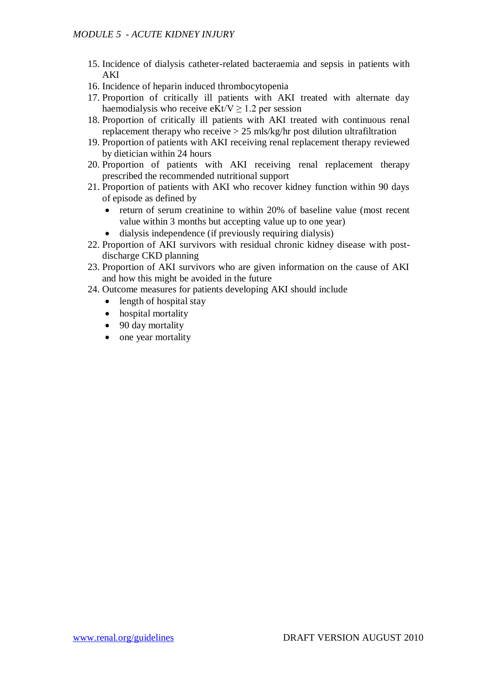- 15. Incidence of dialysis catheter-related bacteraemia and sepsis in patients with AKI
- 16. Incidence of heparin induced thrombocytopenia
- 17. Proportion of critically ill patients with AKI treated with alternate day haemodialysis who receive eKt/V  $\geq$  1.2 per session
- 18. Proportion of critically ill patients with AKI treated with continuous renal replacement therapy who receive  $> 25$  mls/kg/hr post dilution ultrafiltration
- 19. Proportion of patients with AKI receiving renal replacement therapy reviewed by dietician within 24 hours
- 20. Proportion of patients with AKI receiving renal replacement therapy prescribed the recommended nutritional support
- 21. Proportion of patients with AKI who recover kidney function within 90 days of episode as defined by
	- return of serum creatinine to within 20% of baseline value (most recent value within 3 months but accepting value up to one year)
	- dialysis independence (if previously requiring dialysis)
- 22. Proportion of AKI survivors with residual chronic kidney disease with postdischarge CKD planning
- 23. Proportion of AKI survivors who are given information on the cause of AKI and how this might be avoided in the future
- 24. Outcome measures for patients developing AKI should include
	- length of hospital stay
	- hospital mortality
	- 90 day mortality
	- one year mortality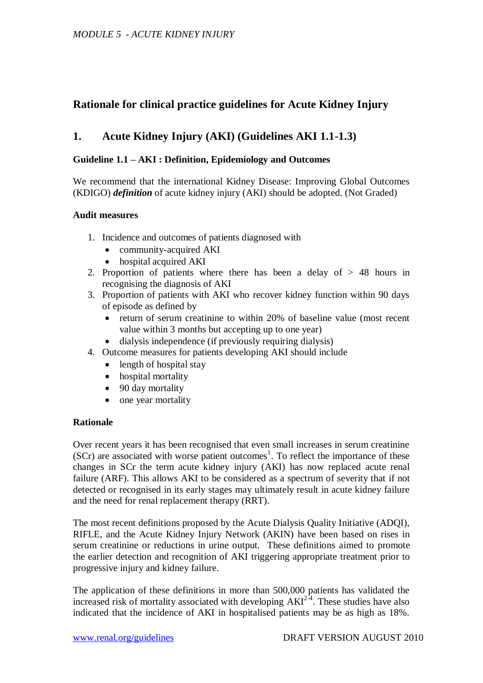# **Rationale for clinical practice guidelines for Acute Kidney Injury**

# **1. Acute Kidney Injury (AKI) (Guidelines AKI 1.1-1.3)**

# **Guideline 1.1 – AKI : Definition, Epidemiology and Outcomes**

We recommend that the international Kidney Disease: Improving Global Outcomes (KDIGO) *definition* of acute kidney injury (AKI) should be adopted. (Not Graded)

### **Audit measures**

- 1. Incidence and outcomes of patients diagnosed with
	- community-acquired AKI
	- hospital acquired AKI
- 2. Proportion of patients where there has been a delay of  $> 48$  hours in recognising the diagnosis of AKI
- 3. Proportion of patients with AKI who recover kidney function within 90 days of episode as defined by
	- return of serum creatinine to within 20% of baseline value (most recent value within 3 months but accepting up to one year)
	- dialysis independence (if previously requiring dialysis)
- 4. Outcome measures for patients developing AKI should include
	- length of hospital stay
	- hospital mortality
	- 90 day mortality
	- one year mortality

### **Rationale**

Over recent years it has been recognised that even small increases in serum creatinine  $(SCr)$  are associated with worse patient outcomes<sup>1</sup>. To reflect the importance of these changes in SCr the term acute kidney injury (AKI) has now replaced acute renal failure (ARF). This allows AKI to be considered as a spectrum of severity that if not detected or recognised in its early stages may ultimately result in acute kidney failure and the need for renal replacement therapy (RRT).

The most recent definitions proposed by the Acute Dialysis Quality Initiative (ADQI), RIFLE, and the Acute Kidney Injury Network (AKIN) have been based on rises in serum creatinine or reductions in urine output. These definitions aimed to promote the earlier detection and recognition of AKI triggering appropriate treatment prior to progressive injury and kidney failure.

The application of these definitions in more than 500,000 patients has validated the increased risk of mortality associated with developing  $AKI^{24}$ . These studies have also indicated that the incidence of AKI in hospitalised patients may be as high as 18%.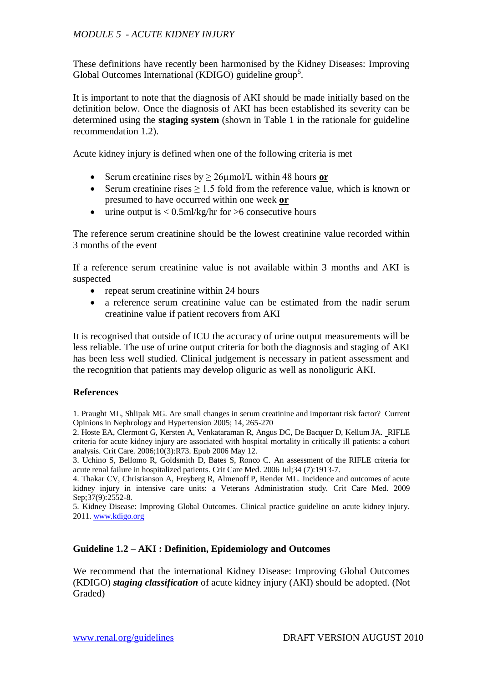These definitions have recently been harmonised by the Kidney Diseases: Improving Global Outcomes International (KDIGO) guideline group<sup>5</sup>.

It is important to note that the diagnosis of AKI should be made initially based on the definition below. Once the diagnosis of AKI has been established its severity can be determined using the **staging system** (shown in Table 1 in the rationale for guideline recommendation 1.2).

Acute kidney injury is defined when one of the following criteria is met

- Serum creatinine rises by ≥ 26µmol/L within 48 hours **or**
- Serum creatinine rises  $> 1.5$  fold from the reference value, which is known or presumed to have occurred within one week **or**
- urine output is  $\langle 0.5 \text{m} \rangle / \text{kg} / \text{hr}$  for  $> 6$  consecutive hours

The reference serum creatinine should be the lowest creatinine value recorded within 3 months of the event

If a reference serum creatinine value is not available within 3 months and AKI is suspected

- repeat serum creatinine within 24 hours
- a reference serum creatinine value can be estimated from the nadir serum creatinine value if patient recovers from AKI

It is recognised that outside of ICU the accuracy of urine output measurements will be less reliable. The use of urine output criteria for both the diagnosis and staging of AKI has been less well studied. Clinical judgement is necessary in patient assessment and the recognition that patients may develop oliguric as well as nonoliguric AKI.

### **References**

1. Praught ML, Shlipak MG. Are small changes in serum creatinine and important risk factor? Current Opinions in Nephrology and Hypertension 2005; 14, 265-270

2. Hoste EA, Clermont G, Kersten A, Venkataraman R, Angus DC, De Bacquer D, Kellum JA. [RIFLE](http://www.ncbi.nlm.nih.gov/pubmed/16696865)  criteria for acute [kidney injury are associated with hospital mortality in critically ill patients: a cohort](http://www.ncbi.nlm.nih.gov/pubmed/16696865)  [analysis.](http://www.ncbi.nlm.nih.gov/pubmed/16696865) Crit Care. 2006;10(3):R73. Epub 2006 May 12.

3. Uchino S, Bellomo R, Goldsmith D, Bates S, Ronco C. [An assessment of the RIFLE criteria for](http://www.ncbi.nlm.nih.gov/pubmed/16715038)  [acute renal failure in hospitalized patients.](http://www.ncbi.nlm.nih.gov/pubmed/16715038) Crit Care Med. 2006 Jul;34 (7):1913-7.

4. Thakar CV, Christianson A, Freyberg R, Almenoff P, Render ML. [Incidence and outcomes of acute](http://www.ncbi.nlm.nih.gov/pubmed/19602973)  [kidney injury in intensive care units: a Veterans Administration study.](http://www.ncbi.nlm.nih.gov/pubmed/19602973) Crit Care Med. 2009 Sep; 37(9): 2552-8.

5. Kidney Disease: Improving Global Outcomes. Clinical practice guideline on acute kidney injury. 2011. [www.kdigo.org](http://www.kdigo.org/)

# **Guideline 1.2 – AKI : Definition, Epidemiology and Outcomes**

We recommend that the international Kidney Disease: Improving Global Outcomes (KDIGO) *staging classification* of acute kidney injury (AKI) should be adopted. (Not Graded)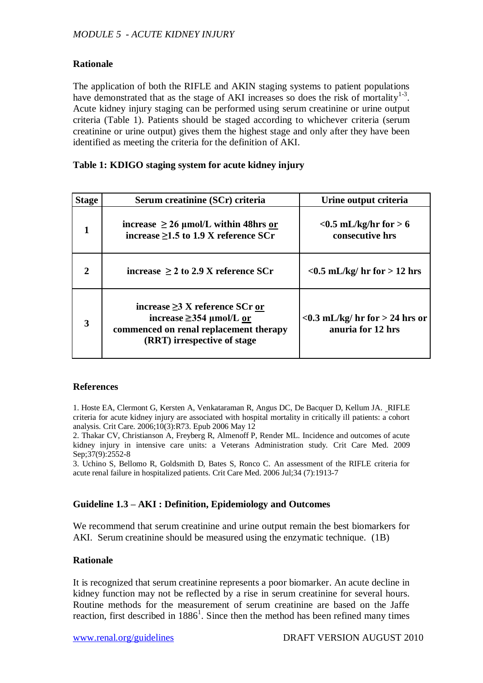# **Rationale**

The application of both the RIFLE and AKIN staging systems to patient populations have demonstrated that as the stage of AKI increases so does the risk of mortality $1-3$ . Acute kidney injury staging can be performed using serum creatinine or urine output criteria (Table 1). Patients should be staged according to whichever criteria (serum creatinine or urine output) gives them the highest stage and only after they have been identified as meeting the criteria for the definition of AKI.

# **Table 1: KDIGO staging system for acute kidney injury**

| <b>Stage</b> | Serum creatinine (SCr) criteria                                                                                                                | Urine output criteria                                  |
|--------------|------------------------------------------------------------------------------------------------------------------------------------------------|--------------------------------------------------------|
|              | increase $\geq 26$ µmol/L within 48hrs <u>or</u><br>increase $\geq$ 1.5 to 1.9 X reference SCr                                                 | $<$ 0.5 mL/kg/hr for $>$ 6<br>consecutive hrs          |
| $\mathbf{2}$ | increase $\geq$ 2 to 2.9 X reference SCr                                                                                                       | $<$ 0.5 mL/kg/ hr for > 12 hrs                         |
| 3            | increase $\geq$ 3 X reference SCr or<br>increase $\geq$ 354 µmol/L or<br>commenced on renal replacement therapy<br>(RRT) irrespective of stage | $<$ 0.3 mL/kg/ hr for > 24 hrs or<br>anuria for 12 hrs |

#### **References**

1. Hoste EA, Clermont G, Kersten A, Venkataraman R, Angus DC, De Bacquer D, Kellum JA. [RIFLE](http://www.ncbi.nlm.nih.gov/pubmed/16696865)  [criteria for acute kidney injury are associated with hospital mortality in critically ill patients: a cohort](http://www.ncbi.nlm.nih.gov/pubmed/16696865)  [analysis.](http://www.ncbi.nlm.nih.gov/pubmed/16696865) Crit Care. 2006;10(3):R73. Epub 2006 May 12

2. Thakar CV, Christianson A, Freyberg R, Almenoff P, Render ML. [Incidence and outcomes of acute](http://www.ncbi.nlm.nih.gov/pubmed/19602973)  [kidney injury in intensive care units: a Veterans Administration study.](http://www.ncbi.nlm.nih.gov/pubmed/19602973) Crit Care Med. 2009 Sep;37(9):2552-8

3. Uchino S, Bellomo R, Goldsmith D, Bates S, Ronco C. [An assessment of the RIFLE criteria for](http://www.ncbi.nlm.nih.gov/pubmed/16715038)  [acute renal failure in hospitalized patients.](http://www.ncbi.nlm.nih.gov/pubmed/16715038) Crit Care Med. 2006 Jul;34 (7):1913-7

### **Guideline 1.3 – AKI : Definition, Epidemiology and Outcomes**

We recommend that serum creatinine and urine output remain the best biomarkers for AKI. Serum creatinine should be measured using the enzymatic technique. (1B)

### **Rationale**

It is recognized that serum creatinine represents a poor biomarker. An acute decline in kidney function may not be reflected by a rise in serum creatinine for several hours. Routine methods for the measurement of serum creatinine are based on the Jaffe reaction, first described in  $1886^1$ . Since then the method has been refined many times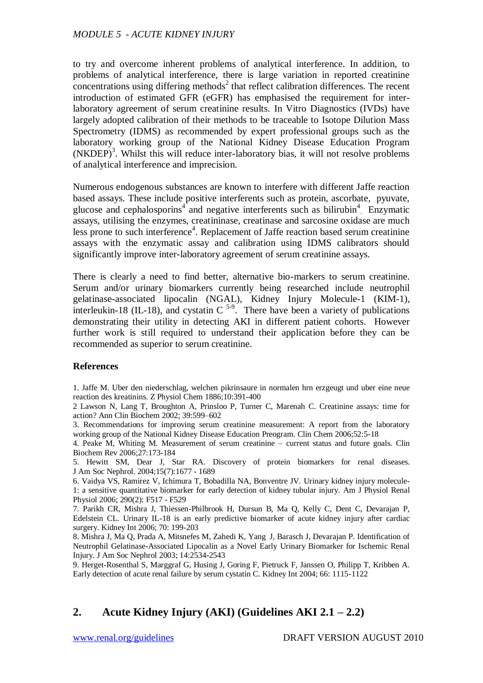to try and overcome inherent problems of analytical interference. In addition, to problems of analytical interference, there is large variation in reported creatinine concentrations using differing methods<sup>2</sup> that reflect calibration differences. The recent introduction of estimated GFR (eGFR) has emphasised the requirement for interlaboratory agreement of serum creatinine results. In Vitro Diagnostics (IVDs) have largely adopted calibration of their methods to be traceable to Isotope Dilution Mass Spectrometry (IDMS) as recommended by expert professional groups such as the laboratory working group of the National Kidney Disease Education Program  $(NKDEP)^3$ . Whilst this will reduce inter-laboratory bias, it will not resolve problems of analytical interference and imprecision.

Numerous endogenous substances are known to interfere with different Jaffe reaction based assays. These include positive interferents such as protein, ascorbate, pyuvate, glucose and cephalosporins<sup>4</sup> and negative interferents such as bilirubin<sup>4</sup> Enzymatic assays, utilising the enzymes, creatininase, creatinase and sarcosine oxidase are much less prone to such interference<sup>4</sup>. Replacement of Jaffe reaction based serum creatinine assays with the enzymatic assay and calibration using IDMS calibrators should significantly improve inter-laboratory agreement of serum creatinine assays.

There is clearly a need to find better, alternative bio-markers to serum creatinine. Serum and/or urinary biomarkers currently being researched include neutrophil gelatinase-associated lipocalin (NGAL), Kidney Injury Molecule-1 (KIM-1), interleukin-18 (IL-18), and cystatin C<sup>5-9</sup>. There have been a variety of publications demonstrating their utility in detecting AKI in different patient cohorts. However further work is still required to understand their application before they can be recommended as superior to serum creatinine.

### **References**

1. Jaffe M. Uber den niederschlag, welchen pikrinsaure in normalen hrn erzgeugt und uber eine neue reaction des kreatinins. Z Physiol Chem 1886;10:391-400

2 Lawson N, Lang T, Broughton A, Prinsloo P, Turner C, Marenah C. Creatinine assays: time for action? Ann Clin Biochem 2002; 39:599–602

3. Recommendations for improving serum creatinine measurement: A report from the laboratory working group of the National Kidney Disease Education Preogram. Clin Chem 2006;52:5-18

4. Peake M, Whiting M. Measurement of serum creatinine – current status and future goals. Clin Biochem Rev 2006;27:173-184

5. Hewitt SM, Dear J, Star RA. Discovery of protein biomarkers for renal diseases. J Am Soc Nephrol. 2004;15(7):1677 - 1689

6. Vaidya VS, Ramirez V, Ichimura T, Bobadilla NA, Bonventre JV. Urinary kidney injury molecule-1: a sensitive quantitative biomarker for early detection of kidney tubular injury. Am J Physiol Renal Physiol 2006; 290(2): F517 - F529

7. Parikh CR, Mishra J, Thiessen-Philbrook H, Dursun B, Ma Q, Kelly C, Dent C, Devarajan P, Edelstein CL. Urinary IL-18 is an early predictive biomarker of acute kidney injury after cardiac surgery. Kidney Int 2006; 70: 199-203

8. Mishra J, Ma Q, Prada A, Mitsnefes M, Zahedi K, Yang J, Barasch J, Devarajan P. Identification of Neutrophil Gelatinase-Associated Lipocalin as a Novel Early Urinary Biomarker for Ischemic Renal Injury. J Am Soc Nephrol 2003; 14:2534-2543

9. Herget-Rosenthal S, Marggraf G, Husing J, Goring F, Pietruck F, Janssen O, Philipp T, Kribben A. Early detection of acute renal failure by serum cystatin C. Kidney Int 2004; 66: 1115-1122

# **2. Acute Kidney Injury (AKI) (Guidelines AKI 2.1 – 2.2)**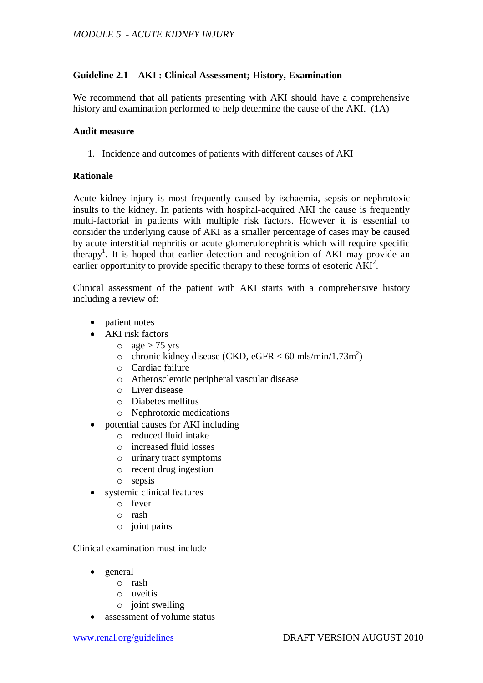# **Guideline 2.1 – AKI : Clinical Assessment; History, Examination**

We recommend that all patients presenting with AKI should have a comprehensive history and examination performed to help determine the cause of the AKI. (1A)

#### **Audit measure**

1. Incidence and outcomes of patients with different causes of AKI

## **Rationale**

Acute kidney injury is most frequently caused by ischaemia, sepsis or nephrotoxic insults to the kidney. In patients with hospital-acquired AKI the cause is frequently multi-factorial in patients with multiple risk factors. However it is essential to consider the underlying cause of AKI as a smaller percentage of cases may be caused by acute interstitial nephritis or acute glomerulonephritis which will require specific therapy<sup>1</sup>. It is hoped that earlier detection and recognition of AKI may provide an earlier opportunity to provide specific therapy to these forms of esoteric AKI<sup>2</sup>.

Clinical assessment of the patient with AKI starts with a comprehensive history including a review of:

- patient notes
- AKI risk factors
	- $\circ$  age > 75 yrs
	- $\circ$  chronic kidney disease (CKD, eGFR < 60 mls/min/1.73m<sup>2</sup>)
	- o Cardiac failure
	- o Atherosclerotic peripheral vascular disease
	- o Liver disease
	- o Diabetes mellitus
	- o Nephrotoxic medications
- potential causes for AKI including
	- o reduced fluid intake
	- o increased fluid losses
	- o urinary tract symptoms
	- o recent drug ingestion
	- o sepsis
- systemic clinical features
	- o fever
	- o rash
	- o joint pains

Clinical examination must include

- general
	- o rash
	- o uveitis
	- o joint swelling
- assessment of volume status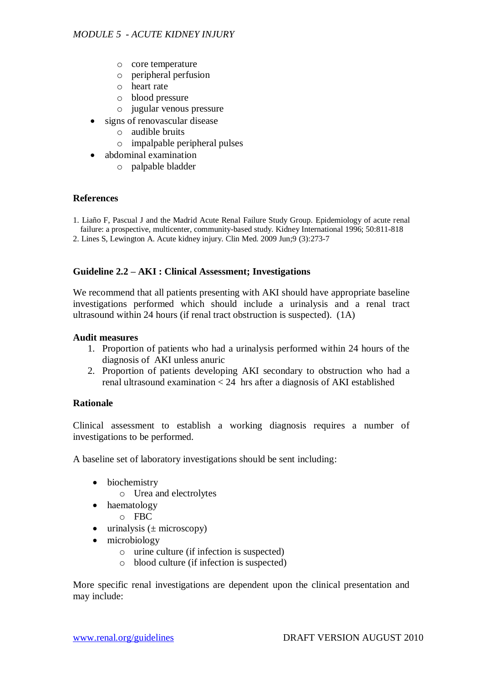- o core temperature
- o peripheral perfusion
- o heart rate
- o blood pressure
- o jugular venous pressure
- signs of renovascular disease
	- o audible bruits
	- o impalpable peripheral pulses
- abdominal examination
	- o palpable bladder

### **References**

1. Liaño F, Pascual J and the Madrid Acute Renal Failure Study Group. Epidemiology of acute renal failure: a prospective, multicenter, community-based study. Kidney International 1996; 50:811-818

2. Lines S, Lewington A. Acute kidney injury. Clin Med. 2009 Jun;9 (3):273-7

### **Guideline 2.2 – AKI : Clinical Assessment; Investigations**

We recommend that all patients presenting with AKI should have appropriate baseline investigations performed which should include a urinalysis and a renal tract ultrasound within 24 hours (if renal tract obstruction is suspected). (1A)

#### **Audit measures**

- 1. Proportion of patients who had a urinalysis performed within 24 hours of the diagnosis of AKI unless anuric
- 2. Proportion of patients developing AKI secondary to obstruction who had a renal ultrasound examination < 24 hrs after a diagnosis of AKI established

### **Rationale**

Clinical assessment to establish a working diagnosis requires a number of investigations to be performed.

A baseline set of laboratory investigations should be sent including:

- biochemistry
	- o Urea and electrolytes
- haematology
	- o FBC
- $\bullet$  urinalysis ( $\pm$  microscopy)
- microbiology
	- o urine culture (if infection is suspected)
	- o blood culture (if infection is suspected)

More specific renal investigations are dependent upon the clinical presentation and may include: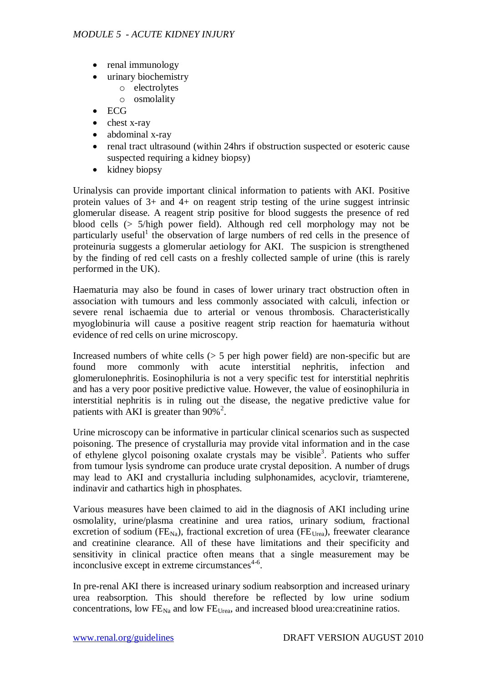- renal immunology
- urinary biochemistry
	- o electrolytes
	- o osmolality
- ECG
- chest x-ray
- abdominal x-ray
- renal tract ultrasound (within 24hrs if obstruction suspected or esoteric cause suspected requiring a kidney biopsy)
- kidney biopsy

Urinalysis can provide important clinical information to patients with AKI. Positive protein values of 3+ and 4+ on reagent strip testing of the urine suggest intrinsic glomerular disease. A reagent strip positive for blood suggests the presence of red blood cells (> 5/high power field). Although red cell morphology may not be particularly useful<sup>1</sup> the observation of large numbers of red cells in the presence of proteinuria suggests a glomerular aetiology for AKI. The suspicion is strengthened by the finding of red cell casts on a freshly collected sample of urine (this is rarely performed in the UK).

Haematuria may also be found in cases of lower urinary tract obstruction often in association with tumours and less commonly associated with calculi, infection or severe renal ischaemia due to arterial or venous thrombosis. Characteristically myoglobinuria will cause a positive reagent strip reaction for haematuria without evidence of red cells on urine microscopy.

Increased numbers of white cells (> 5 per high power field) are non-specific but are found more commonly with acute interstitial nephritis, infection and glomerulonephritis. Eosinophiluria is not a very specific test for interstitial nephritis and has a very poor positive predictive value. However, the value of eosinophiluria in interstitial nephritis is in ruling out the disease, the negative predictive value for patients with AKI is greater than  $90\%$ <sup>2</sup>.

Urine microscopy can be informative in particular clinical scenarios such as suspected poisoning. The presence of crystalluria may provide vital information and in the case of ethylene glycol poisoning oxalate crystals may be visible<sup>3</sup>. Patients who suffer from tumour lysis syndrome can produce urate crystal deposition. A number of drugs may lead to AKI and crystalluria including sulphonamides, acyclovir, triamterene, indinavir and cathartics high in phosphates.

Various measures have been claimed to aid in the diagnosis of AKI including urine osmolality, urine/plasma creatinine and urea ratios, urinary sodium, fractional excretion of sodium ( $FE_{N_a}$ ), fractional excretion of urea ( $FE_{Urea}$ ), freewater clearance and creatinine clearance. All of these have limitations and their specificity and sensitivity in clinical practice often means that a single measurement may be inconclusive except in extreme circumstances $4-6$ .

In pre-renal AKI there is increased urinary sodium reabsorption and increased urinary urea reabsorption. This should therefore be reflected by low urine sodium concentrations, low  $FE_{Na}$  and low  $FE_{Urea}$ , and increased blood urea:creatinine ratios.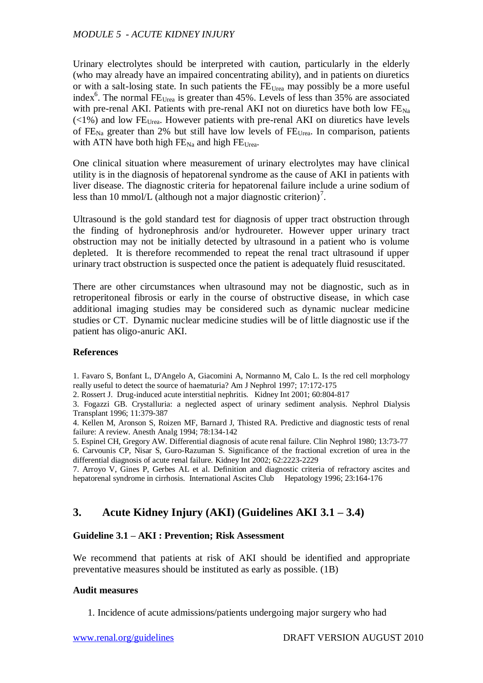Urinary electrolytes should be interpreted with caution, particularly in the elderly (who may already have an impaired concentrating ability), and in patients on diuretics or with a salt-losing state. In such patients the  $FE<sub>Urea</sub>$  may possibly be a more useful index<sup>6</sup>. The normal FE<sub>Urea</sub> is greater than 45%. Levels of less than 35% are associated with pre-renal AKI. Patients with pre-renal AKI not on diuretics have both low  $FE_{Na}$  $(\langle 1\% \rangle)$  and low FE<sub>Urea</sub>. However patients with pre-renal AKI on diuretics have levels of  $FE_{Na}$  greater than 2% but still have low levels of  $FE_{Urea}$ . In comparison, patients with ATN have both high  $FE_{Na}$  and high  $FE_{Urea}$ .

One clinical situation where measurement of urinary electrolytes may have clinical utility is in the diagnosis of hepatorenal syndrome as the cause of AKI in patients with liver disease. The diagnostic criteria for hepatorenal failure include a urine sodium of less than 10 mmol/L (although not a major diagnostic criterion)<sup>7</sup>.

Ultrasound is the gold standard test for diagnosis of upper tract obstruction through the finding of hydronephrosis and/or hydroureter. However upper urinary tract obstruction may not be initially detected by ultrasound in a patient who is volume depleted. It is therefore recommended to repeat the renal tract ultrasound if upper urinary tract obstruction is suspected once the patient is adequately fluid resuscitated.

There are other circumstances when ultrasound may not be diagnostic, such as in retroperitoneal fibrosis or early in the course of obstructive disease, in which case additional imaging studies may be considered such as dynamic nuclear medicine studies or CT. Dynamic nuclear medicine studies will be of little diagnostic use if the patient has oligo-anuric AKI.

### **References**

1. Favaro S, Bonfant L, D'Angelo A, Giacomini A, Normanno M, Calo L. Is the red cell morphology really useful to detect the source of haematuria? Am J Nephrol 1997; 17:172-175

2. Rossert J. Drug-induced acute interstitial nephritis. Kidney Int 2001; 60:804-817

3. Fogazzi GB. Crystalluria: a neglected aspect of urinary sediment analysis. Nephrol Dialysis Transplant 1996; 11:379-387

4. Kellen M, Aronson S, Roizen MF, Barnard J, Thisted RA. Predictive and diagnostic tests of renal failure: A review. Anesth Analg 1994; 78:134-142

5. Espinel CH, Gregory AW. Differential diagnosis of acute renal failure. Clin Nephrol 1980; 13:73-77 6. Carvounis CP, Nisar S, Guro-Razuman S. Significance of the fractional excretion of urea in the differential diagnosis of acute renal failure. Kidney Int 2002; 62:2223-2229

7. Arroyo V, Gines P, Gerbes AL et al. Definition and diagnostic criteria of refractory ascites and hepatorenal syndrome in cirrhosis. International Ascites Club Hepatology 1996; 23:164-176

# **3. Acute Kidney Injury (AKI) (Guidelines AKI 3.1 – 3.4)**

### **Guideline 3.1 – AKI : Prevention; Risk Assessment**

We recommend that patients at risk of AKI should be identified and appropriate preventative measures should be instituted as early as possible. (1B)

### **Audit measures**

1. Incidence of acute admissions/patients undergoing major surgery who had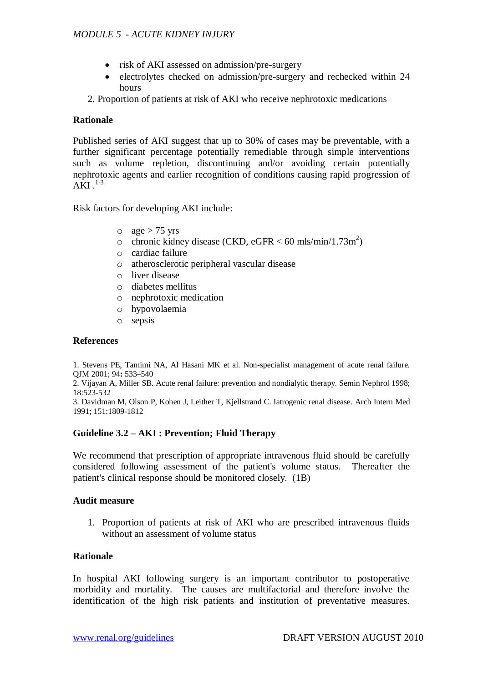- risk of AKI assessed on admission/pre-surgery
- electrolytes checked on admission/pre-surgery and rechecked within 24 hours
- 2. Proportion of patients at risk of AKI who receive nephrotoxic medications

### **Rationale**

Published series of AKI suggest that up to 30% of cases may be preventable, with a further significant percentage potentially remediable through simple interventions such as volume repletion, discontinuing and/or avoiding certain potentially nephrotoxic agents and earlier recognition of conditions causing rapid progression of  $AKI$ <sup>1-3</sup>

Risk factors for developing AKI include:

- $\circ$  age > 75 yrs
- $\circ$  chronic kidney disease (CKD, eGFR < 60 mls/min/1.73m<sup>2</sup>)
- o cardiac failure
- o atherosclerotic peripheral vascular disease
- o liver disease
- o diabetes mellitus
- o nephrotoxic medication
- o hypovolaemia
- o sepsis

### **References**

1. Stevens PE, Tamimi NA, Al Hasani MK et al. Non-specialist management of acute renal failure. QJM 2001; 94**:** 533–540

2. Vijayan A, Miller SB. Acute renal failure: prevention and nondialytic therapy. Semin Nephrol 1998; 18:523-532

3. Davidman M, Olson P, Kohen J, Leither T, Kjellstrand C. Iatrogenic renal disease. Arch Intern Med 1991; 151:1809-1812

# **Guideline 3.2 – AKI : Prevention; Fluid Therapy**

We recommend that prescription of appropriate intravenous fluid should be carefully considered following assessment of the patient's volume status. Thereafter the patient's clinical response should be monitored closely. (1B)

### **Audit measure**

1. Proportion of patients at risk of AKI who are prescribed intravenous fluids without an assessment of volume status

## **Rationale**

In hospital AKI following surgery is an important contributor to postoperative morbidity and mortality. The causes are multifactorial and therefore involve the identification of the high risk patients and institution of preventative measures.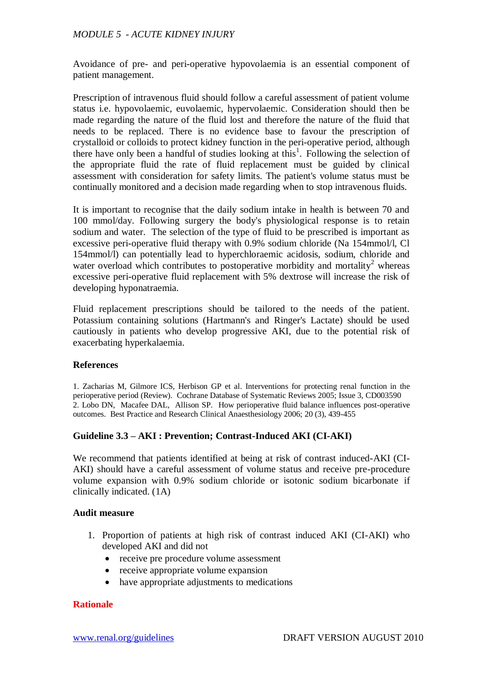Avoidance of pre- and peri-operative hypovolaemia is an essential component of patient management.

Prescription of intravenous fluid should follow a careful assessment of patient volume status i.e. hypovolaemic, euvolaemic, hypervolaemic. Consideration should then be made regarding the nature of the fluid lost and therefore the nature of the fluid that needs to be replaced. There is no evidence base to favour the prescription of crystalloid or colloids to protect kidney function in the peri-operative period, although there have only been a handful of studies looking at this<sup>1</sup>. Following the selection of the appropriate fluid the rate of fluid replacement must be guided by clinical assessment with consideration for safety limits. The patient's volume status must be continually monitored and a decision made regarding when to stop intravenous fluids.

It is important to recognise that the daily sodium intake in health is between 70 and 100 mmol/day. Following surgery the body's physiological response is to retain sodium and water. The selection of the type of fluid to be prescribed is important as excessive peri-operative fluid therapy with 0.9% sodium chloride (Na 154mmol/l, Cl 154mmol/l) can potentially lead to hyperchloraemic acidosis, sodium, chloride and water overload which contributes to postoperative morbidity and mortality<sup>2</sup> whereas excessive peri-operative fluid replacement with 5% dextrose will increase the risk of developing hyponatraemia.

Fluid replacement prescriptions should be tailored to the needs of the patient. Potassium containing solutions (Hartmann's and Ringer's Lactate) should be used cautiously in patients who develop progressive AKI, due to the potential risk of exacerbating hyperkalaemia.

### **References**

1. Zacharias M, Gilmore ICS, Herbison GP et al. Interventions for protecting renal function in the perioperative period (Review). Cochrane Database of Systematic Reviews 2005; Issue 3, CD003590 2. Lobo DN, Macafee DAL, Allison SP. How perioperative fluid balance influences post-operative outcomes. Best Practice and Research Clinical Anaesthesiology 2006; 20 (3), 439-455

### **Guideline 3.3 – AKI : Prevention; Contrast-Induced AKI (CI-AKI)**

We recommend that patients identified at being at risk of contrast induced-AKI (CI-AKI) should have a careful assessment of volume status and receive pre-procedure volume expansion with 0.9% sodium chloride or isotonic sodium bicarbonate if clinically indicated. (1A)

#### **Audit measure**

- 1. Proportion of patients at high risk of contrast induced AKI (CI-AKI) who developed AKI and did not
	- receive pre procedure volume assessment
	- receive appropriate volume expansion
	- have appropriate adjustments to medications

### **Rationale**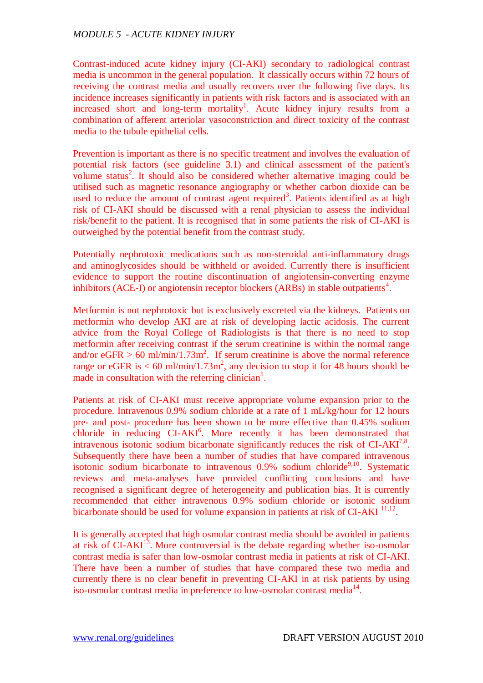Contrast-induced acute kidney injury (CI-AKI) secondary to radiological contrast media is uncommon in the general population. It classically occurs within 72 hours of receiving the contrast media and usually recovers over the following five days. Its incidence increases significantly in patients with risk factors and is associated with an increased short and long-term mortality<sup>1</sup>. Acute kidney injury results from a combination of afferent arteriolar vasoconstriction and direct toxicity of the contrast media to the tubule epithelial cells.

Prevention is important as there is no specific treatment and involves the evaluation of potential risk factors (see guideline 3.1) and clinical assessment of the patient's volume status<sup>2</sup>. It should also be considered whether alternative imaging could be utilised such as magnetic resonance angiography or whether carbon dioxide can be used to reduce the amount of contrast agent required<sup>3</sup>. Patients identified as at high risk of CI-AKI should be discussed with a renal physician to assess the individual risk/benefit to the patient. It is recognised that in some patients the risk of CI-AKI is outweighed by the potential benefit from the contrast study.

Potentially nephrotoxic medications such as non-steroidal anti-inflammatory drugs and aminoglycosides should be withheld or avoided. Currently there is insufficient evidence to support the routine discontinuation of angiotensin-converting enzyme inhibitors (ACE-I) or angiotensin receptor blockers (ARBs) in stable outpatients<sup>4</sup>.

Metformin is not nephrotoxic but is exclusively excreted via the kidneys. Patients on metformin who develop AKI are at risk of developing lactic acidosis. The current advice from the Royal College of Radiologists is that there is no need to stop metformin after receiving contrast if the serum creatinine is within the normal range and/or  $eGFR > 60$  ml/min/1.73m<sup>2</sup>. If serum creatinine is above the normal reference range or eGFR is  $< 60$  ml/min/1.73m<sup>2</sup>, any decision to stop it for 48 hours should be made in consultation with the referring clinician<sup>5</sup>.

Patients at risk of CI-AKI must receive appropriate volume expansion prior to the procedure. Intravenous 0.9% sodium chloride at a rate of 1 mL/kg/hour for 12 hours pre- and post- procedure has been shown to be more effective than 0.45% sodium chloride in reducing CI-AKI<sup>6</sup>. More recently it has been demonstrated that intravenous isotonic sodium bicarbonate significantly reduces the risk of  $CI-AKI^{7,8}$ . Subsequently there have been a number of studies that have compared intravenous isotonic sodium bicarbonate to intravenous  $0.9\%$  sodium chloride<sup>9,10</sup>. Systematic reviews and meta-analyses have provided conflicting conclusions and have recognised a significant degree of heterogeneity and publication bias. It is currently recommended that either intravenous 0.9% sodium chloride or isotonic sodium bicarbonate should be used for volume expansion in patients at risk of  $CI-AKI$ <sup>11,12</sup>.

It is generally accepted that high osmolar contrast media should be avoided in patients at risk of  $CI-AKI<sup>13</sup>$ . More controversial is the debate regarding whether iso-osmolar contrast media is safer than low-osmolar contrast media in patients at risk of CI-AKI. There have been a number of studies that have compared these two media and currently there is no clear benefit in preventing CI-AKI in at risk patients by using iso-osmolar contrast media in preference to low-osmolar contrast media<sup>14</sup>.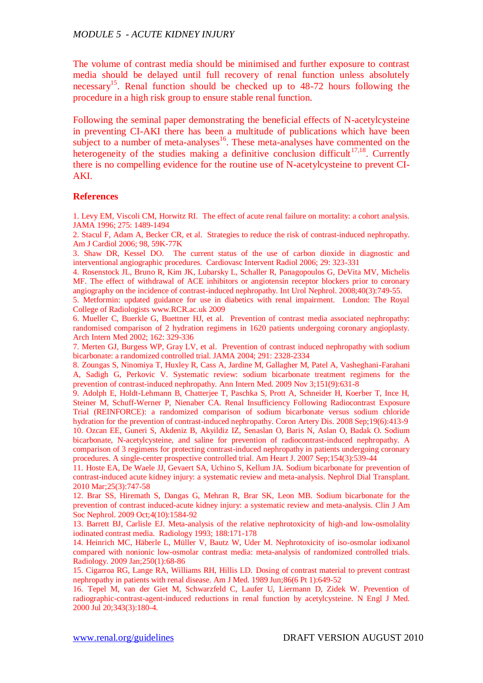The volume of contrast media should be minimised and further exposure to contrast media should be delayed until full recovery of renal function unless absolutely necessary<sup>15</sup>. Renal function should be checked up to  $48-72$  hours following the procedure in a high risk group to ensure stable renal function.

Following the seminal paper demonstrating the beneficial effects of N-acetylcysteine in preventing CI-AKI there has been a multitude of publications which have been subject to a number of meta-analyses<sup>16</sup>. These meta-analyses have commented on the heterogeneity of the studies making a definitive conclusion difficult<sup>17,18</sup>. Currently there is no compelling evidence for the routine use of N-acetylcysteine to prevent CI-AKI.

#### **References**

1. Levy EM, Viscoli CM, Horwitz RI. The effect of acute renal failure on mortality: a cohort analysis. JAMA 1996; 275: 1489-1494

2. Stacul F, Adam A, Becker CR, et al. Strategies to reduce the risk of contrast-induced nephropathy. Am J Cardiol 2006; 98, 59K-77K

3. Shaw DR, Kessel DO. The current status of the use of carbon dioxide in diagnostic and interventional angiographic procedures. Cardiovasc Intervent Radiol 2006; 29: 323-331

4. Rosenstock JL, Bruno R, Kim JK, Lubarsky L, Schaller R, Panagopoulos G, DeVita MV, Michelis MF. The effect of withdrawal of ACE inhibitors or angiotensin receptor blockers prior to coronary angiography on the incidence of contrast-induced nephropathy. Int Urol Nephrol. 2008;40(3):749-55.

5. Metformin: updated guidance for use in diabetics with renal impairment. London: The Royal College of Radiologists www.RCR.ac.uk 2009

6. Mueller C, Buerkle G, Buettner HJ, et al. Prevention of contrast media associated nephropathy: randomised comparison of 2 hydration regimens in 1620 patients undergoing coronary angioplasty. Arch Intern Med 2002; 162: 329-336

7. Merten GJ, Burgess WP, Gray LV, et al. Prevention of contrast induced nephropathy with sodium bicarbonate: a randomized controlled trial. JAMA 2004; 291: 2328-2334

8. Zoungas S, Ninomiya T, Huxley R, Cass A, Jardine M, Gallagher M, Patel A, Vasheghani-Farahani A, Sadigh G, Perkovic V. Systematic review: sodium bicarbonate treatment regimens for the prevention of contrast-induced nephropathy. Ann Intern Med. 2009 Nov 3;151(9):631-8

9. Adolph E, Holdt-Lehmann B, Chatterjee T, Paschka S, Prott A, Schneider H, Koerber T, Ince H, Steiner M, Schuff-Werner P, Nienaber CA. Renal Insufficiency Following Radiocontrast Exposure Trial (REINFORCE): a randomized comparison of sodium bicarbonate versus sodium chloride hydration for the prevention of contrast-induced nephropathy. Coron Artery Dis. 2008 Sep;19(6):413-9 10. Ozcan EE, Guneri S, Akdeniz B, Akyildiz IZ, Senaslan O, Baris N, Aslan O, Badak O. Sodium bicarbonate, N-acetylcysteine, and saline for prevention of radiocontrast-induced nephropathy. A comparison of 3 regimens for protecting contrast-induced nephropathy in patients undergoing coronary procedures. A single-center prospective controlled trial. Am Heart J. 2007 Sep;154(3):539-44

11. Hoste EA, De Waele JJ, Gevaert SA, Uchino S, Kellum JA. Sodium bicarbonate for prevention of contrast-induced acute kidney injury: a systematic review and meta-analysis. Nephrol Dial Transplant. 2010 Mar;25(3):747-58

12. Brar SS, Hiremath S, Dangas G, Mehran R, Brar SK, Leon MB. Sodium bicarbonate for the prevention of contrast induced-acute kidney injury: a systematic review and meta-analysis. Clin J Am Soc Nephrol. 2009 Oct;4(10):1584-92

13. Barrett BJ, Carlisle EJ. Meta-analysis of the relative nephrotoxicity of high-and low-osmolality iodinated contrast media. Radiology 1993; 188:171-178

14. Heinrich MC, Häberle L, Müller V, Bautz W, Uder M. Nephrotoxicity of iso-osmolar iodixanol compared with nonionic low-osmolar contrast media: meta-analysis of randomized controlled trials. Radiology. 2009 Jan;250(1):68-86

15. Cigarroa RG, Lange RA, Williams RH, Hillis LD. Dosing of contrast material to prevent contrast nephropathy in patients with renal disease. Am J Med. 1989 Jun;86(6 Pt 1):649-52

16. Tepel M, van der Giet M, Schwarzfeld C, Laufer U, Liermann D, Zidek W. Prevention of radiographic-contrast-agent-induced reductions in renal function by acetylcysteine. N Engl J Med. 2000 Jul 20;343(3):180-4.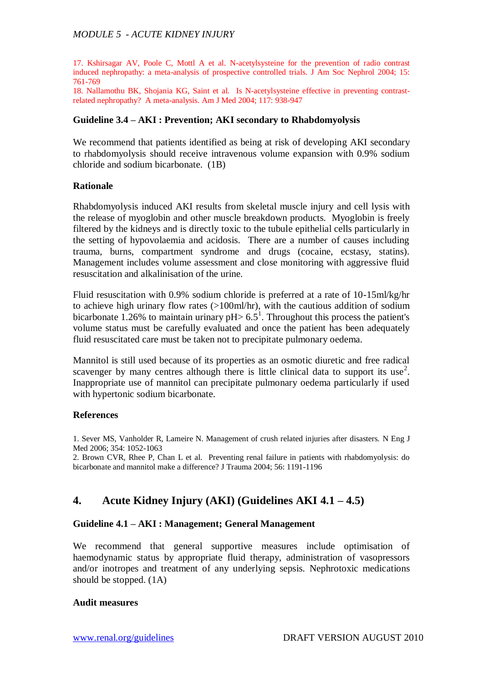17. Kshirsagar AV, Poole C, Mottl A et al. N-acetylsysteine for the prevention of radio contrast induced nephropathy: a meta-analysis of prospective controlled trials. J Am Soc Nephrol 2004; 15: 761-769

18. Nallamothu BK, Shojania KG, Saint et al. Is N-acetylsysteine effective in preventing contrastrelated nephropathy? A meta-analysis. Am J Med 2004; 117: 938-947

#### **Guideline 3.4 – AKI : Prevention; AKI secondary to Rhabdomyolysis**

We recommend that patients identified as being at risk of developing AKI secondary to rhabdomyolysis should receive intravenous volume expansion with 0.9% sodium chloride and sodium bicarbonate. (1B)

#### **Rationale**

Rhabdomyolysis induced AKI results from skeletal muscle injury and cell lysis with the release of myoglobin and other muscle breakdown products. Myoglobin is freely filtered by the kidneys and is directly toxic to the tubule epithelial cells particularly in the setting of hypovolaemia and acidosis. There are a number of causes including trauma, burns, compartment syndrome and drugs (cocaine, ecstasy, statins). Management includes volume assessment and close monitoring with aggressive fluid resuscitation and alkalinisation of the urine.

Fluid resuscitation with 0.9% sodium chloride is preferred at a rate of 10-15ml/kg/hr to achieve high urinary flow rates (>100ml/hr), with the cautious addition of sodium bicarbonate 1.26% to maintain urinary  $pH > 6.5^1$ . Throughout this process the patient's volume status must be carefully evaluated and once the patient has been adequately fluid resuscitated care must be taken not to precipitate pulmonary oedema.

Mannitol is still used because of its properties as an osmotic diuretic and free radical scavenger by many centres although there is little clinical data to support its use<sup>2</sup>. Inappropriate use of mannitol can precipitate pulmonary oedema particularly if used with hypertonic sodium bicarbonate.

#### **References**

1. Sever MS, Vanholder R, Lameire N. Management of crush related injuries after disasters. N Eng J Med 2006; 354: 1052-1063

2. Brown CVR, Rhee P, Chan L et al. Preventing renal failure in patients with rhabdomyolysis: do bicarbonate and mannitol make a difference? J Trauma 2004; 56: 1191-1196

# **4. Acute Kidney Injury (AKI) (Guidelines AKI 4.1 – 4.5)**

### **Guideline 4.1 – AKI : Management; General Management**

We recommend that general supportive measures include optimisation of haemodynamic status by appropriate fluid therapy, administration of vasopressors and/or inotropes and treatment of any underlying sepsis. Nephrotoxic medications should be stopped. (1A)

#### **Audit measures**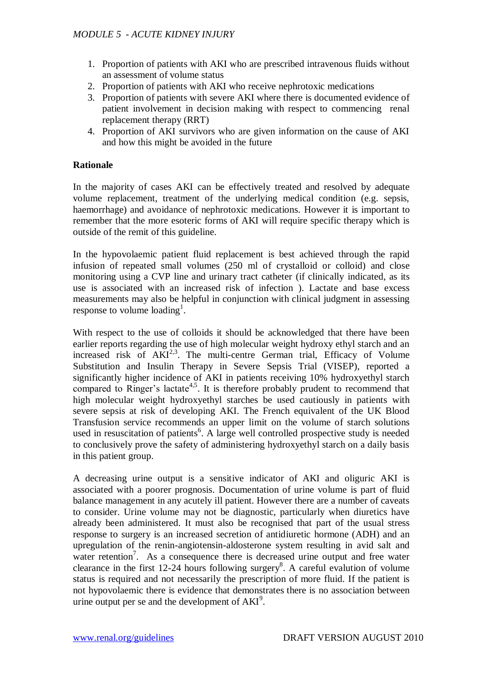- 1. Proportion of patients with AKI who are prescribed intravenous fluids without an assessment of volume status
- 2. Proportion of patients with AKI who receive nephrotoxic medications
- 3. Proportion of patients with severe AKI where there is documented evidence of patient involvement in decision making with respect to commencing renal replacement therapy (RRT)
- 4. Proportion of AKI survivors who are given information on the cause of AKI and how this might be avoided in the future

# **Rationale**

In the majority of cases AKI can be effectively treated and resolved by adequate volume replacement, treatment of the underlying medical condition (e.g. sepsis, haemorrhage) and avoidance of nephrotoxic medications. However it is important to remember that the more esoteric forms of AKI will require specific therapy which is outside of the remit of this guideline.

In the hypovolaemic patient fluid replacement is best achieved through the rapid infusion of repeated small volumes (250 ml of crystalloid or colloid) and close monitoring using a CVP line and urinary tract catheter (if clinically indicated, as its use is associated with an increased risk of infection ). Lactate and base excess measurements may also be helpful in conjunction with clinical judgment in assessing response to volume loading<sup>1</sup>.

With respect to the use of colloids it should be acknowledged that there have been earlier reports regarding the use of high molecular weight hydroxy ethyl starch and an increased risk of AKI<sup>2,3</sup>. The multi-centre German trial, Efficacy of Volume Substitution and Insulin Therapy in Severe Sepsis Trial (VISEP), reported a significantly higher incidence of AKI in patients receiving 10% hydroxyethyl starch compared to Ringer's lactate<sup>4,5</sup>. It is therefore probably prudent to recommend that high molecular weight hydroxyethyl starches be used cautiously in patients with severe sepsis at risk of developing AKI. The French equivalent of the UK Blood Transfusion service recommends an upper limit on the volume of starch solutions used in resuscitation of patients<sup>6</sup>. A large well controlled prospective study is needed to conclusively prove the safety of administering hydroxyethyl starch on a daily basis in this patient group.

A decreasing urine output is a sensitive indicator of AKI and oliguric AKI is associated with a poorer prognosis. Documentation of urine volume is part of fluid balance management in any acutely ill patient. However there are a number of caveats to consider. Urine volume may not be diagnostic, particularly when diuretics have already been administered. It must also be recognised that part of the usual stress response to surgery is an increased secretion of antidiuretic hormone (ADH) and an upregulation of the renin-angiotensin-aldosterone system resulting in avid salt and water retention<sup>7</sup>. As a consequence there is decreased urine output and free water clearance in the first  $12-24$  hours following surgery<sup>8</sup>. A careful evalution of volume status is required and not necessarily the prescription of more fluid. If the patient is not hypovolaemic there is evidence that demonstrates there is no association between urine output per se and the development of  $AKI<sup>9</sup>$ .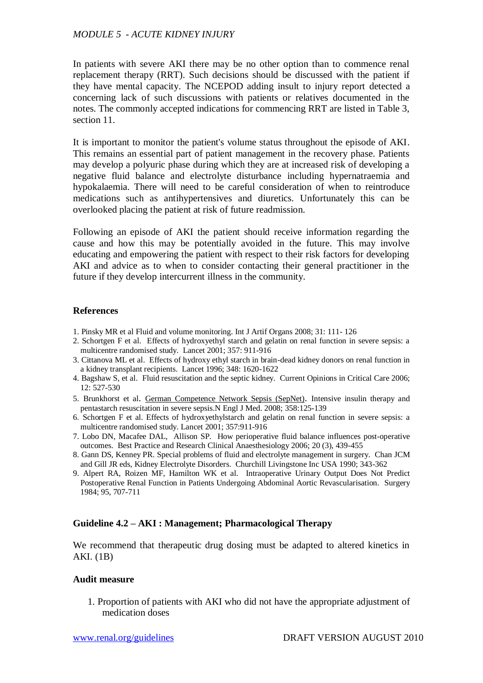In patients with severe AKI there may be no other option than to commence renal replacement therapy (RRT). Such decisions should be discussed with the patient if they have mental capacity. The NCEPOD adding insult to injury report detected a concerning lack of such discussions with patients or relatives documented in the notes. The commonly accepted indications for commencing RRT are listed in Table 3, section 11.

It is important to monitor the patient's volume status throughout the episode of AKI. This remains an essential part of patient management in the recovery phase. Patients may develop a polyuric phase during which they are at increased risk of developing a negative fluid balance and electrolyte disturbance including hypernatraemia and hypokalaemia. There will need to be careful consideration of when to reintroduce medications such as antihypertensives and diuretics. Unfortunately this can be overlooked placing the patient at risk of future readmission.

Following an episode of AKI the patient should receive information regarding the cause and how this may be potentially avoided in the future. This may involve educating and empowering the patient with respect to their risk factors for developing AKI and advice as to when to consider contacting their general practitioner in the future if they develop intercurrent illness in the community.

#### **References**

- 1. Pinsky MR et al Fluid and volume monitoring. Int J Artif Organs 2008; 31: 111- 126
- 2. Schortgen F et al. Effects of hydroxyethyl starch and gelatin on renal function in severe sepsis: a multicentre randomised study. Lancet 2001; 357: 911-916
- 3. Cittanova ML et al. Effects of hydroxy ethyl starch in brain-dead kidney donors on renal function in a kidney transplant recipients. Lancet 1996; 348: 1620-1622
- 4. Bagshaw S, et al. Fluid resuscitation and the septic kidney. Current Opinions in Critical Care 2006; 12: 527-530
- 5. Brunkhorst et al. [German Competence Network Sepsis \(SepNet\)](http://www.ncbi.nlm.nih.gov/sites/entrez?Db=pubmed&Cmd=Search&Term=%22German%20Competence%20Network%20Sepsis%20(SepNet)%22%5BCorporate%20Author%5D&itool=EntrezSystem2.PEntrez.Pubmed.Pubmed_ResultsPanel.Pubmed_DiscoveryPanel.Pubmed_RVAbstractPlus). Intensive insulin therapy and pentastarch resuscitation in severe sepsis.N Engl J Med. 2008; 358:125-139
- 6. Schortgen F et al. Effects of hydroxyethylstarch and gelatin on renal function in severe sepsis: a multicentre randomised study. Lancet 2001; 357:911-916
- 7. Lobo DN, Macafee DAL, Allison SP. How perioperative fluid balance influences post-operative outcomes. Best Practice and Research Clinical Anaesthesiology 2006; 20 (3), 439-455
- 8. Gann DS, Kenney PR. Special problems of fluid and electrolyte management in surgery. Chan JCM and Gill JR eds, Kidney Electrolyte Disorders. Churchill Livingstone Inc USA 1990; 343-362
- 9. Alpert RA, Roizen MF, Hamilton WK et al. Intraoperative Urinary Output Does Not Predict Postoperative Renal Function in Patients Undergoing Abdominal Aortic Revascularisation. Surgery 1984; 95, 707-711

### **Guideline 4.2 – AKI : Management; Pharmacological Therapy**

We recommend that therapeutic drug dosing must be adapted to altered kinetics in AKI. (1B)

#### **Audit measure**

1. Proportion of patients with AKI who did not have the appropriate adjustment of medication doses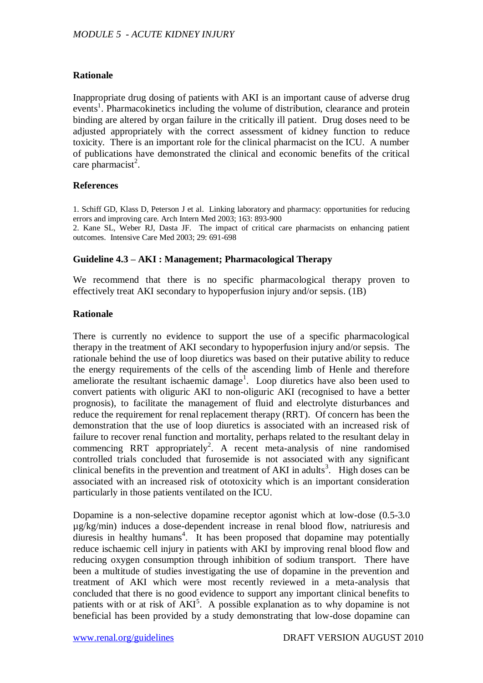### **Rationale**

Inappropriate drug dosing of patients with AKI is an important cause of adverse drug events<sup>1</sup>. Pharmacokinetics including the volume of distribution, clearance and protein binding are altered by organ failure in the critically ill patient. Drug doses need to be adjusted appropriately with the correct assessment of kidney function to reduce toxicity. There is an important role for the clinical pharmacist on the ICU. A number of publications have demonstrated the clinical and economic benefits of the critical care pharmacist<sup>2</sup>.

### **References**

1. Schiff GD, Klass D, Peterson J et al. Linking laboratory and pharmacy: opportunities for reducing errors and improving care. Arch Intern Med 2003; 163: 893-900 2. Kane SL, Weber RJ, Dasta JF. The impact of critical care pharmacists on enhancing patient outcomes. Intensive Care Med 2003; 29: 691-698

## **Guideline 4.3 – AKI : Management; Pharmacological Therapy**

We recommend that there is no specific pharmacological therapy proven to effectively treat AKI secondary to hypoperfusion injury and/or sepsis. (1B)

### **Rationale**

There is currently no evidence to support the use of a specific pharmacological therapy in the treatment of AKI secondary to hypoperfusion injury and/or sepsis. The rationale behind the use of loop diuretics was based on their putative ability to reduce the energy requirements of the cells of the ascending limb of Henle and therefore ameliorate the resultant ischaemic damage<sup>1</sup>. Loop diuretics have also been used to convert patients with oliguric AKI to non-oliguric AKI (recognised to have a better prognosis), to facilitate the management of fluid and electrolyte disturbances and reduce the requirement for renal replacement therapy (RRT). Of concern has been the demonstration that the use of loop diuretics is associated with an increased risk of failure to recover renal function and mortality, perhaps related to the resultant delay in commencing RRT appropriately<sup>2</sup>. A recent meta-analysis of nine randomised controlled trials concluded that furosemide is not associated with any significant clinical benefits in the prevention and treatment of AKI in adults<sup>3</sup>. High doses can be associated with an increased risk of ototoxicity which is an important consideration particularly in those patients ventilated on the ICU.

Dopamine is a non-selective dopamine receptor agonist which at low-dose (0.5-3.0 µg/kg/min) induces a dose-dependent increase in renal blood flow, natriuresis and diuresis in healthy humans<sup>4</sup>. It has been proposed that dopamine may potentially reduce ischaemic cell injury in patients with AKI by improving renal blood flow and reducing oxygen consumption through inhibition of sodium transport. There have been a multitude of studies investigating the use of dopamine in the prevention and treatment of AKI which were most recently reviewed in a meta-analysis that concluded that there is no good evidence to support any important clinical benefits to patients with or at risk of AKI<sup>5</sup>. A possible explanation as to why dopamine is not beneficial has been provided by a study demonstrating that low-dose dopamine can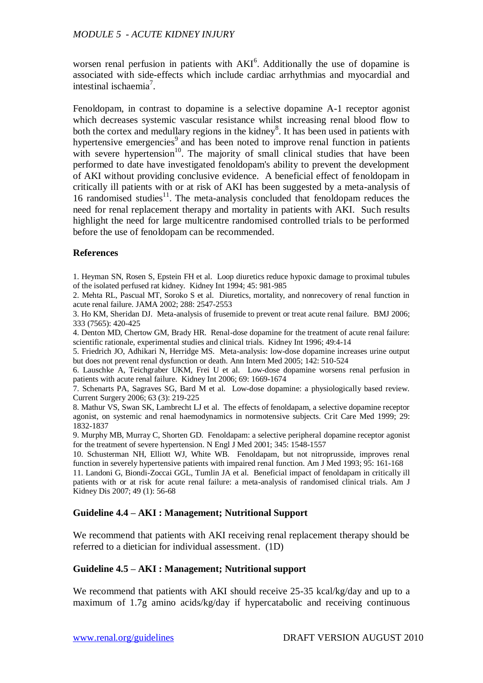worsen renal perfusion in patients with  $AKI<sup>6</sup>$ . Additionally the use of dopamine is associated with side-effects which include cardiac arrhythmias and myocardial and intestinal ischaemia<sup>7</sup>.

Fenoldopam, in contrast to dopamine is a selective dopamine A-1 receptor agonist which decreases systemic vascular resistance whilst increasing renal blood flow to both the cortex and medullary regions in the kidney<sup>8</sup>. It has been used in patients with hypertensive emergencies<sup>9</sup> and has been noted to improve renal function in patients with severe hypertension<sup>10</sup>. The majority of small clinical studies that have been performed to date have investigated fenoldopam's ability to prevent the development of AKI without providing conclusive evidence. A beneficial effect of fenoldopam in critically ill patients with or at risk of AKI has been suggested by a meta-analysis of 16 randomised studies<sup>11</sup>. The meta-analysis concluded that fenoldopam reduces the need for renal replacement therapy and mortality in patients with AKI. Such results highlight the need for large multicentre randomised controlled trials to be performed before the use of fenoldopam can be recommended.

## **References**

1. Heyman SN, Rosen S, Epstein FH et al. Loop diuretics reduce hypoxic damage to proximal tubules of the isolated perfused rat kidney. Kidney Int 1994; 45: 981-985

2. Mehta RL, Pascual MT, Soroko S et al. Diuretics, mortality, and nonrecovery of renal function in acute renal failure. JAMA 2002; 288: 2547-2553

3. Ho KM, Sheridan DJ. Meta-analysis of frusemide to prevent or treat acute renal failure. BMJ 2006; 333 (7565): 420-425

4. Denton MD, Chertow GM, Brady HR. Renal-dose dopamine for the treatment of acute renal failure: scientific rationale, experimental studies and clinical trials. Kidney Int 1996; 49:4-14

5. Friedrich JO, Adhikari N, Herridge MS. Meta-analysis: low-dose dopamine increases urine output but does not prevent renal dysfunction or death. Ann Intern Med 2005; 142: 510-524

6. Lauschke A, Teichgraber UKM, Frei U et al. Low-dose dopamine worsens renal perfusion in patients with acute renal failure. Kidney Int 2006; 69: 1669-1674

7. Schenarts PA, Sagraves SG, Bard M et al. Low-dose dopamine: a physiologically based review. Current Surgery 2006; 63 (3): 219-225

8. Mathur VS, Swan SK, Lambrecht LJ et al. The effects of fenoldapam, a selective dopamine receptor agonist, on systemic and renal haemodynamics in normotensive subjects. Crit Care Med 1999; 29: 1832-1837

9. Murphy MB, Murray C, Shorten GD. Fenoldapam: a selective peripheral dopamine receptor agonist for the treatment of severe hypertension. N Engl J Med 2001; 345: 1548-1557

10. Schusterman NH, Elliott WJ, White WB. Fenoldapam, but not nitroprusside, improves renal function in severely hypertensive patients with impaired renal function. Am J Med 1993; 95: 161-168

11. Landoni G, Biondi-Zoccai GGL, Tumlin JA et al. Beneficial impact of fenoldapam in critically ill patients with or at risk for acute renal failure: a meta-analysis of randomised clinical trials. Am J Kidney Dis 2007; 49 (1): 56-68

### **Guideline 4.4 – AKI : Management; Nutritional Support**

We recommend that patients with AKI receiving renal replacement therapy should be referred to a dietician for individual assessment. (1D)

### **Guideline 4.5 – AKI : Management; Nutritional support**

We recommend that patients with AKI should receive 25-35 kcal/kg/day and up to a maximum of 1.7g amino acids/kg/day if hypercatabolic and receiving continuous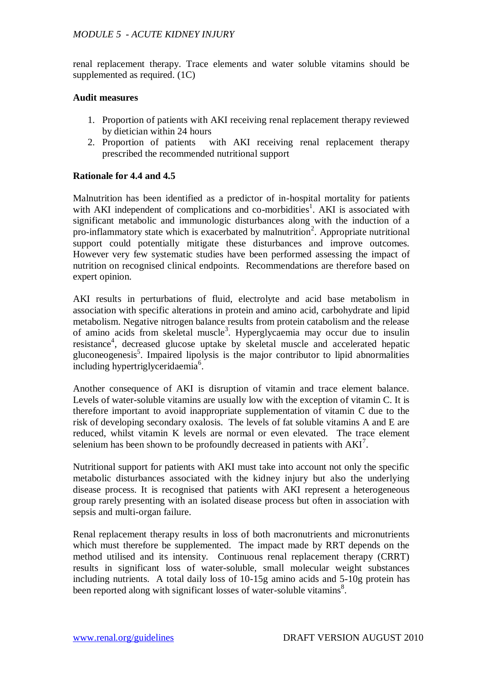renal replacement therapy. Trace elements and water soluble vitamins should be supplemented as required. (1C)

# **Audit measures**

- 1. Proportion of patients with AKI receiving renal replacement therapy reviewed by dietician within 24 hours
- 2. Proportion of patients with AKI receiving renal replacement therapy prescribed the recommended nutritional support

# **Rationale for 4.4 and 4.5**

Malnutrition has been identified as a predictor of in-hospital mortality for patients with AKI independent of complications and co-morbidities<sup>1</sup>. AKI is associated with significant metabolic and immunologic disturbances along with the induction of a pro-inflammatory state which is exacerbated by malnutrition<sup>2</sup>. Appropriate nutritional support could potentially mitigate these disturbances and improve outcomes. However very few systematic studies have been performed assessing the impact of nutrition on recognised clinical endpoints. Recommendations are therefore based on expert opinion.

AKI results in perturbations of fluid, electrolyte and acid base metabolism in association with specific alterations in protein and amino acid, carbohydrate and lipid metabolism. Negative nitrogen balance results from protein catabolism and the release of amino acids from skeletal muscle<sup>3</sup>. Hyperglycaemia may occur due to insulin resistance<sup>4</sup>, decreased glucose uptake by skeletal muscle and accelerated hepatic gluconeogenesis<sup>5</sup>. Impaired lipolysis is the major contributor to lipid abnormalities including hypertriglyceridaemia<sup>6</sup>.

Another consequence of AKI is disruption of vitamin and trace element balance. Levels of water-soluble vitamins are usually low with the exception of vitamin C. It is therefore important to avoid inappropriate supplementation of vitamin C due to the risk of developing secondary oxalosis. The levels of fat soluble vitamins A and E are reduced, whilst vitamin K levels are normal or even elevated. The trace element selenium has been shown to be profoundly decreased in patients with  $AKI^7$ .

Nutritional support for patients with AKI must take into account not only the specific metabolic disturbances associated with the kidney injury but also the underlying disease process. It is recognised that patients with AKI represent a heterogeneous group rarely presenting with an isolated disease process but often in association with sepsis and multi-organ failure.

Renal replacement therapy results in loss of both macronutrients and micronutrients which must therefore be supplemented. The impact made by RRT depends on the method utilised and its intensity. Continuous renal replacement therapy (CRRT) results in significant loss of water-soluble, small molecular weight substances including nutrients. A total daily loss of 10-15g amino acids and 5-10g protein has been reported along with significant losses of water-soluble vitamins<sup>8</sup>.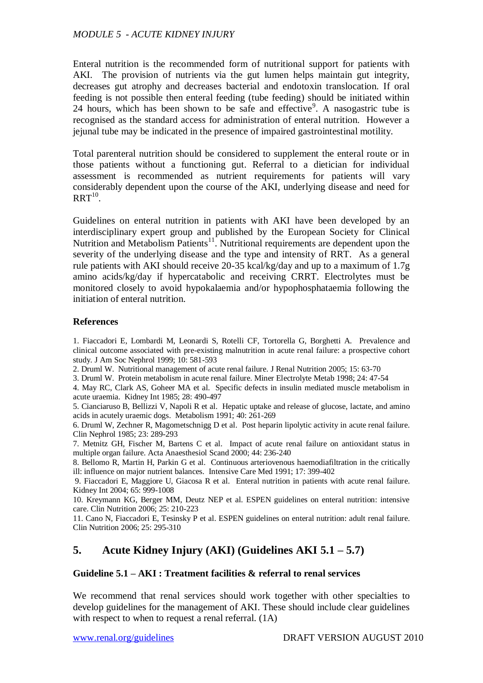Enteral nutrition is the recommended form of nutritional support for patients with AKI. The provision of nutrients via the gut lumen helps maintain gut integrity, decreases gut atrophy and decreases bacterial and endotoxin translocation. If oral feeding is not possible then enteral feeding (tube feeding) should be initiated within 24 hours, which has been shown to be safe and effective<sup>9</sup>. A nasogastric tube is recognised as the standard access for administration of enteral nutrition. However a jejunal tube may be indicated in the presence of impaired gastrointestinal motility.

Total parenteral nutrition should be considered to supplement the enteral route or in those patients without a functioning gut. Referral to a dietician for individual assessment is recommended as nutrient requirements for patients will vary considerably dependent upon the course of the AKI, underlying disease and need for  $\mathsf{RRT}^{10}.$ 

Guidelines on enteral nutrition in patients with AKI have been developed by an interdisciplinary expert group and published by the European Society for Clinical Nutrition and Metabolism Patients<sup>11</sup>. Nutritional requirements are dependent upon the severity of the underlying disease and the type and intensity of RRT. As a general rule patients with AKI should receive 20-35 kcal/kg/day and up to a maximum of 1.7g amino acids/kg/day if hypercatabolic and receiving CRRT. Electrolytes must be monitored closely to avoid hypokalaemia and/or hypophosphataemia following the initiation of enteral nutrition.

#### **References**

1. Fiaccadori E, Lombardi M, Leonardi S, Rotelli CF, Tortorella G, Borghetti A. Prevalence and clinical outcome associated with pre-existing malnutrition in acute renal failure: a prospective cohort study. J Am Soc Nephrol 1999; 10: 581-593

2. Druml W. Nutritional management of acute renal failure. J Renal Nutrition 2005; 15: 63-70

3. Druml W. Protein metabolism in acute renal failure. Miner Electrolyte Metab 1998; 24: 47-54

4. May RC, Clark AS, Goheer MA et al. Specific defects in insulin mediated muscle metabolism in acute uraemia. Kidney Int 1985; 28: 490-497

5. Cianciaruso B, Bellizzi V, Napoli R et al. Hepatic uptake and release of glucose, lactate, and amino acids in acutely uraemic dogs. Metabolism 1991; 40: 261-269

6. Druml W, Zechner R, Magometschnigg D et al. Post heparin lipolytic activity in acute renal failure. Clin Nephrol 1985; 23: 289-293

7. Metnitz GH, Fischer M, Bartens C et al. Impact of acute renal failure on antioxidant status in multiple organ failure. Acta Anaesthesiol Scand 2000; 44: 236-240

8. Bellomo R, Martin H, Parkin G et al. Continuous arteriovenous haemodiafiltration in the critically ill: influence on major nutrient balances. Intensive Care Med 1991; 17: 399-402

9. Fiaccadori E, Maggiore U, Giacosa R et al. Enteral nutrition in patients with acute renal failure. Kidney Int 2004; 65: 999-1008

10. Kreymann KG, Berger MM, Deutz NEP et al. ESPEN guidelines on enteral nutrition: intensive care. Clin Nutrition 2006; 25: 210-223

11. Cano N, Fiaccadori E, Tesinsky P et al. ESPEN guidelines on enteral nutrition: adult renal failure. Clin Nutrition 2006; 25: 295-310

# **5. Acute Kidney Injury (AKI) (Guidelines AKI 5.1 – 5.7)**

#### **Guideline 5.1 – AKI : Treatment facilities & referral to renal services**

We recommend that renal services should work together with other specialties to develop guidelines for the management of AKI. These should include clear guidelines with respect to when to request a renal referral. (1A)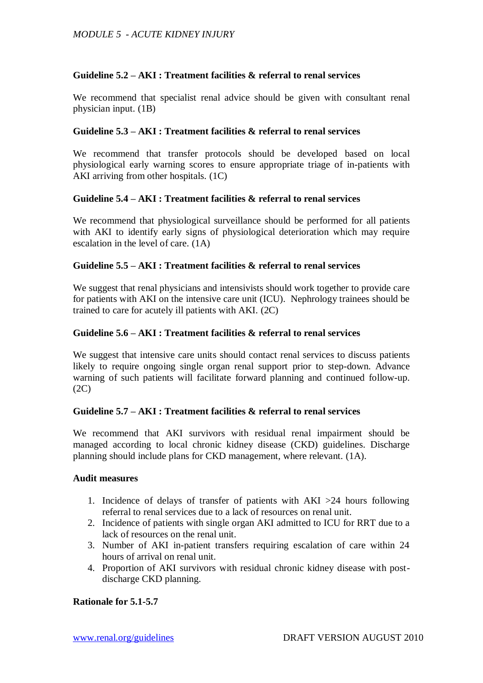# **Guideline 5.2 – AKI : Treatment facilities & referral to renal services**

We recommend that specialist renal advice should be given with consultant renal physician input. (1B)

## **Guideline 5.3 – AKI : Treatment facilities & referral to renal services**

We recommend that transfer protocols should be developed based on local physiological early warning scores to ensure appropriate triage of in-patients with AKI arriving from other hospitals. (1C)

### **Guideline 5.4 – AKI : Treatment facilities & referral to renal services**

We recommend that physiological surveillance should be performed for all patients with AKI to identify early signs of physiological deterioration which may require escalation in the level of care. (1A)

## **Guideline 5.5 – AKI : Treatment facilities & referral to renal services**

We suggest that renal physicians and intensivists should work together to provide care for patients with AKI on the intensive care unit (ICU). Nephrology trainees should be trained to care for acutely ill patients with AKI. (2C)

### **Guideline 5.6 – AKI : Treatment facilities & referral to renal services**

We suggest that intensive care units should contact renal services to discuss patients likely to require ongoing single organ renal support prior to step-down. Advance warning of such patients will facilitate forward planning and continued follow-up.  $(2C)$ 

### **Guideline 5.7 – AKI : Treatment facilities & referral to renal services**

We recommend that AKI survivors with residual renal impairment should be managed according to local chronic kidney disease (CKD) guidelines. Discharge planning should include plans for CKD management, where relevant. (1A).

### **Audit measures**

- 1. Incidence of delays of transfer of patients with AKI >24 hours following referral to renal services due to a lack of resources on renal unit.
- 2. Incidence of patients with single organ AKI admitted to ICU for RRT due to a lack of resources on the renal unit.
- 3. Number of AKI in-patient transfers requiring escalation of care within 24 hours of arrival on renal unit.
- 4. Proportion of AKI survivors with residual chronic kidney disease with postdischarge CKD planning.

## **Rationale for 5.1-5.7**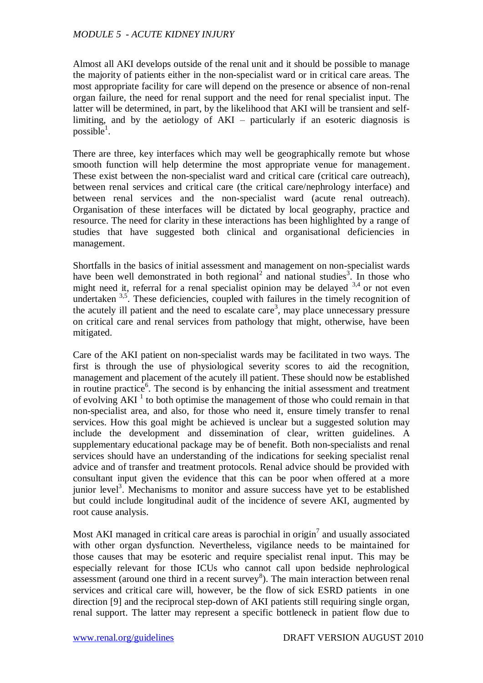Almost all AKI develops outside of the renal unit and it should be possible to manage the majority of patients either in the non-specialist ward or in critical care areas. The most appropriate facility for care will depend on the presence or absence of non-renal organ failure, the need for renal support and the need for renal specialist input. The latter will be determined, in part, by the likelihood that AKI will be transient and selflimiting, and by the aetiology of AKI – particularly if an esoteric diagnosis is possible<sup>1</sup>.

There are three, key interfaces which may well be geographically remote but whose smooth function will help determine the most appropriate venue for management. These exist between the non-specialist ward and critical care (critical care outreach), between renal services and critical care (the critical care/nephrology interface) and between renal services and the non-specialist ward (acute renal outreach). Organisation of these interfaces will be dictated by local geography, practice and resource. The need for clarity in these interactions has been highlighted by a range of studies that have suggested both clinical and organisational deficiencies in management.

Shortfalls in the basics of initial assessment and management on non-specialist wards have been well demonstrated in both regional<sup>2</sup> and national studies<sup>3</sup>. In those who might need it, referral for a renal specialist opinion may be delayed  $3,4$  or not even undertaken  $3.5$ . These deficiencies, coupled with failures in the timely recognition of the acutely ill patient and the need to escalate care<sup>3</sup>, may place unnecessary pressure on critical care and renal services from pathology that might, otherwise, have been mitigated.

Care of the AKI patient on non-specialist wards may be facilitated in two ways. The first is through the use of physiological severity scores to aid the recognition, management and placement of the acutely ill patient. These should now be established in routine practice<sup>6</sup>. The second is by enhancing the initial assessment and treatment of evolving  $AKI<sup>1</sup>$  to both optimise the management of those who could remain in that non-specialist area, and also, for those who need it, ensure timely transfer to renal services. How this goal might be achieved is unclear but a suggested solution may include the development and dissemination of clear, written guidelines. A supplementary educational package may be of benefit. Both non-specialists and renal services should have an understanding of the indications for seeking specialist renal advice and of transfer and treatment protocols. Renal advice should be provided with consultant input given the evidence that this can be poor when offered at a more junior level<sup>3</sup>. Mechanisms to monitor and assure success have yet to be established but could include longitudinal audit of the incidence of severe AKI, augmented by root cause analysis.

Most AKI managed in critical care areas is parochial in origin<sup>7</sup> and usually associated with other organ dysfunction. Nevertheless, vigilance needs to be maintained for those causes that may be esoteric and require specialist renal input. This may be especially relevant for those ICUs who cannot call upon bedside nephrological  $assessment$  (around one third in a recent survey<sup>8</sup>). The main interaction between renal services and critical care will, however, be the flow of sick ESRD patients in one direction [9] and the reciprocal step-down of AKI patients still requiring single organ, renal support. The latter may represent a specific bottleneck in patient flow due to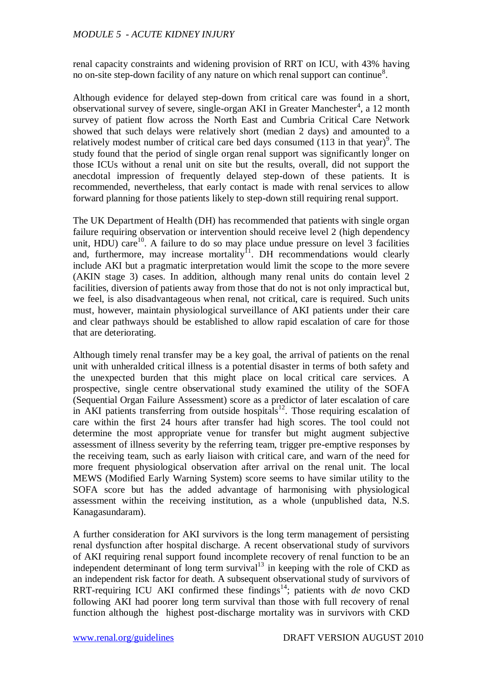renal capacity constraints and widening provision of RRT on ICU, with 43% having no on-site step-down facility of any nature on which renal support can continue<sup>8</sup>.

Although evidence for delayed step-down from critical care was found in a short, observational survey of severe, single-organ AKI in Greater Manchester<sup>4</sup>, a 12 month survey of patient flow across the North East and Cumbria Critical Care Network showed that such delays were relatively short (median 2 days) and amounted to a relatively modest number of critical care bed days consumed  $(113 \text{ in that year})^9$ . The study found that the period of single organ renal support was significantly longer on those ICUs without a renal unit on site but the results, overall, did not support the anecdotal impression of frequently delayed step-down of these patients. It is recommended, nevertheless, that early contact is made with renal services to allow forward planning for those patients likely to step-down still requiring renal support.

The UK Department of Health (DH) has recommended that patients with single organ failure requiring observation or intervention should receive level 2 (high dependency unit, HDU) care<sup>10</sup>. A failure to do so may place undue pressure on level  $\overline{3}$  facilities and, furthermore, may increase mortality<sup>11</sup>. DH recommendations would clearly include AKI but a pragmatic interpretation would limit the scope to the more severe (AKIN stage 3) cases. In addition, although many renal units do contain level 2 facilities, diversion of patients away from those that do not is not only impractical but, we feel, is also disadvantageous when renal, not critical, care is required. Such units must, however, maintain physiological surveillance of AKI patients under their care and clear pathways should be established to allow rapid escalation of care for those that are deteriorating.

Although timely renal transfer may be a key goal, the arrival of patients on the renal unit with unheralded critical illness is a potential disaster in terms of both safety and the unexpected burden that this might place on local critical care services. A prospective, single centre observational study examined the utility of the SOFA (Sequential Organ Failure Assessment) score as a predictor of later escalation of care in AKI patients transferring from outside hospitals<sup>12</sup>. Those requiring escalation of care within the first 24 hours after transfer had high scores. The tool could not determine the most appropriate venue for transfer but might augment subjective assessment of illness severity by the referring team, trigger pre-emptive responses by the receiving team, such as early liaison with critical care, and warn of the need for more frequent physiological observation after arrival on the renal unit. The local MEWS (Modified Early Warning System) score seems to have similar utility to the SOFA score but has the added advantage of harmonising with physiological assessment within the receiving institution, as a whole (unpublished data, N.S. Kanagasundaram).

A further consideration for AKI survivors is the long term management of persisting renal dysfunction after hospital discharge. A recent observational study of survivors of AKI requiring renal support found incomplete recovery of renal function to be an independent determinant of long term survival $^{13}$  in keeping with the role of CKD as an independent risk factor for death. A subsequent observational study of survivors of RRT-requiring ICU AKI confirmed these findings<sup>14</sup>; patients with *de* novo CKD following AKI had poorer long term survival than those with full recovery of renal function although the highest post-discharge mortality was in survivors with CKD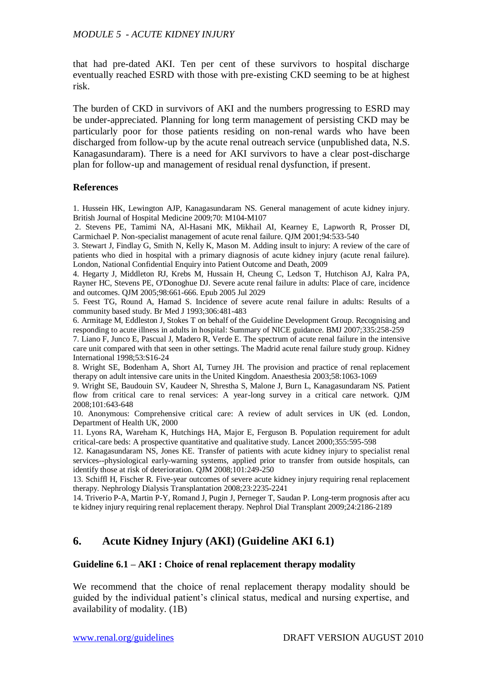that had pre-dated AKI. Ten per cent of these survivors to hospital discharge eventually reached ESRD with those with pre-existing CKD seeming to be at highest risk.

The burden of CKD in survivors of AKI and the numbers progressing to ESRD may be under-appreciated. Planning for long term management of persisting CKD may be particularly poor for those patients residing on non-renal wards who have been discharged from follow-up by the acute renal outreach service (unpublished data, N.S. Kanagasundaram). There is a need for AKI survivors to have a clear post-discharge plan for follow-up and management of residual renal dysfunction, if present.

#### **References**

1. Hussein HK, Lewington AJP, Kanagasundaram NS. General management of acute kidney injury. British Journal of Hospital Medicine 2009;70: M104-M107

2. Stevens PE, Tamimi NA, Al-Hasani MK, Mikhail AI, Kearney E, Lapworth R, Prosser DI, Carmichael P. Non-specialist management of acute renal failure. QJM 2001;94:533-540

3. Stewart J, Findlay G, Smith N, Kelly K, Mason M. Adding insult to injury: A review of the care of patients who died in hospital with a primary diagnosis of acute kidney injury (acute renal failure). London, National Confidential Enquiry into Patient Outcome and Death, 2009

4. Hegarty J, Middleton RJ, Krebs M, Hussain H, Cheung C, Ledson T, Hutchison AJ, Kalra PA, Rayner HC, Stevens PE, O'Donoghue DJ. Severe acute renal failure in adults: Place of care, incidence and outcomes. QJM 2005;98:661-666. Epub 2005 Jul 2029

5. Feest TG, Round A, Hamad S. Incidence of severe acute renal failure in adults: Results of a community based study. Br Med J 1993;306:481-483

6. Armitage M, Eddleston J, Stokes T on behalf of the Guideline Development Group. Recognising and responding to acute illness in adults in hospital: Summary of NICE guidance. BMJ 2007;335:258-259

7. Liano F, Junco E, Pascual J, Madero R, Verde E. The spectrum of acute renal failure in the intensive care unit compared with that seen in other settings. The Madrid acute renal failure study group. Kidney International 1998;53:S16-24

8. Wright SE, Bodenham A, Short AI, Turney JH. The provision and practice of renal replacement therapy on adult intensive care units in the United Kingdom. Anaesthesia 2003;58:1063-1069

9. Wright SE, Baudouin SV, Kaudeer N, Shrestha S, Malone J, Burn L, Kanagasundaram NS. Patient flow from critical care to renal services: A year-long survey in a critical care network. QJM 2008;101:643-648

10. Anonymous: Comprehensive critical care: A review of adult services in UK (ed. London, Department of Health UK, 2000

11. Lyons RA, Wareham K, Hutchings HA, Major E, Ferguson B. Population requirement for adult critical-care beds: A prospective quantitative and qualitative study. Lancet 2000;355:595-598

12. Kanagasundaram NS, Jones KE. Transfer of patients with acute kidney injury to specialist renal services--physiological early-warning systems, applied prior to transfer from outside hospitals, can identify those at risk of deterioration. QJM 2008;101:249-250

13. Schiffl H, Fischer R. Five-year outcomes of severe acute kidney injury requiring renal replacement therapy. Nephrology Dialysis Transplantation 2008;23:2235-2241

14. Triverio P-A, Martin P-Y, Romand J, Pugin J, Perneger T, Saudan P. Long-term prognosis after acu te kidney injury requiring renal replacement therapy. Nephrol Dial Transplant 2009;24:2186-2189

# **6. Acute Kidney Injury (AKI) (Guideline AKI 6.1)**

### **Guideline 6.1 – AKI : Choice of renal replacement therapy modality**

We recommend that the choice of renal replacement therapy modality should be guided by the individual patient"s clinical status, medical and nursing expertise, and availability of modality. (1B)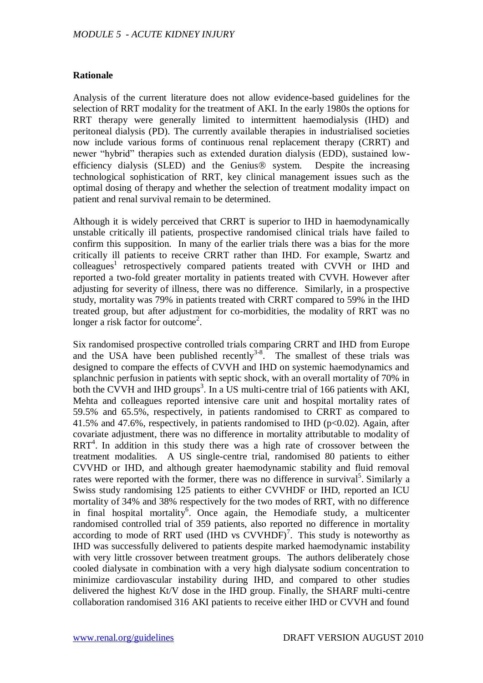### **Rationale**

Analysis of the current literature does not allow evidence-based guidelines for the selection of RRT modality for the treatment of AKI. In the early 1980s the options for RRT therapy were generally limited to intermittent haemodialysis (IHD) and peritoneal dialysis (PD). The currently available therapies in industrialised societies now include various forms of continuous renal replacement therapy (CRRT) and newer "hybrid" therapies such as extended duration dialysis (EDD), sustained lowefficiency dialysis (SLED) and the Genius  $\otimes$  system. Despite the increasing technological sophistication of RRT, key clinical management issues such as the optimal dosing of therapy and whether the selection of treatment modality impact on patient and renal survival remain to be determined.

Although it is widely perceived that CRRT is superior to IHD in haemodynamically unstable critically ill patients, prospective randomised clinical trials have failed to confirm this supposition. In many of the earlier trials there was a bias for the more critically ill patients to receive CRRT rather than IHD. For example, Swartz and colleagues<sup>1</sup> retrospectively compared patients treated with CVVH or IHD and reported a two-fold greater mortality in patients treated with CVVH. However after adjusting for severity of illness, there was no difference. Similarly, in a prospective study, mortality was 79% in patients treated with CRRT compared to 59% in the IHD treated group, but after adjustment for co-morbidities, the modality of RRT was no longer a risk factor for outcome<sup>2</sup>.

Six randomised prospective controlled trials comparing CRRT and IHD from Europe and the USA have been published recently $3-8$ . The smallest of these trials was designed to compare the effects of CVVH and IHD on systemic haemodynamics and splanchnic perfusion in patients with septic shock, with an overall mortality of 70% in both the CVVH and IHD groups<sup>3</sup>. In a US multi-centre trial of 166 patients with AKI, Mehta and colleagues reported intensive care unit and hospital mortality rates of 59.5% and 65.5%, respectively, in patients randomised to CRRT as compared to 41.5% and 47.6%, respectively, in patients randomised to IHD ( $p<0.02$ ). Again, after covariate adjustment, there was no difference in mortality attributable to modality of  $RRT<sup>4</sup>$ . In addition in this study there was a high rate of crossover between the treatment modalities. A US single-centre trial, randomised 80 patients to either CVVHD or IHD, and although greater haemodynamic stability and fluid removal rates were reported with the former, there was no difference in survival<sup>5</sup>. Similarly a Swiss study randomising 125 patients to either CVVHDF or IHD, reported an ICU mortality of 34% and 38% respectively for the two modes of RRT, with no difference in final hospital mortality<sup>6</sup>. Once again, the Hemodiafe study, a multicenter randomised controlled trial of 359 patients, also reported no difference in mortality according to mode of RRT used  $(HID \text{ vs } CVVHDF)^7$ . This study is noteworthy as IHD was successfully delivered to patients despite marked haemodynamic instability with very little crossover between treatment groups. The authors deliberately chose cooled dialysate in combination with a very high dialysate sodium concentration to minimize cardiovascular instability during IHD, and compared to other studies delivered the highest Kt/V dose in the IHD group. Finally, the SHARF multi-centre collaboration randomised 316 AKI patients to receive either IHD or CVVH and found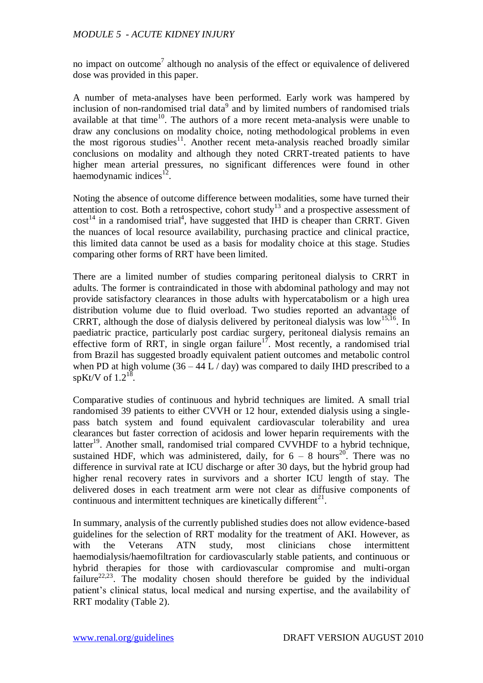no impact on outcome<sup>7</sup> although no analysis of the effect or equivalence of delivered dose was provided in this paper.

A number of meta-analyses have been performed. Early work was hampered by inclusion of non-randomised trial data<sup>9</sup> and by limited numbers of randomised trials available at that time<sup>10</sup>. The authors of a more recent meta-analysis were unable to draw any conclusions on modality choice, noting methodological problems in even the most rigorous studies<sup>11</sup>. Another recent meta-analysis reached broadly similar conclusions on modality and although they noted CRRT-treated patients to have higher mean arterial pressures, no significant differences were found in other haemodynamic indices $12$ .

Noting the absence of outcome difference between modalities, some have turned their attention to cost. Both a retrospective, cohort study<sup>13</sup> and a prospective assessment of  $cost^{14}$  in a randomised trial<sup>4</sup>, have suggested that IHD is cheaper than CRRT. Given the nuances of local resource availability, purchasing practice and clinical practice, this limited data cannot be used as a basis for modality choice at this stage. Studies comparing other forms of RRT have been limited.

There are a limited number of studies comparing peritoneal dialysis to CRRT in adults. The former is contraindicated in those with abdominal pathology and may not provide satisfactory clearances in those adults with hypercatabolism or a high urea distribution volume due to fluid overload. Two studies reported an advantage of CRRT, although the dose of dialysis delivered by peritoneal dialysis was low<sup>15,16</sup>. In paediatric practice, particularly post cardiac surgery, peritoneal dialysis remains an effective form of RRT, in single organ failure<sup>17</sup>. Most recently, a randomised trial from Brazil has suggested broadly equivalent patient outcomes and metabolic control when PD at high volume  $(36 - 44 L / day)$  was compared to daily IHD prescribed to a spKt/V of  $1.2^{18}$ .

Comparative studies of continuous and hybrid techniques are limited. A small trial randomised 39 patients to either CVVH or 12 hour, extended dialysis using a singlepass batch system and found equivalent cardiovascular tolerability and urea clearances but faster correction of acidosis and lower heparin requirements with the latter<sup>19</sup>. Another small, randomised trial compared CVVHDF to a hybrid technique, sustained HDF, which was administered, daily, for  $6 - 8$  hours<sup>20</sup>. There was no difference in survival rate at ICU discharge or after 30 days, but the hybrid group had higher renal recovery rates in survivors and a shorter ICU length of stay. The delivered doses in each treatment arm were not clear as diffusive components of continuous and intermittent techniques are kinetically different<sup>21</sup>.

In summary, analysis of the currently published studies does not allow evidence-based guidelines for the selection of RRT modality for the treatment of AKI. However, as with the Veterans ATN study, most clinicians chose intermittent haemodialysis/haemofiltration for cardiovascularly stable patients, and continuous or hybrid therapies for those with cardiovascular compromise and multi-organ failure<sup>22,23</sup>. The modality chosen should therefore be guided by the individual patient"s clinical status, local medical and nursing expertise, and the availability of RRT modality (Table 2).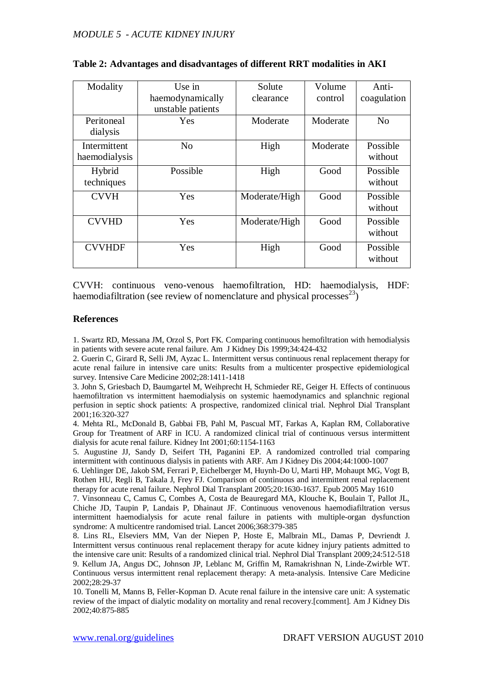| Modality                      | Use in<br>haemodynamically<br>unstable patients | Solute<br>clearance | Volume<br>control | Anti-<br>coagulation |
|-------------------------------|-------------------------------------------------|---------------------|-------------------|----------------------|
| Peritoneal<br>dialysis        | <b>Yes</b>                                      | Moderate            | Moderate          | N <sub>o</sub>       |
| Intermittent<br>haemodialysis | N <sub>0</sub>                                  | High                | Moderate          | Possible<br>without  |
| Hybrid<br>techniques          | Possible                                        | High                | Good              | Possible<br>without  |
| <b>CVVH</b>                   | Yes                                             | Moderate/High       | Good              | Possible<br>without  |
| <b>CVVHD</b>                  | Yes                                             | Moderate/High       | Good              | Possible<br>without  |
| <b>CVVHDF</b>                 | Yes                                             | High                | Good              | Possible<br>without  |

### **Table 2: Advantages and disadvantages of different RRT modalities in AKI**

CVVH: continuous veno-venous haemofiltration, HD: haemodialysis, HDF: haemodiafiltration (see review of nomenclature and physical processes  $23$ )

#### **References**

1. Swartz RD, Messana JM, Orzol S, Port FK. Comparing continuous hemofiltration with hemodialysis in patients with severe acute renal failure. Am J Kidney Dis 1999;34:424-432

2. Guerin C, Girard R, Selli JM, Ayzac L. Intermittent versus continuous renal replacement therapy for acute renal failure in intensive care units: Results from a multicenter prospective epidemiological survey. Intensive Care Medicine 2002;28:1411-1418

3. John S, Griesbach D, Baumgartel M, Weihprecht H, Schmieder RE, Geiger H. Effects of continuous haemofiltration vs intermittent haemodialysis on systemic haemodynamics and splanchnic regional perfusion in septic shock patients: A prospective, randomized clinical trial. Nephrol Dial Transplant 2001;16:320-327

4. Mehta RL, McDonald B, Gabbai FB, Pahl M, Pascual MT, Farkas A, Kaplan RM, Collaborative Group for Treatment of ARF in ICU. A randomized clinical trial of continuous versus intermittent dialysis for acute renal failure. Kidney Int 2001;60:1154-1163

5. Augustine JJ, Sandy D, Seifert TH, Paganini EP. A randomized controlled trial comparing intermittent with continuous dialysis in patients with ARF. Am J Kidney Dis 2004;44:1000-1007

6. Uehlinger DE, Jakob SM, Ferrari P, Eichelberger M, Huynh-Do U, Marti HP, Mohaupt MG, Vogt B, Rothen HU, Regli B, Takala J, Frey FJ. Comparison of continuous and intermittent renal replacement therapy for acute renal failure. Nephrol Dial Transplant 2005;20:1630-1637. Epub 2005 May 1610

7. Vinsonneau C, Camus C, Combes A, Costa de Beauregard MA, Klouche K, Boulain T, Pallot JL, Chiche JD, Taupin P, Landais P, Dhainaut JF. Continuous venovenous haemodiafiltration versus intermittent haemodialysis for acute renal failure in patients with multiple-organ dysfunction syndrome: A multicentre randomised trial. Lancet 2006;368:379-385

8. Lins RL, Elseviers MM, Van der Niepen P, Hoste E, Malbrain ML, Damas P, Devriendt J. Intermittent versus continuous renal replacement therapy for acute kidney injury patients admitted to the intensive care unit: Results of a randomized clinical trial. Nephrol Dial Transplant 2009;24:512-518 9. Kellum JA, Angus DC, Johnson JP, Leblanc M, Griffin M, Ramakrishnan N, Linde-Zwirble WT. Continuous versus intermittent renal replacement therapy: A meta-analysis. Intensive Care Medicine 2002;28:29-37

10. Tonelli M, Manns B, Feller-Kopman D. Acute renal failure in the intensive care unit: A systematic review of the impact of dialytic modality on mortality and renal recovery.[comment]. Am J Kidney Dis 2002;40:875-885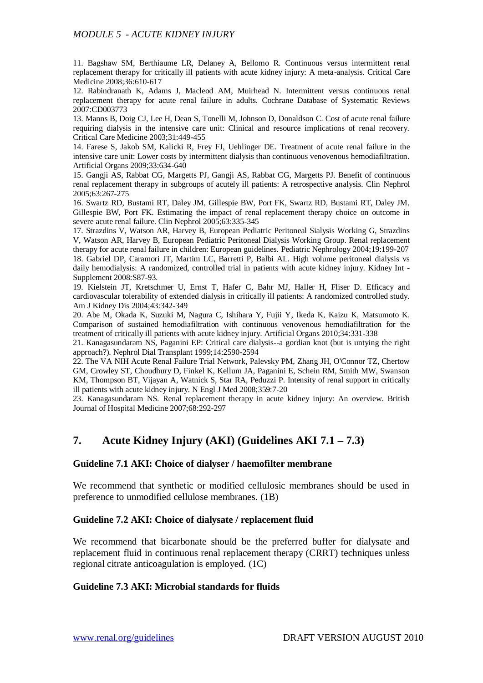11. Bagshaw SM, Berthiaume LR, Delaney A, Bellomo R. Continuous versus intermittent renal replacement therapy for critically ill patients with acute kidney injury: A meta-analysis. Critical Care Medicine 2008;36:610-617

12. Rabindranath K, Adams J, Macleod AM, Muirhead N. Intermittent versus continuous renal replacement therapy for acute renal failure in adults. Cochrane Database of Systematic Reviews 2007:CD003773

13. Manns B, Doig CJ, Lee H, Dean S, Tonelli M, Johnson D, Donaldson C. Cost of acute renal failure requiring dialysis in the intensive care unit: Clinical and resource implications of renal recovery. Critical Care Medicine 2003;31:449-455

14. Farese S, Jakob SM, Kalicki R, Frey FJ, Uehlinger DE. Treatment of acute renal failure in the intensive care unit: Lower costs by intermittent dialysis than continuous venovenous hemodiafiltration. Artificial Organs 2009;33:634-640

15. Gangji AS, Rabbat CG, Margetts PJ, Gangji AS, Rabbat CG, Margetts PJ. Benefit of continuous renal replacement therapy in subgroups of acutely ill patients: A retrospective analysis. Clin Nephrol 2005;63:267-275

16. Swartz RD, Bustami RT, Daley JM, Gillespie BW, Port FK, Swartz RD, Bustami RT, Daley JM, Gillespie BW, Port FK. Estimating the impact of renal replacement therapy choice on outcome in severe acute renal failure. Clin Nephrol 2005;63:335-345

17. Strazdins V, Watson AR, Harvey B, European Pediatric Peritoneal Sialysis Working G, Strazdins V, Watson AR, Harvey B, European Pediatric Peritoneal Dialysis Working Group. Renal replacement therapy for acute renal failure in children: European guidelines. Pediatric Nephrology 2004;19:199-207 18. Gabriel DP, Caramori JT, Martim LC, Barretti P, Balbi AL. High volume peritoneal dialysis vs daily hemodialysis: A randomized, controlled trial in patients with acute kidney injury. Kidney Int - Supplement 2008:S87-93.

19. Kielstein JT, Kretschmer U, Ernst T, Hafer C, Bahr MJ, Haller H, Fliser D. Efficacy and cardiovascular tolerability of extended dialysis in critically ill patients: A randomized controlled study. Am J Kidney Dis 2004;43:342-349

20. Abe M, Okada K, Suzuki M, Nagura C, Ishihara Y, Fujii Y, Ikeda K, Kaizu K, Matsumoto K. Comparison of sustained hemodiafiltration with continuous venovenous hemodiafiltration for the treatment of critically ill patients with acute kidney injury. Artificial Organs 2010;34:331-338

21. Kanagasundaram NS, Paganini EP: Critical care dialysis--a gordian knot (but is untying the right approach?). Nephrol Dial Transplant 1999;14:2590-2594

22. The VA NIH Acute Renal Failure Trial Network, Palevsky PM, Zhang JH, O'Connor TZ, Chertow GM, Crowley ST, Choudhury D, Finkel K, Kellum JA, Paganini E, Schein RM, Smith MW, Swanson KM, Thompson BT, Vijayan A, Watnick S, Star RA, Peduzzi P. Intensity of renal support in critically ill patients with acute kidney injury. N Engl J Med 2008;359:7-20

23. Kanagasundaram NS. Renal replacement therapy in acute kidney injury: An overview. British Journal of Hospital Medicine 2007;68:292-297

# **7. Acute Kidney Injury (AKI) (Guidelines AKI 7.1 – 7.3)**

#### **Guideline 7.1 AKI: Choice of dialyser / haemofilter membrane**

We recommend that synthetic or modified cellulosic membranes should be used in preference to unmodified cellulose membranes. (1B)

#### **Guideline 7.2 AKI: Choice of dialysate / replacement fluid**

We recommend that bicarbonate should be the preferred buffer for dialysate and replacement fluid in continuous renal replacement therapy (CRRT) techniques unless regional citrate anticoagulation is employed. (1C)

#### **Guideline 7.3 AKI: Microbial standards for fluids**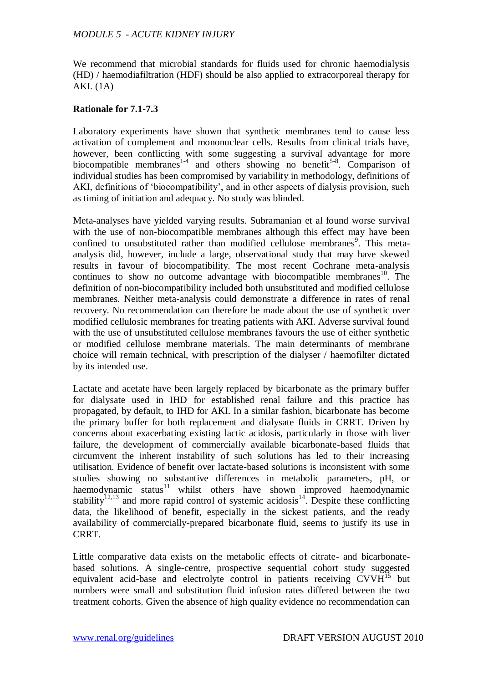We recommend that microbial standards for fluids used for chronic haemodialysis (HD) / haemodiafiltration (HDF) should be also applied to extracorporeal therapy for AKI. (1A)

# **Rationale for 7.1-7.3**

Laboratory experiments have shown that synthetic membranes tend to cause less activation of complement and mononuclear cells. Results from clinical trials have, however, been conflicting with some suggesting a survival advantage for more biocompatible membranes<sup>1-4</sup> and others showing no benefit<sup>5-8</sup>. Comparison of individual studies has been compromised by variability in methodology, definitions of AKI, definitions of "biocompatibility", and in other aspects of dialysis provision, such as timing of initiation and adequacy. No study was blinded.

Meta-analyses have yielded varying results. Subramanian et al found worse survival with the use of non-biocompatible membranes although this effect may have been confined to unsubstituted rather than modified cellulose membranes<sup>9</sup>. This metaanalysis did, however, include a large, observational study that may have skewed results in favour of biocompatibility. The most recent Cochrane meta-analysis continues to show no outcome advantage with biocompatible membranes<sup>10</sup>. The definition of non-biocompatibility included both unsubstituted and modified cellulose membranes. Neither meta-analysis could demonstrate a difference in rates of renal recovery. No recommendation can therefore be made about the use of synthetic over modified cellulosic membranes for treating patients with AKI. Adverse survival found with the use of unsubstituted cellulose membranes favours the use of either synthetic or modified cellulose membrane materials. The main determinants of membrane choice will remain technical, with prescription of the dialyser / haemofilter dictated by its intended use.

Lactate and acetate have been largely replaced by bicarbonate as the primary buffer for dialysate used in IHD for established renal failure and this practice has propagated, by default, to IHD for AKI. In a similar fashion, bicarbonate has become the primary buffer for both replacement and dialysate fluids in CRRT. Driven by concerns about exacerbating existing lactic acidosis, particularly in those with liver failure, the development of commercially available bicarbonate-based fluids that circumvent the inherent instability of such solutions has led to their increasing utilisation. Evidence of benefit over lactate-based solutions is inconsistent with some studies showing no substantive differences in metabolic parameters, pH, or haemodynamic status<sup>11</sup> whilst others have shown improved haemodynamic stability<sup>12,13</sup> and more rapid control of systemic acidosis<sup>14</sup>. Despite these conflicting data, the likelihood of benefit, especially in the sickest patients, and the ready availability of commercially-prepared bicarbonate fluid, seems to justify its use in CRRT.

Little comparative data exists on the metabolic effects of citrate- and bicarbonatebased solutions. A single-centre, prospective sequential cohort study suggested equivalent acid-base and electrolyte control in patients receiving  $CVVH<sup>15</sup>$  but numbers were small and substitution fluid infusion rates differed between the two treatment cohorts. Given the absence of high quality evidence no recommendation can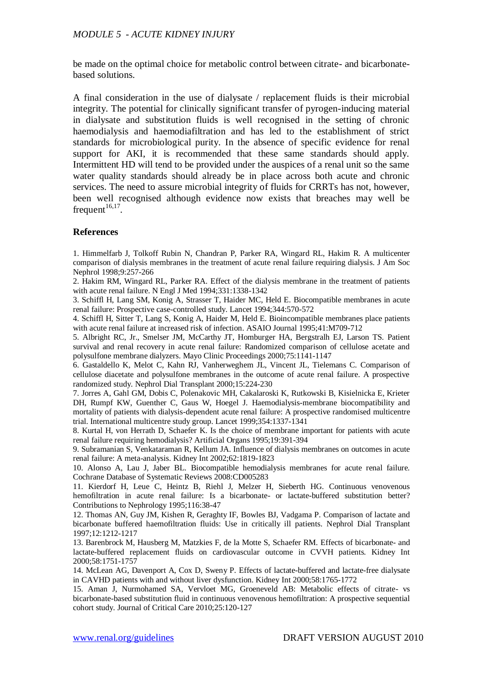be made on the optimal choice for metabolic control between citrate- and bicarbonatebased solutions.

A final consideration in the use of dialysate / replacement fluids is their microbial integrity. The potential for clinically significant transfer of pyrogen-inducing material in dialysate and substitution fluids is well recognised in the setting of chronic haemodialysis and haemodiafiltration and has led to the establishment of strict standards for microbiological purity. In the absence of specific evidence for renal support for AKI, it is recommended that these same standards should apply. Intermittent HD will tend to be provided under the auspices of a renal unit so the same water quality standards should already be in place across both acute and chronic services. The need to assure microbial integrity of fluids for CRRTs has not, however, been well recognised although evidence now exists that breaches may well be frequent<sup>16,17</sup>.

#### **References**

1. Himmelfarb J, Tolkoff Rubin N, Chandran P, Parker RA, Wingard RL, Hakim R. A multicenter comparison of dialysis membranes in the treatment of acute renal failure requiring dialysis. J Am Soc Nephrol 1998;9:257-266

2. Hakim RM, Wingard RL, Parker RA. Effect of the dialysis membrane in the treatment of patients with acute renal failure. N Engl J Med 1994;331:1338-1342

3. Schiffl H, Lang SM, Konig A, Strasser T, Haider MC, Held E. Biocompatible membranes in acute renal failure: Prospective case-controlled study. Lancet 1994;344:570-572

4. Schiffl H, Sitter T, Lang S, Konig A, Haider M, Held E. Bioincompatible membranes place patients with acute renal failure at increased risk of infection. ASAIO Journal 1995;41:M709-712

5. Albright RC, Jr., Smelser JM, McCarthy JT, Homburger HA, Bergstralh EJ, Larson TS. Patient survival and renal recovery in acute renal failure: Randomized comparison of cellulose acetate and polysulfone membrane dialyzers. Mayo Clinic Proceedings 2000;75:1141-1147

6. Gastaldello K, Melot C, Kahn RJ, Vanherweghem JL, Vincent JL, Tielemans C. Comparison of cellulose diacetate and polysulfone membranes in the outcome of acute renal failure. A prospective randomized study. Nephrol Dial Transplant 2000;15:224-230

7. Jorres A, Gahl GM, Dobis C, Polenakovic MH, Cakalaroski K, Rutkowski B, Kisielnicka E, Krieter DH, Rumpf KW, Guenther C, Gaus W, Hoegel J. Haemodialysis-membrane biocompatibility and mortality of patients with dialysis-dependent acute renal failure: A prospective randomised multicentre trial. International multicentre study group. Lancet 1999;354:1337-1341

8. Kurtal H, von Herrath D, Schaefer K. Is the choice of membrane important for patients with acute renal failure requiring hemodialysis? Artificial Organs 1995;19:391-394

9. Subramanian S, Venkataraman R, Kellum JA. Influence of dialysis membranes on outcomes in acute renal failure: A meta-analysis. Kidney Int 2002;62:1819-1823

10. Alonso A, Lau J, Jaber BL. Biocompatible hemodialysis membranes for acute renal failure. Cochrane Database of Systematic Reviews 2008:CD005283

11. Kierdorf H, Leue C, Heintz B, Riehl J, Melzer H, Sieberth HG. Continuous venovenous hemofiltration in acute renal failure: Is a bicarbonate- or lactate-buffered substitution better? Contributions to Nephrology 1995;116:38-47

12. Thomas AN, Guy JM, Kishen R, Geraghty IF, Bowles BJ, Vadgama P. Comparison of lactate and bicarbonate buffered haemofiltration fluids: Use in critically ill patients. Nephrol Dial Transplant 1997;12:1212-1217

13. Barenbrock M, Hausberg M, Matzkies F, de la Motte S, Schaefer RM. Effects of bicarbonate- and lactate-buffered replacement fluids on cardiovascular outcome in CVVH patients. Kidney Int 2000;58:1751-1757

14. McLean AG, Davenport A, Cox D, Sweny P. Effects of lactate-buffered and lactate-free dialysate in CAVHD patients with and without liver dysfunction. Kidney Int 2000;58:1765-1772

15. Aman J, Nurmohamed SA, Vervloet MG, Groeneveld AB: Metabolic effects of citrate- vs bicarbonate-based substitution fluid in continuous venovenous hemofiltration: A prospective sequential cohort study. Journal of Critical Care 2010;25:120-127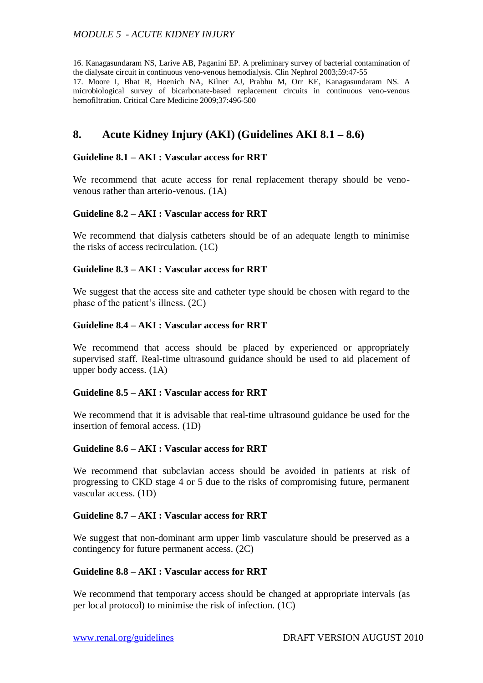16. Kanagasundaram NS, Larive AB, Paganini EP. A preliminary survey of bacterial contamination of the dialysate circuit in continuous veno-venous hemodialysis. Clin Nephrol 2003;59:47-55 17. Moore I, Bhat R, Hoenich NA, Kilner AJ, Prabhu M, Orr KE, Kanagasundaram NS. A microbiological survey of bicarbonate-based replacement circuits in continuous veno-venous

# **8. Acute Kidney Injury (AKI) (Guidelines AKI 8.1 – 8.6)**

#### **Guideline 8.1 – AKI : Vascular access for RRT**

hemofiltration. Critical Care Medicine 2009;37:496-500

We recommend that acute access for renal replacement therapy should be venovenous rather than arterio-venous. (1A)

#### **Guideline 8.2 – AKI : Vascular access for RRT**

We recommend that dialysis catheters should be of an adequate length to minimise the risks of access recirculation. (1C)

#### **Guideline 8.3 – AKI : Vascular access for RRT**

We suggest that the access site and catheter type should be chosen with regard to the phase of the patient"s illness. (2C)

#### **Guideline 8.4 – AKI : Vascular access for RRT**

We recommend that access should be placed by experienced or appropriately supervised staff. Real-time ultrasound guidance should be used to aid placement of upper body access. (1A)

## **Guideline 8.5 – AKI : Vascular access for RRT**

We recommend that it is advisable that real-time ultrasound guidance be used for the insertion of femoral access. (1D)

#### **Guideline 8.6 – AKI : Vascular access for RRT**

We recommend that subclavian access should be avoided in patients at risk of progressing to CKD stage 4 or 5 due to the risks of compromising future, permanent vascular access. (1D)

#### **Guideline 8.7 – AKI : Vascular access for RRT**

We suggest that non-dominant arm upper limb vasculature should be preserved as a contingency for future permanent access. (2C)

#### **Guideline 8.8 – AKI : Vascular access for RRT**

We recommend that temporary access should be changed at appropriate intervals (as per local protocol) to minimise the risk of infection. (1C)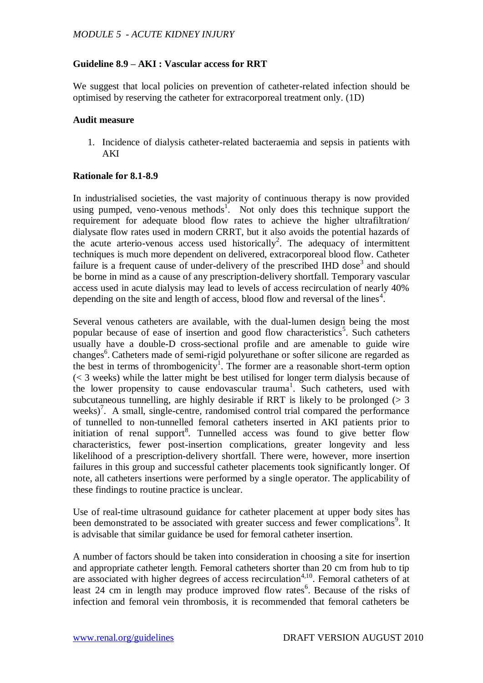## **Guideline 8.9 – AKI : Vascular access for RRT**

We suggest that local policies on prevention of catheter-related infection should be optimised by reserving the catheter for extracorporeal treatment only. (1D)

### **Audit measure**

1. Incidence of dialysis catheter-related bacteraemia and sepsis in patients with AKI

### **Rationale for 8.1-8.9**

In industrialised societies, the vast majority of continuous therapy is now provided using pumped, veno-venous methods<sup>1</sup>. Not only does this technique support the requirement for adequate blood flow rates to achieve the higher ultrafiltration/ dialysate flow rates used in modern CRRT, but it also avoids the potential hazards of the acute arterio-venous access used historically<sup>2</sup>. The adequacy of intermittent techniques is much more dependent on delivered, extracorporeal blood flow. Catheter failure is a frequent cause of under-delivery of the prescribed IHD dose<sup>3</sup> and should be borne in mind as a cause of any prescription-delivery shortfall. Temporary vascular access used in acute dialysis may lead to levels of access recirculation of nearly 40% depending on the site and length of access, blood flow and reversal of the lines<sup>4</sup>.

Several venous catheters are available, with the dual-lumen design being the most popular because of ease of insertion and good flow characteristics<sup>5</sup>. Such catheters usually have a double-D cross-sectional profile and are amenable to guide wire changes<sup>6</sup>. Catheters made of semi-rigid polyurethane or softer silicone are regarded as the best in terms of thrombogenicity<sup>1</sup>. The former are a reasonable short-term option (< 3 weeks) while the latter might be best utilised for longer term dialysis because of the lower propensity to cause endovascular trauma<sup>1</sup>. Such catheters, used with subcutaneous tunnelling, are highly desirable if RRT is likely to be prolonged ( $> 3$ ) weeks)<sup>7</sup>. A small, single-centre, randomised control trial compared the performance of tunnelled to non-tunnelled femoral catheters inserted in AKI patients prior to initiation of renal support<sup>8</sup>. Tunnelled access was found to give better flow characteristics, fewer post-insertion complications, greater longevity and less likelihood of a prescription-delivery shortfall. There were, however, more insertion failures in this group and successful catheter placements took significantly longer. Of note, all catheters insertions were performed by a single operator. The applicability of these findings to routine practice is unclear.

Use of real-time ultrasound guidance for catheter placement at upper body sites has been demonstrated to be associated with greater success and fewer complications<sup>9</sup>. It is advisable that similar guidance be used for femoral catheter insertion.

A number of factors should be taken into consideration in choosing a site for insertion and appropriate catheter length. Femoral catheters shorter than 20 cm from hub to tip are associated with higher degrees of access recirculation<sup>4,10</sup>. Femoral catheters of at least 24 cm in length may produce improved flow rates<sup>6</sup>. Because of the risks of infection and femoral vein thrombosis, it is recommended that femoral catheters be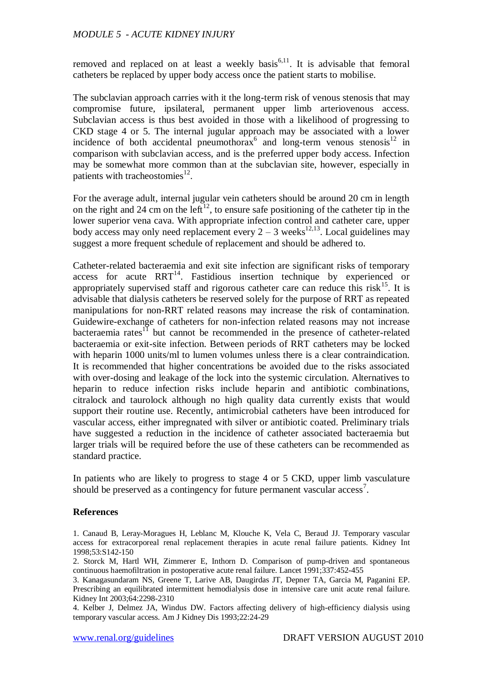removed and replaced on at least a weekly basis<sup>6,11</sup>. It is advisable that femoral catheters be replaced by upper body access once the patient starts to mobilise.

The subclavian approach carries with it the long-term risk of venous stenosis that may compromise future, ipsilateral, permanent upper limb arteriovenous access. Subclavian access is thus best avoided in those with a likelihood of progressing to CKD stage 4 or 5. The internal jugular approach may be associated with a lower incidence of both accidental pneumothorax<sup>6</sup> and long-term venous stenosis<sup>12</sup> in comparison with subclavian access, and is the preferred upper body access. Infection may be somewhat more common than at the subclavian site, however, especially in patients with tracheostomies $^{12}$ .

For the average adult, internal jugular vein catheters should be around 20 cm in length on the right and 24 cm on the left<sup>12</sup>, to ensure safe positioning of the catheter tip in the lower superior vena cava. With appropriate infection control and catheter care, upper body access may only need replacement every  $2 - 3$  weeks<sup>12,13</sup>. Local guidelines may suggest a more frequent schedule of replacement and should be adhered to.

Catheter-related bacteraemia and exit site infection are significant risks of temporary  $access$  for acute  $RRT<sup>14</sup>$ . Fastidious insertion technique by experienced or appropriately supervised staff and rigorous catheter care can reduce this risk<sup>15</sup>. It is advisable that dialysis catheters be reserved solely for the purpose of RRT as repeated manipulations for non-RRT related reasons may increase the risk of contamination. Guidewire-exchange of catheters for non-infection related reasons may not increase bacteraemia rates $1^1$  but cannot be recommended in the presence of catheter-related bacteraemia or exit-site infection. Between periods of RRT catheters may be locked with heparin 1000 units/ml to lumen volumes unless there is a clear contraindication. It is recommended that higher concentrations be avoided due to the risks associated with over-dosing and leakage of the lock into the systemic circulation. Alternatives to heparin to reduce infection risks include heparin and antibiotic combinations, citralock and taurolock although no high quality data currently exists that would support their routine use. Recently, antimicrobial catheters have been introduced for vascular access, either impregnated with silver or antibiotic coated. Preliminary trials have suggested a reduction in the incidence of catheter associated bacteraemia but larger trials will be required before the use of these catheters can be recommended as standard practice.

In patients who are likely to progress to stage 4 or 5 CKD, upper limb vasculature should be preserved as a contingency for future permanent vascular access<sup>7</sup>.

#### **References**

1. Canaud B, Leray-Moragues H, Leblanc M, Klouche K, Vela C, Beraud JJ. Temporary vascular access for extracorporeal renal replacement therapies in acute renal failure patients. Kidney Int 1998;53:S142-150

2. Storck M, Hartl WH, Zimmerer E, Inthorn D. Comparison of pump-driven and spontaneous continuous haemofiltration in postoperative acute renal failure. Lancet 1991;337:452-455

3. Kanagasundaram NS, Greene T, Larive AB, Daugirdas JT, Depner TA, Garcia M, Paganini EP. Prescribing an equilibrated intermittent hemodialysis dose in intensive care unit acute renal failure. Kidney Int 2003;64:2298-2310

4. Kelber J, Delmez JA, Windus DW. Factors affecting delivery of high-efficiency dialysis using temporary vascular access. Am J Kidney Dis 1993;22:24-29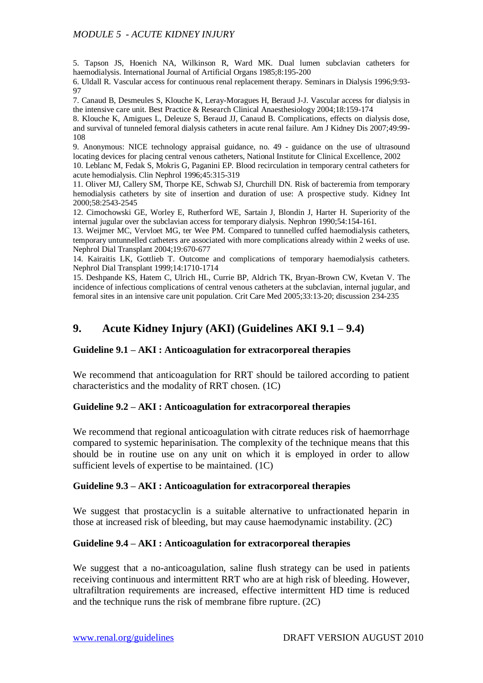5. Tapson JS, Hoenich NA, Wilkinson R, Ward MK. Dual lumen subclavian catheters for haemodialysis. International Journal of Artificial Organs 1985;8:195-200

6. Uldall R. Vascular access for continuous renal replacement therapy. Seminars in Dialysis 1996;9:93- 97

7. Canaud B, Desmeules S, Klouche K, Leray-Moragues H, Beraud J-J. Vascular access for dialysis in the intensive care unit. Best Practice & Research Clinical Anaesthesiology 2004;18:159-174

8. Klouche K, Amigues L, Deleuze S, Beraud JJ, Canaud B. Complications, effects on dialysis dose, and survival of tunneled femoral dialysis catheters in acute renal failure. Am J Kidney Dis 2007;49:99- 108

9. Anonymous: NICE technology appraisal guidance, no. 49 - guidance on the use of ultrasound locating devices for placing central venous catheters, National Institute for Clinical Excellence, 2002

10. Leblanc M, Fedak S, Mokris G, Paganini EP. Blood recirculation in temporary central catheters for acute hemodialysis. Clin Nephrol 1996;45:315-319

11. Oliver MJ, Callery SM, Thorpe KE, Schwab SJ, Churchill DN. Risk of bacteremia from temporary hemodialysis catheters by site of insertion and duration of use: A prospective study. Kidney Int 2000;58:2543-2545

12. Cimochowski GE, Worley E, Rutherford WE, Sartain J, Blondin J, Harter H. Superiority of the internal jugular over the subclavian access for temporary dialysis. Nephron 1990;54:154-161.

13. Weijmer MC, Vervloet MG, ter Wee PM. Compared to tunnelled cuffed haemodialysis catheters, temporary untunnelled catheters are associated with more complications already within 2 weeks of use. Nephrol Dial Transplant 2004;19:670-677

14. Kairaitis LK, Gottlieb T. Outcome and complications of temporary haemodialysis catheters. Nephrol Dial Transplant 1999;14:1710-1714

15. Deshpande KS, Hatem C, Ulrich HL, Currie BP, Aldrich TK, Bryan-Brown CW, Kvetan V. The incidence of infectious complications of central venous catheters at the subclavian, internal jugular, and femoral sites in an intensive care unit population. Crit Care Med 2005;33:13-20; discussion 234-235

# **9. Acute Kidney Injury (AKI) (Guidelines AKI 9.1 – 9.4)**

### **Guideline 9.1 – AKI : Anticoagulation for extracorporeal therapies**

We recommend that anticoagulation for RRT should be tailored according to patient characteristics and the modality of RRT chosen. (1C)

### **Guideline 9.2 – AKI : Anticoagulation for extracorporeal therapies**

We recommend that regional anticoagulation with citrate reduces risk of haemorrhage compared to systemic heparinisation. The complexity of the technique means that this should be in routine use on any unit on which it is employed in order to allow sufficient levels of expertise to be maintained. (1C)

### **Guideline 9.3 – AKI : Anticoagulation for extracorporeal therapies**

We suggest that prostacyclin is a suitable alternative to unfractionated heparin in those at increased risk of bleeding, but may cause haemodynamic instability. (2C)

### **Guideline 9.4 – AKI : Anticoagulation for extracorporeal therapies**

We suggest that a no-anticoagulation, saline flush strategy can be used in patients receiving continuous and intermittent RRT who are at high risk of bleeding. However, ultrafiltration requirements are increased, effective intermittent HD time is reduced and the technique runs the risk of membrane fibre rupture. (2C)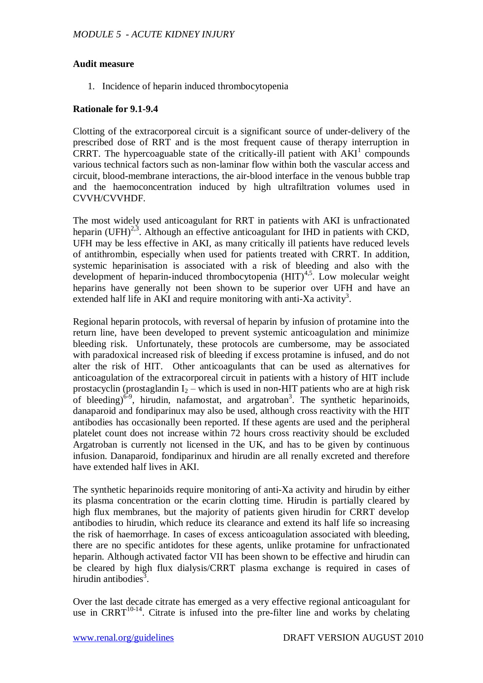# **Audit measure**

1. Incidence of heparin induced thrombocytopenia

# **Rationale for 9.1-9.4**

Clotting of the extracorporeal circuit is a significant source of under-delivery of the prescribed dose of RRT and is the most frequent cause of therapy interruption in CRRT. The hypercoaguable state of the critically-ill patient with  $\widehat{AKI}^1$  compounds various technical factors such as non-laminar flow within both the vascular access and circuit, blood-membrane interactions, the air-blood interface in the venous bubble trap and the haemoconcentration induced by high ultrafiltration volumes used in CVVH/CVVHDF.

The most widely used anticoagulant for RRT in patients with AKI is unfractionated heparin (UFH)<sup>2,3</sup>. Although an effective anticoagulant for IHD in patients with CKD, UFH may be less effective in AKI, as many critically ill patients have reduced levels of antithrombin, especially when used for patients treated with CRRT. In addition, systemic heparinisation is associated with a risk of bleeding and also with the development of heparin-induced thrombocytopenia  $(HIT)^{4,5}$ . Low molecular weight heparins have generally not been shown to be superior over UFH and have an extended half life in AKI and require monitoring with anti-Xa activity<sup>3</sup>.

Regional heparin protocols, with reversal of heparin by infusion of protamine into the return line, have been developed to prevent systemic anticoagulation and minimize bleeding risk. Unfortunately, these protocols are cumbersome, may be associated with paradoxical increased risk of bleeding if excess protamine is infused, and do not alter the risk of HIT. Other anticoagulants that can be used as alternatives for anticoagulation of the extracorporeal circuit in patients with a history of HIT include prostacyclin (prostaglandin  $I_2$  – which is used in non-HIT patients who are at high risk of bleeding) $6-9$ , hirudin, nafamostat, and argatroban<sup>3</sup>. The synthetic heparinoids, danaparoid and fondiparinux may also be used, although cross reactivity with the HIT antibodies has occasionally been reported. If these agents are used and the peripheral platelet count does not increase within 72 hours cross reactivity should be excluded Argatroban is currently not licensed in the UK, and has to be given by continuous infusion. Danaparoid, fondiparinux and hirudin are all renally excreted and therefore have extended half lives in AKI.

The synthetic heparinoids require monitoring of anti-Xa activity and hirudin by either its plasma concentration or the ecarin clotting time. Hirudin is partially cleared by high flux membranes, but the majority of patients given hirudin for CRRT develop antibodies to hirudin, which reduce its clearance and extend its half life so increasing the risk of haemorrhage. In cases of excess anticoagulation associated with bleeding, there are no specific antidotes for these agents, unlike protamine for unfractionated heparin. Although activated factor VII has been shown to be effective and hirudin can be cleared by high flux dialysis/CRRT plasma exchange is required in cases of hirudin antibodies $^3$ .

Over the last decade citrate has emerged as a very effective regional anticoagulant for use in  $CRRT^{10-14}$ . Citrate is infused into the pre-filter line and works by chelating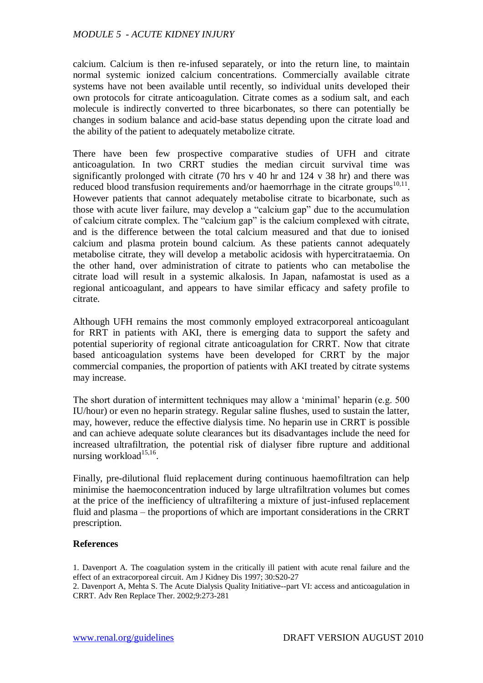calcium. Calcium is then re-infused separately, or into the return line, to maintain normal systemic ionized calcium concentrations. Commercially available citrate systems have not been available until recently, so individual units developed their own protocols for citrate anticoagulation. Citrate comes as a sodium salt, and each molecule is indirectly converted to three bicarbonates, so there can potentially be changes in sodium balance and acid-base status depending upon the citrate load and the ability of the patient to adequately metabolize citrate.

There have been few prospective comparative studies of UFH and citrate anticoagulation. In two CRRT studies the median circuit survival time was significantly prolonged with citrate (70 hrs v 40 hr and 124 v 38 hr) and there was reduced blood transfusion requirements and/or haemorrhage in the citrate groups $^{10,11}$ . However patients that cannot adequately metabolise citrate to bicarbonate, such as those with acute liver failure, may develop a "calcium gap" due to the accumulation of calcium citrate complex. The "calcium gap" is the calcium complexed with citrate, and is the difference between the total calcium measured and that due to ionised calcium and plasma protein bound calcium. As these patients cannot adequately metabolise citrate, they will develop a metabolic acidosis with hypercitrataemia. On the other hand, over administration of citrate to patients who can metabolise the citrate load will result in a systemic alkalosis. In Japan, nafamostat is used as a regional anticoagulant, and appears to have similar efficacy and safety profile to citrate.

Although UFH remains the most commonly employed extracorporeal anticoagulant for RRT in patients with AKI, there is emerging data to support the safety and potential superiority of regional citrate anticoagulation for CRRT. Now that citrate based anticoagulation systems have been developed for CRRT by the major commercial companies, the proportion of patients with AKI treated by citrate systems may increase.

The short duration of intermittent techniques may allow a "minimal" heparin (e.g. 500 IU/hour) or even no heparin strategy. Regular saline flushes, used to sustain the latter, may, however, reduce the effective dialysis time. No heparin use in CRRT is possible and can achieve adequate solute clearances but its disadvantages include the need for increased ultrafiltration, the potential risk of dialyser fibre rupture and additional nursing workload $^{15,16}$ .

Finally, pre-dilutional fluid replacement during continuous haemofiltration can help minimise the haemoconcentration induced by large ultrafiltration volumes but comes at the price of the inefficiency of ultrafiltering a mixture of just-infused replacement fluid and plasma – the proportions of which are important considerations in the CRRT prescription.

### **References**

1. Davenport A. The coagulation system in the critically ill patient with acute renal failure and the effect of an extracorporeal circuit. Am J Kidney Dis 1997; 30:S20-27

2. Davenport A, Mehta S. The Acute Dialysis Quality Initiative--part VI: access and anticoagulation in CRRT. Adv Ren Replace Ther. 2002;9:273-281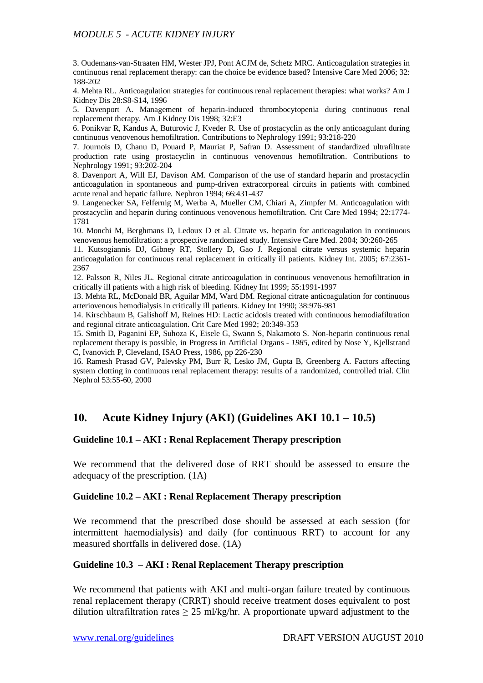3. Oudemans-van-Straaten HM, Wester JPJ, Pont ACJM de, Schetz MRC. Anticoagulation strategies in continuous renal replacement therapy: can the choice be evidence based? Intensive Care Med 2006; 32: 188-202

4. Mehta RL. Anticoagulation strategies for continuous renal replacement therapies: what works? Am J Kidney Dis 28:S8-S14, 1996

5. Davenport A. Management of heparin-induced thrombocytopenia during continuous renal replacement therapy. Am J Kidney Dis 1998; 32:E3

6. Ponikvar R, Kandus A, Buturovic J, Kveder R. Use of prostacyclin as the only anticoagulant during continuous venovenous hemofiltration. Contributions to Nephrology 1991; 93:218-220

7. Journois D, Chanu D, Pouard P, Mauriat P, Safran D. Assessment of standardized ultrafiltrate production rate using prostacyclin in continuous venovenous hemofiltration. Contributions to Nephrology 1991; 93:202-204

8. Davenport A, Will EJ, Davison AM. Comparison of the use of standard heparin and prostacyclin anticoagulation in spontaneous and pump-driven extracorporeal circuits in patients with combined acute renal and hepatic failure. Nephron 1994; 66:431-437

9. Langenecker SA, Felfernig M, Werba A, Mueller CM, Chiari A, Zimpfer M. Anticoagulation with prostacyclin and heparin during continuous venovenous hemofiltration. Crit Care Med 1994; 22:1774- 1781

10. Monchi M, Berghmans D, Ledoux D et al. Citrate vs. heparin for anticoagulation in continuous venovenous hemofiltration: a prospective randomized study. Intensive Care Med. 2004; 30:260-265

11. Kutsogiannis DJ, Gibney RT, Stollery D, Gao J. Regional citrate versus systemic heparin anticoagulation for continuous renal replacement in critically ill patients. Kidney Int. 2005; 67:2361- 2367

12. Palsson R, Niles JL. Regional citrate anticoagulation in continuous venovenous hemofiltration in critically ill patients with a high risk of bleeding. Kidney Int 1999; 55:1991-1997

13. Mehta RL, McDonald BR, Aguilar MM, Ward DM. Regional citrate anticoagulation for continuous arteriovenous hemodialysis in critically ill patients. Kidney Int 1990; 38:976-981

14. Kirschbaum B, Galishoff M, Reines HD: Lactic acidosis treated with continuous hemodiafiltration and regional citrate anticoagulation. Crit Care Med 1992; 20:349-353

15. Smith D, Paganini EP, Suhoza K, Eisele G, Swann S, Nakamoto S. Non-heparin continuous renal replacement therapy is possible, in Progress in Artificial Organs *- 1985*, edited by Nose Y, Kjellstrand C, Ivanovich P, Cleveland, ISAO Press, 1986, pp 226-230

16. Ramesh Prasad GV, Palevsky PM, Burr R, Lesko JM, Gupta B, Greenberg A. Factors affecting system clotting in continuous renal replacement therapy: results of a randomized, controlled trial. Clin Nephrol 53:55-60, 2000

# **10. Acute Kidney Injury (AKI) (Guidelines AKI 10.1 – 10.5)**

#### **Guideline 10.1 – AKI : Renal Replacement Therapy prescription**

We recommend that the delivered dose of RRT should be assessed to ensure the adequacy of the prescription. (1A)

#### **Guideline 10.2 – AKI : Renal Replacement Therapy prescription**

We recommend that the prescribed dose should be assessed at each session (for intermittent haemodialysis) and daily (for continuous RRT) to account for any measured shortfalls in delivered dose. (1A)

### **Guideline 10.3 – AKI : Renal Replacement Therapy prescription**

We recommend that patients with AKI and multi-organ failure treated by continuous renal replacement therapy (CRRT) should receive treatment doses equivalent to post dilution ultrafiltration rates  $\geq 25$  ml/kg/hr. A proportionate upward adjustment to the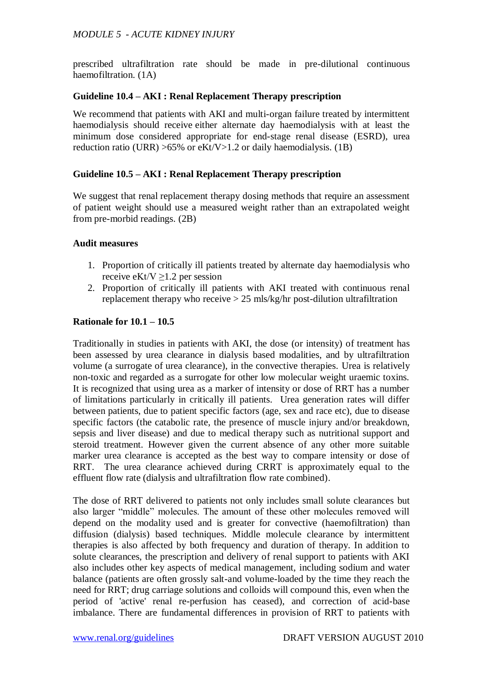prescribed ultrafiltration rate should be made in pre-dilutional continuous haemofiltration. (1A)

### **Guideline 10.4 – AKI : Renal Replacement Therapy prescription**

We recommend that patients with AKI and multi-organ failure treated by intermittent haemodialysis should receive either alternate day haemodialysis with at least the minimum dose considered appropriate for end-stage renal disease (ESRD), urea reduction ratio (URR)  $>65\%$  or eKt/V $>1.2$  or daily haemodialysis. (1B)

## **Guideline 10.5 – AKI : Renal Replacement Therapy prescription**

We suggest that renal replacement therapy dosing methods that require an assessment of patient weight should use a measured weight rather than an extrapolated weight from pre-morbid readings. (2B)

#### **Audit measures**

- 1. Proportion of critically ill patients treated by alternate day haemodialysis who receive eKt/V  $\geq$ 1.2 per session
- 2. Proportion of critically ill patients with AKI treated with continuous renal replacement therapy who receive  $> 25$  mls/kg/hr post-dilution ultrafiltration

#### **Rationale for 10.1 – 10.5**

Traditionally in studies in patients with AKI, the dose (or intensity) of treatment has been assessed by urea clearance in dialysis based modalities, and by ultrafiltration volume (a surrogate of urea clearance), in the convective therapies. Urea is relatively non-toxic and regarded as a surrogate for other low molecular weight uraemic toxins. It is recognized that using urea as a marker of intensity or dose of RRT has a number of limitations particularly in critically ill patients. Urea generation rates will differ between patients, due to patient specific factors (age, sex and race etc), due to disease specific factors (the catabolic rate, the presence of muscle injury and/or breakdown, sepsis and liver disease) and due to medical therapy such as nutritional support and steroid treatment. However given the current absence of any other more suitable marker urea clearance is accepted as the best way to compare intensity or dose of RRT. The urea clearance achieved during CRRT is approximately equal to the effluent flow rate (dialysis and ultrafiltration flow rate combined).

The dose of RRT delivered to patients not only includes small solute clearances but also larger "middle" molecules. The amount of these other molecules removed will depend on the modality used and is greater for convective (haemofiltration) than diffusion (dialysis) based techniques. Middle molecule clearance by intermittent therapies is also affected by both frequency and duration of therapy. In addition to solute clearances, the prescription and delivery of renal support to patients with AKI also includes other key aspects of medical management, including sodium and water balance (patients are often grossly salt-and volume-loaded by the time they reach the need for RRT; drug carriage solutions and colloids will compound this, even when the period of 'active' renal re-perfusion has ceased), and correction of acid-base imbalance. There are fundamental differences in provision of RRT to patients with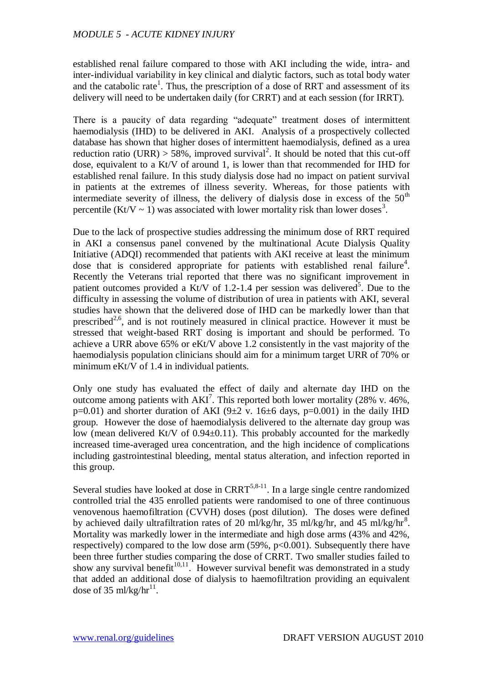established renal failure compared to those with AKI including the wide, intra- and inter-individual variability in key clinical and dialytic factors, such as total body water and the catabolic rate<sup>1</sup>. Thus, the prescription of a dose of RRT and assessment of its delivery will need to be undertaken daily (for CRRT) and at each session (for IRRT).

There is a paucity of data regarding "adequate" treatment doses of intermittent haemodialysis (IHD) to be delivered in AKI. Analysis of a prospectively collected database has shown that higher doses of intermittent haemodialysis, defined as a urea reduction ratio (URR) > 58%, improved survival<sup>2</sup>. It should be noted that this cut-off dose, equivalent to a Kt/V of around 1, is lower than that recommended for IHD for established renal failure. In this study dialysis dose had no impact on patient survival in patients at the extremes of illness severity. Whereas, for those patients with intermediate severity of illness, the delivery of dialysis dose in excess of the  $50<sup>th</sup>$ percentile (Kt/V  $\sim$  1) was associated with lower mortality risk than lower doses<sup>3</sup>.

Due to the lack of prospective studies addressing the minimum dose of RRT required in AKI a consensus panel convened by the multinational Acute Dialysis Quality Initiative (ADQI) recommended that patients with AKI receive at least the minimum dose that is considered appropriate for patients with established renal failure<sup>4</sup>. Recently the Veterans trial reported that there was no significant improvement in patient outcomes provided a Kt/V of 1.2-1.4 per session was delivered<sup>5</sup>. Due to the difficulty in assessing the volume of distribution of urea in patients with AKI, several studies have shown that the delivered dose of IHD can be markedly lower than that prescribed<sup>2,6</sup>, and is not routinely measured in clinical practice. However it must be stressed that weight-based RRT dosing is important and should be performed. To achieve a URR above 65% or eKt/V above 1.2 consistently in the vast majority of the haemodialysis population clinicians should aim for a minimum target URR of 70% or minimum eKt/V of 1.4 in individual patients.

Only one study has evaluated the effect of daily and alternate day IHD on the outcome among patients with  $AKI<sup>7</sup>$ . This reported both lower mortality (28% v. 46%,  $p=0.01$ ) and shorter duration of AKI (9 $\pm$ 2 v. 16 $\pm$ 6 days, p=0.001) in the daily IHD group. However the dose of haemodialysis delivered to the alternate day group was low (mean delivered Kt/V of 0.94±0.11). This probably accounted for the markedly increased time-averaged urea concentration, and the high incidence of complications including gastrointestinal bleeding, mental status alteration, and infection reported in this group.

Several studies have looked at dose in  $CRRT^{5,8-11}$ . In a large single centre randomized controlled trial the 435 enrolled patients were randomised to one of three continuous venovenous haemofiltration (CVVH) doses (post dilution). The doses were defined by achieved daily ultrafiltration rates of 20 ml/kg/hr, 35 ml/kg/hr, and 45 ml/kg/hr<sup>8</sup>. Mortality was markedly lower in the intermediate and high dose arms (43% and 42%, respectively) compared to the low dose arm  $(59\%, p<0.001)$ . Subsequently there have been three further studies comparing the dose of CRRT. Two smaller studies failed to show any survival benefit<sup>10,11</sup>. However survival benefit was demonstrated in a study that added an additional dose of dialysis to haemofiltration providing an equivalent dose of 35 ml/kg/hr<sup>11</sup>.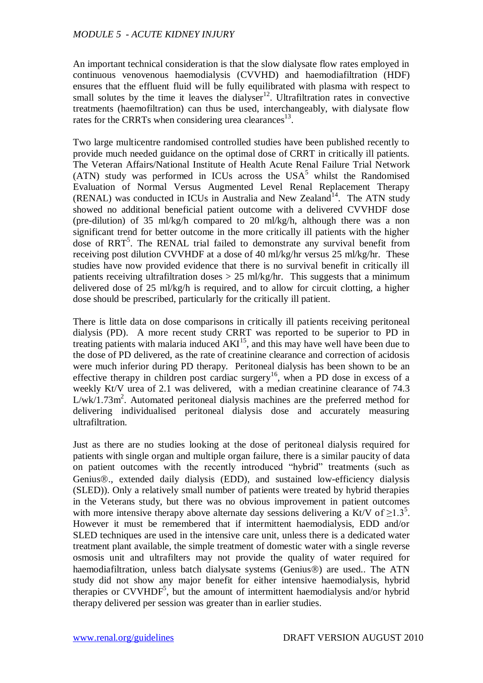An important technical consideration is that the slow dialysate flow rates employed in continuous venovenous haemodialysis (CVVHD) and haemodiafiltration (HDF) ensures that the effluent fluid will be fully equilibrated with plasma with respect to small solutes by the time it leaves the dialyser $12$ . Ultrafiltration rates in convective treatments (haemofiltration) can thus be used, interchangeably, with dialysate flow rates for the CRRTs when considering urea clearances<sup>13</sup>.

Two large multicentre randomised controlled studies have been published recently to provide much needed guidance on the optimal dose of CRRT in critically ill patients. The Veteran Affairs/National Institute of Health Acute Renal Failure Trial Network  $(ATN)$  study was performed in ICUs across the USA<sup>5</sup> whilst the Randomised Evaluation of Normal Versus Augmented Level Renal Replacement Therapy  $(RENAL)$  was conducted in ICUs in Australia and New Zealand<sup>14</sup>. The ATN study showed no additional beneficial patient outcome with a delivered CVVHDF dose (pre-dilution) of 35 ml/kg/h compared to 20 ml/kg/h, although there was a non significant trend for better outcome in the more critically ill patients with the higher dose of RRT<sup>5</sup>. The RENAL trial failed to demonstrate any survival benefit from receiving post dilution CVVHDF at a dose of 40 ml/kg/hr versus 25 ml/kg/hr. These studies have now provided evidence that there is no survival benefit in critically ill patients receiving ultrafiltration doses  $> 25$  ml/kg/hr. This suggests that a minimum delivered dose of 25 ml/kg/h is required, and to allow for circuit clotting, a higher dose should be prescribed, particularly for the critically ill patient.

There is little data on dose comparisons in critically ill patients receiving peritoneal dialysis (PD). A more recent study CRRT was reported to be superior to PD in treating patients with malaria induced  $AKI<sup>15</sup>$ , and this may have well have been due to the dose of PD delivered, as the rate of creatinine clearance and correction of acidosis were much inferior during PD therapy. Peritoneal dialysis has been shown to be an effective therapy in children post cardiac surgery<sup>16</sup>, when a PD dose in excess of a weekly Kt/V urea of 2.1 was delivered, with a median creatinine clearance of 74.3  $L/wk/1.73m^2$ . Automated peritoneal dialysis machines are the preferred method for delivering individualised peritoneal dialysis dose and accurately measuring ultrafiltration.

Just as there are no studies looking at the dose of peritoneal dialysis required for patients with single organ and multiple organ failure, there is a similar paucity of data on patient outcomes with the recently introduced "hybrid" treatments (such as Genius<sup>®</sup>., extended daily dialysis (EDD), and sustained low-efficiency dialysis (SLED)). Only a relatively small number of patients were treated by hybrid therapies in the Veterans study, but there was no obvious improvement in patient outcomes with more intensive therapy above alternate day sessions delivering a Kt/V of  $\geq$ 1.3<sup>5</sup>. However it must be remembered that if intermittent haemodialysis, EDD and/or SLED techniques are used in the intensive care unit, unless there is a dedicated water treatment plant available, the simple treatment of domestic water with a single reverse osmosis unit and ultrafilters may not provide the quality of water required for haemodiafiltration, unless batch dialysate systems (Genius®) are used.. The ATN study did not show any major benefit for either intensive haemodialysis, hybrid therapies or CVVHD $F<sup>5</sup>$ , but the amount of intermittent haemodialysis and/or hybrid therapy delivered per session was greater than in earlier studies.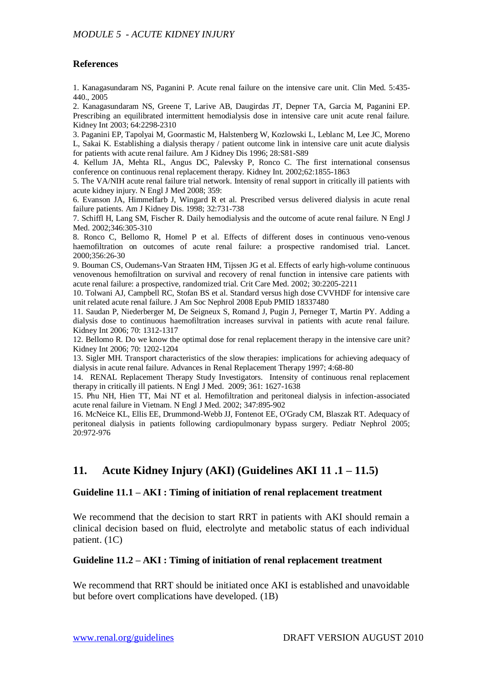#### **References**

1. Kanagasundaram NS, Paganini P. Acute renal failure on the intensive care unit. Clin Med*.* 5:435- 440., 2005

2. Kanagasundaram NS, Greene T, Larive AB, Daugirdas JT, Depner TA, Garcia M, Paganini EP. Prescribing an equilibrated intermittent hemodialysis dose in intensive care unit acute renal failure. Kidney Int 2003; 64:2298-2310

3. Paganini EP, Tapolyai M, Goormastic M, Halstenberg W, Kozlowski L, Leblanc M, Lee JC, Moreno L, Sakai K. Establishing a dialysis therapy / patient outcome link in intensive care unit acute dialysis for patients with acute renal failure. Am J Kidney Dis 1996; 28:S81-S89

4. Kellum JA, Mehta RL, Angus DC, Palevsky P, Ronco C. The first international consensus conference on continuous renal replacement therapy. Kidney Int*.* 2002;62:1855-1863

5. The VA/NIH acute renal failure trial network. Intensity of renal support in critically ill patients with acute kidney injury. N Engl J Med 2008; 359:

6. Evanson JA, Himmelfarb J, Wingard R et al. Prescribed versus delivered dialysis in acute renal failure patients. Am J Kidney Dis. 1998; 32:731-738

7. Schiffl H, Lang SM, Fischer R. Daily hemodialysis and the outcome of acute renal failure. N Engl J Med. 2002;346:305-310

8. Ronco C, Bellomo R, Homel P et al. Effects of different doses in continuous veno-venous haemofiltration on outcomes of acute renal failure: a prospective randomised trial. Lancet. 2000;356:26-30

9. Bouman CS, Oudemans-Van Straaten HM, Tijssen JG et al. Effects of early high-volume continuous venovenous hemofiltration on survival and recovery of renal function in intensive care patients with acute renal failure: a prospective, randomized trial. Crit Care Med. 2002; 30:2205-2211

10. Tolwani AJ, Campbell RC, Stofan BS et al. Standard versus high dose CVVHDF for intensive care unit related acute renal failure. J Am Soc Nephrol 2008 Epub PMID 18337480

11. Saudan P, Niederberger M, De Seigneux S, Romand J, Pugin J, Perneger T, Martin PY. Adding a dialysis dose to continuous haemofiltration increases survival in patients with acute renal failure. Kidney Int 2006; 70: 1312-1317

12. Bellomo R. Do we know the optimal dose for renal replacement therapy in the intensive care unit? Kidney Int 2006; 70: 1202-1204

13. Sigler MH. Transport characteristics of the slow therapies: implications for achieving adequacy of dialysis in acute renal failure. Advances in Renal Replacement Therapy 1997; 4:68-80

14. RENAL Replacement Therapy Study Investigators. Intensity of continuous renal replacement therapy in critically ill patients. N Engl J Med. 2009; 361: 1627-1638

15. Phu NH, Hien TT, Mai NT et al. Hemofiltration and peritoneal dialysis in infection-associated acute renal failure in Vietnam. N Engl J Med. 2002; 347:895-902

16. McNeice KL, Ellis EE, Drummond-Webb JJ, Fontenot EE, O'Grady CM, Blaszak RT. Adequacy of peritoneal dialysis in patients following cardiopulmonary bypass surgery. Pediatr Nephrol 2005; 20:972-976

# **11. Acute Kidney Injury (AKI) (Guidelines AKI 11 .1 – 11.5)**

### **Guideline 11.1 – AKI : Timing of initiation of renal replacement treatment**

We recommend that the decision to start RRT in patients with AKI should remain a clinical decision based on fluid, electrolyte and metabolic status of each individual patient. (1C)

#### **Guideline 11.2 – AKI : Timing of initiation of renal replacement treatment**

We recommend that RRT should be initiated once AKI is established and unavoidable but before overt complications have developed. (1B)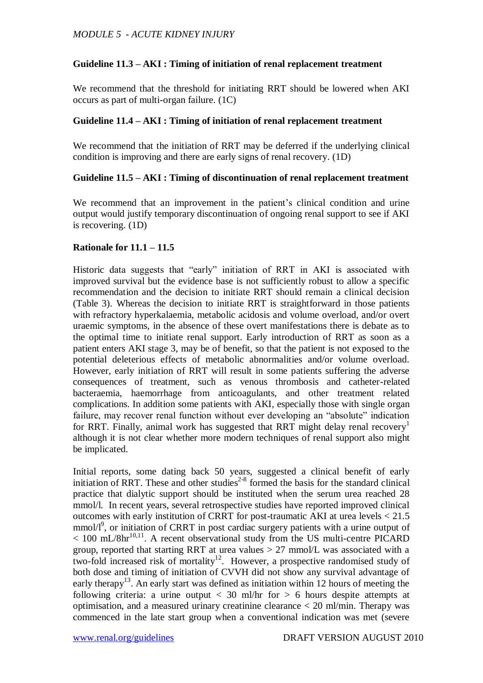# **Guideline 11.3 – AKI : Timing of initiation of renal replacement treatment**

We recommend that the threshold for initiating RRT should be lowered when AKI occurs as part of multi-organ failure. (1C)

# **Guideline 11.4 – AKI : Timing of initiation of renal replacement treatment**

We recommend that the initiation of RRT may be deferred if the underlying clinical condition is improving and there are early signs of renal recovery. (1D)

# **Guideline 11.5 – AKI : Timing of discontinuation of renal replacement treatment**

We recommend that an improvement in the patient's clinical condition and urine output would justify temporary discontinuation of ongoing renal support to see if AKI is recovering. (1D)

# **Rationale for 11.1 – 11.5**

Historic data suggests that "early" initiation of RRT in AKI is associated with improved survival but the evidence base is not sufficiently robust to allow a specific recommendation and the decision to initiate RRT should remain a clinical decision (Table 3). Whereas the decision to initiate RRT is straightforward in those patients with refractory hyperkalaemia, metabolic acidosis and volume overload, and/or overt uraemic symptoms, in the absence of these overt manifestations there is debate as to the optimal time to initiate renal support. Early introduction of RRT as soon as a patient enters AKI stage 3, may be of benefit, so that the patient is not exposed to the potential deleterious effects of metabolic abnormalities and/or volume overload. However, early initiation of RRT will result in some patients suffering the adverse consequences of treatment, such as venous thrombosis and catheter-related bacteraemia, haemorrhage from anticoagulants, and other treatment related complications. In addition some patients with AKI, especially those with single organ failure, may recover renal function without ever developing an "absolute" indication for RRT. Finally, animal work has suggested that RRT might delay renal recovery<sup>1</sup> although it is not clear whether more modern techniques of renal support also might be implicated.

Initial reports, some dating back 50 years, suggested a clinical benefit of early initiation of RRT. These and other studies<sup> $2-8$ </sup> formed the basis for the standard clinical practice that dialytic support should be instituted when the serum urea reached 28 mmol/l. In recent years, several retrospective studies have reported improved clinical outcomes with early institution of CRRT for post-traumatic AKI at urea levels < 21.5  $mmol/l<sup>9</sup>$ , or initiation of CRRT in post cardiac surgery patients with a urine output of  $< 100$  mL/8hr<sup>10,11</sup>. A recent observational study from the US multi-centre PICARD group, reported that starting RRT at urea values  $> 27$  mmol/L was associated with a  $two$ -fold increased risk of mortality<sup>12</sup>. However, a prospective randomised study of both dose and timing of initiation of CVVH did not show any survival advantage of early therapy<sup>13</sup>. An early start was defined as initiation within 12 hours of meeting the following criteria: a urine output  $\langle 30 \text{ m} \rangle$  for  $> 6$  hours despite attempts at optimisation, and a measured urinary creatinine clearance  $<$  20 ml/min. Therapy was commenced in the late start group when a conventional indication was met (severe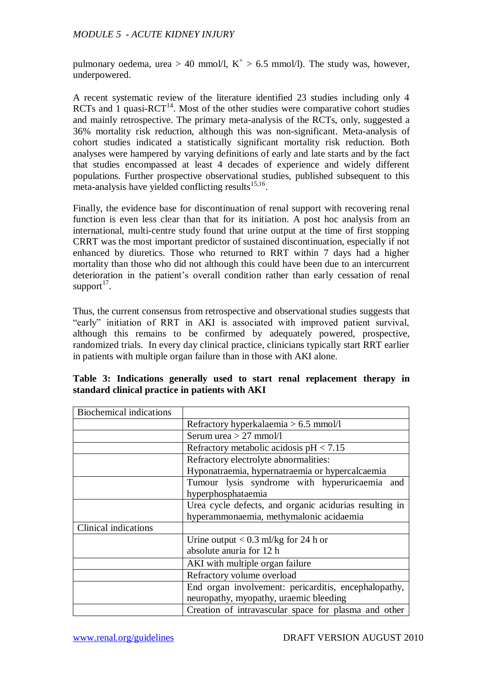pulmonary oedema, urea > 40 mmol/l,  $K^+ > 6.5$  mmol/l). The study was, however, underpowered.

A recent systematic review of the literature identified 23 studies including only 4 RCTs and 1 quasi- $RCT^{14}$ . Most of the other studies were comparative cohort studies and mainly retrospective. The primary meta-analysis of the RCTs, only, suggested a 36% mortality risk reduction, although this was non-significant. Meta-analysis of cohort studies indicated a statistically significant mortality risk reduction. Both analyses were hampered by varying definitions of early and late starts and by the fact that studies encompassed at least 4 decades of experience and widely different populations. Further prospective observational studies, published subsequent to this  $\text{meta-analysis}$  have yielded conflicting results<sup>15,16</sup>.

Finally, the evidence base for discontinuation of renal support with recovering renal function is even less clear than that for its initiation. A post hoc analysis from an international, multi-centre study found that urine output at the time of first stopping CRRT was the most important predictor of sustained discontinuation, especially if not enhanced by diuretics. Those who returned to RRT within 7 days had a higher mortality than those who did not although this could have been due to an intercurrent deterioration in the patient"s overall condition rather than early cessation of renal support $17$ .

Thus, the current consensus from retrospective and observational studies suggests that "early" initiation of RRT in AKI is associated with improved patient survival, although this remains to be confirmed by adequately powered, prospective, randomized trials. In every day clinical practice, clinicians typically start RRT earlier in patients with multiple organ failure than in those with AKI alone.

| <b>Biochemical indications</b> |                                                        |  |
|--------------------------------|--------------------------------------------------------|--|
|                                | Refractory hyperkalaemia $> 6.5$ mmol/l                |  |
|                                | Serum urea $> 27$ mmol/l                               |  |
|                                | Refractory metabolic acidosis $pH < 7.15$              |  |
|                                | Refractory electrolyte abnormalities:                  |  |
|                                | Hyponatraemia, hypernatraemia or hypercalcaemia        |  |
|                                | Tumour lysis syndrome with hyperuricaemia<br>and       |  |
|                                | hyperphosphataemia                                     |  |
|                                | Urea cycle defects, and organic acidurias resulting in |  |
|                                | hyperammonaemia, methymalonic acidaemia                |  |
| <b>Clinical indications</b>    |                                                        |  |
|                                | Urine output $< 0.3$ ml/kg for 24 h or                 |  |
|                                | absolute anuria for 12 h                               |  |
|                                | AKI with multiple organ failure                        |  |
|                                | Refractory volume overload                             |  |
|                                | End organ involvement: pericarditis, encephalopathy,   |  |
|                                | neuropathy, myopathy, uraemic bleeding                 |  |
|                                | Creation of intravascular space for plasma and other   |  |

**Table 3: Indications generally used to start renal replacement therapy in standard clinical practice in patients with AKI**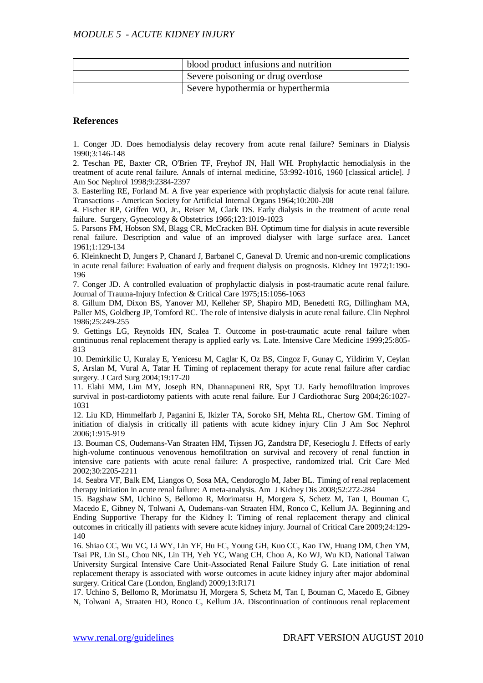| blood product infusions and nutrition |
|---------------------------------------|
| Severe poisoning or drug overdose     |
| Severe hypothermia or hyperthermia    |

#### **References**

1. Conger JD. Does hemodialysis delay recovery from acute renal failure? Seminars in Dialysis 1990;3:146-148

2. Teschan PE, Baxter CR, O'Brien TF, Freyhof JN, Hall WH. Prophylactic hemodialysis in the treatment of acute renal failure. Annals of internal medicine, 53:992-1016, 1960 [classical article]. J Am Soc Nephrol 1998;9:2384-2397

3. Easterling RE, Forland M. A five year experience with prophylactic dialysis for acute renal failure. Transactions - American Society for Artificial Internal Organs 1964;10:200-208

4. Fischer RP, Griffen WO, Jr., Reiser M, Clark DS. Early dialysis in the treatment of acute renal failure. Surgery, Gynecology & Obstetrics 1966;123:1019-1023

5. Parsons FM, Hobson SM, Blagg CR, McCracken BH. Optimum time for dialysis in acute reversible renal failure. Description and value of an improved dialyser with large surface area. Lancet 1961;1:129-134

6. Kleinknecht D, Jungers P, Chanard J, Barbanel C, Ganeval D. Uremic and non-uremic complications in acute renal failure: Evaluation of early and frequent dialysis on prognosis. Kidney Int 1972;1:190- 196

7. Conger JD. A controlled evaluation of prophylactic dialysis in post-traumatic acute renal failure. Journal of Trauma-Injury Infection & Critical Care 1975;15:1056-1063

8. Gillum DM, Dixon BS, Yanover MJ, Kelleher SP, Shapiro MD, Benedetti RG, Dillingham MA, Paller MS, Goldberg JP, Tomford RC. The role of intensive dialysis in acute renal failure. Clin Nephrol 1986;25:249-255

9. Gettings LG, Reynolds HN, Scalea T. Outcome in post-traumatic acute renal failure when continuous renal replacement therapy is applied early vs. Late. Intensive Care Medicine 1999;25:805- 813

10. Demirkilic U, Kuralay E, Yenicesu M, Caglar K, Oz BS, Cingoz F, Gunay C, Yildirim V, Ceylan S, Arslan M, Vural A, Tatar H. Timing of replacement therapy for acute renal failure after cardiac surgery. J Card Surg 2004;19:17-20

11. Elahi MM, Lim MY, Joseph RN, Dhannapuneni RR, Spyt TJ. Early hemofiltration improves survival in post-cardiotomy patients with acute renal failure. Eur J Cardiothorac Surg 2004;26:1027- 1031

12. Liu KD, Himmelfarb J, Paganini E, Ikizler TA, Soroko SH, Mehta RL, Chertow GM. Timing of initiation of dialysis in critically ill patients with acute kidney injury Clin J Am Soc Nephrol 2006;1:915-919

13. Bouman CS, Oudemans-Van Straaten HM, Tijssen JG, Zandstra DF, Kesecioglu J. Effects of early high-volume continuous venovenous hemofiltration on survival and recovery of renal function in intensive care patients with acute renal failure: A prospective, randomized trial. Crit Care Med 2002;30:2205-2211

14. Seabra VF, Balk EM, Liangos O, Sosa MA, Cendoroglo M, Jaber BL. Timing of renal replacement therapy initiation in acute renal failure: A meta-analysis. Am J Kidney Dis 2008;52:272-284

15. Bagshaw SM, Uchino S, Bellomo R, Morimatsu H, Morgera S, Schetz M, Tan I, Bouman C, Macedo E, Gibney N, Tolwani A, Oudemans-van Straaten HM, Ronco C, Kellum JA. Beginning and Ending Supportive Therapy for the Kidney I: Timing of renal replacement therapy and clinical outcomes in critically ill patients with severe acute kidney injury. Journal of Critical Care 2009;24:129- 140

16. Shiao CC, Wu VC, Li WY, Lin YF, Hu FC, Young GH, Kuo CC, Kao TW, Huang DM, Chen YM, Tsai PR, Lin SL, Chou NK, Lin TH, Yeh YC, Wang CH, Chou A, Ko WJ, Wu KD, National Taiwan University Surgical Intensive Care Unit-Associated Renal Failure Study G. Late initiation of renal replacement therapy is associated with worse outcomes in acute kidney injury after major abdominal surgery. Critical Care (London, England) 2009;13:R171

17. Uchino S, Bellomo R, Morimatsu H, Morgera S, Schetz M, Tan I, Bouman C, Macedo E, Gibney N, Tolwani A, Straaten HO, Ronco C, Kellum JA. Discontinuation of continuous renal replacement